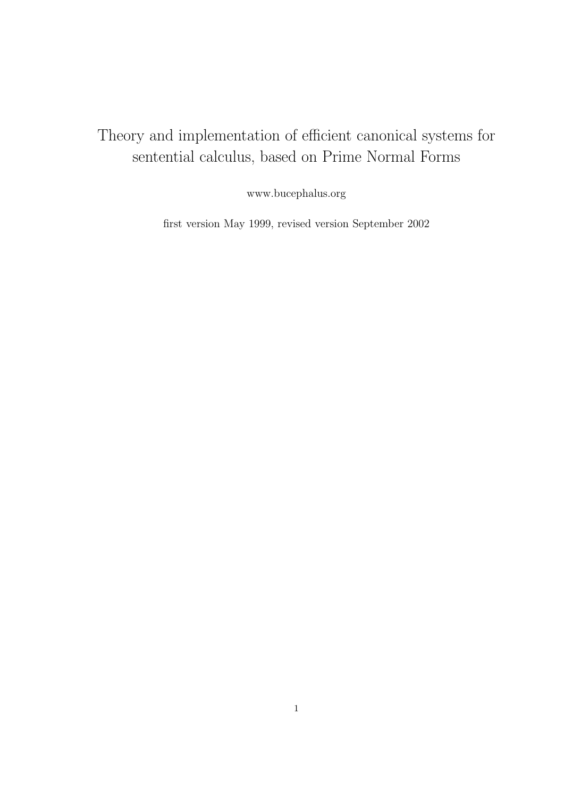# Theory and implementation of efficient canonical systems for sentential calculus, based on Prime Normal Forms

www.bucephalus.org

first version May 1999, revised version September 2002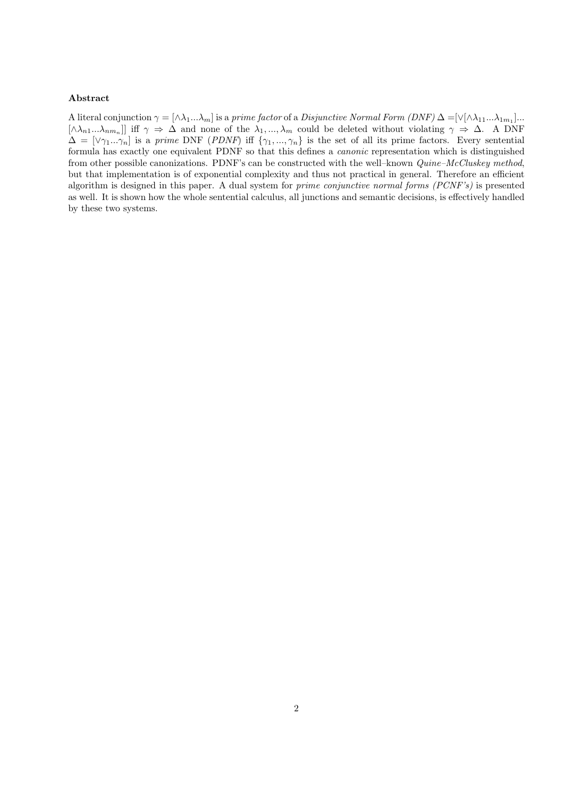## Abstract

A literal conjunction  $\gamma = [\wedge \lambda_1 ... \lambda_m]$  is a prime factor of a Disjunctive Normal Form  $(DNF) \Delta = [\vee [\wedge \lambda_{11} ... \lambda_{1m_1}] ...$  $[\wedge \lambda_{n1}...\lambda_{nm_n}]$  iff  $\gamma \Rightarrow \Delta$  and none of the  $\lambda_1,...,\lambda_m$  could be deleted without violating  $\gamma \Rightarrow \Delta$ . A DNF  $\Delta = [\vee \gamma_1...\gamma_n]$  is a prime DNF (PDNF) iff  $\{\gamma_1,...,\gamma_n\}$  is the set of all its prime factors. Every sentential formula has exactly one equivalent PDNF so that this defines a canonic representation which is distinguished from other possible canonizations. PDNF's can be constructed with the well-known  $Quine-McCluskey$  method, but that implementation is of exponential complexity and thus not practical in general. Therefore an efficient algorithm is designed in this paper. A dual system for prime conjunctive normal forms (PCNF's) is presented as well. It is shown how the whole sentential calculus, all junctions and semantic decisions, is effectively handled by these two systems.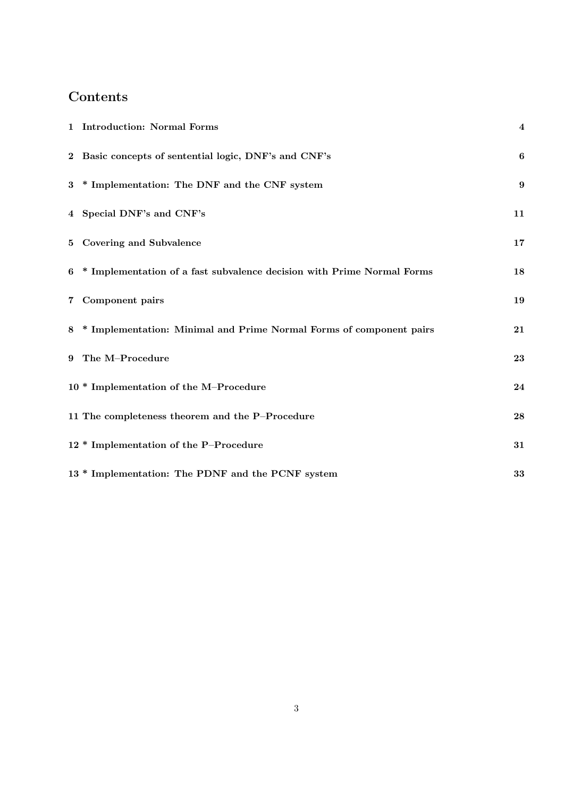# Contents

| 1 Introduction: Normal Forms                                             | $\overline{\mathbf{4}}$ |
|--------------------------------------------------------------------------|-------------------------|
| 2 Basic concepts of sentential logic, DNF's and CNF's                    | $\boldsymbol{6}$        |
| 3 * Implementation: The DNF and the CNF system                           | 9                       |
| 4 Special DNF's and CNF's                                                | 11                      |
| 5 Covering and Subvalence                                                | 17                      |
| 6 * Implementation of a fast subvalence decision with Prime Normal Forms | 18                      |
| 7 Component pairs                                                        | 19                      |
| 8 * Implementation: Minimal and Prime Normal Forms of component pairs    | 21                      |
| 9 The M-Procedure                                                        | 23                      |
| 10 * Implementation of the M-Procedure                                   | 24                      |
| 11 The completeness theorem and the P-Procedure                          | 28                      |
| 12 * Implementation of the P-Procedure                                   | 31                      |
| 13 * Implementation: The PDNF and the PCNF system                        | 33                      |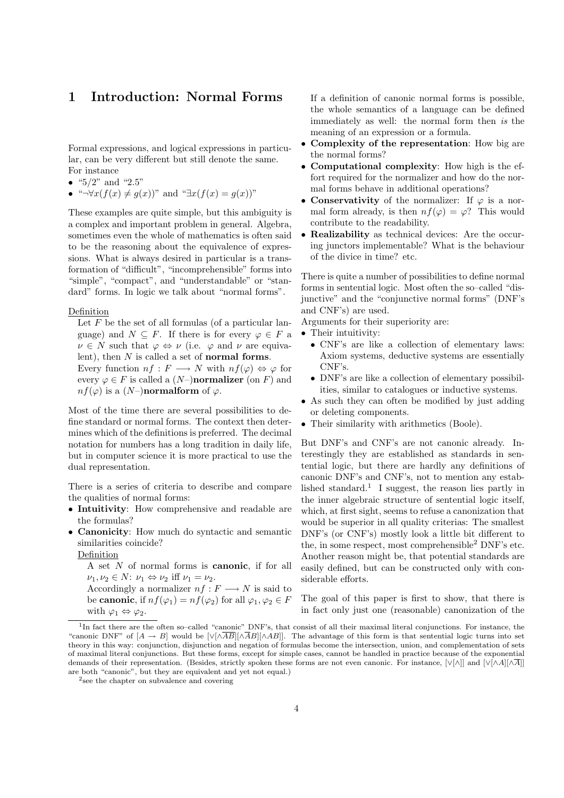## 1 Introduction: Normal Forms

Formal expressions, and logical expressions in particular, can be very different but still denote the same. For instance

- " $5/2$ " and "2.5"
- "¬ $\forall x (f(x) \neq q(x))$ " and " $\exists x (f(x) = q(x))$ "

These examples are quite simple, but this ambiguity is a complex and important problem in general. Algebra, sometimes even the whole of mathematics is often said to be the reasoning about the equivalence of expressions. What is always desired in particular is a transformation of "difficult", "incomprehensible" forms into "simple", "compact", and "understandable" or "standard" forms. In logic we talk about "normal forms".

## Definition

Let  $F$  be the set of all formulas (of a particular language) and  $N \subseteq F$ . If there is for every  $\varphi \in F$  a  $\nu \in N$  such that  $\varphi \Leftrightarrow \nu$  (i.e.  $\varphi$  and  $\nu$  are equivalent), then  $N$  is called a set of **normal forms**. Every function  $nf : F \longrightarrow N$  with  $nf(\varphi) \Leftrightarrow \varphi$  for every  $\varphi \in F$  is called a  $(N-)$ **normalizer** (on F) and  $nf(\varphi)$  is a  $(N-)$ **normalform** of  $\varphi$ .

Most of the time there are several possibilities to define standard or normal forms. The context then determines which of the definitions is preferred. The decimal notation for numbers has a long tradition in daily life, but in computer science it is more practical to use the dual representation.

There is a series of criteria to describe and compare the qualities of normal forms:

- Intuitivity: How comprehensive and readable are the formulas?
- Canonicity: How much do syntactic and semantic similarities coincide?

Definition

- A set N of normal forms is canonic, if for all  $\nu_1, \nu_2 \in N: \nu_1 \Leftrightarrow \nu_2 \text{ iff } \nu_1 = \nu_2.$
- Accordingly a normalizer  $nf : F \longrightarrow N$  is said to be canonic, if  $nf(\varphi_1) = nf(\varphi_2)$  for all  $\varphi_1, \varphi_2 \in F$ with  $\varphi_1 \Leftrightarrow \varphi_2$ .

If a definition of canonic normal forms is possible, the whole semantics of a language can be defined immediately as well: the normal form then is the meaning of an expression or a formula.

- Complexity of the representation: How big are the normal forms?
- Computational complexity: How high is the effort required for the normalizer and how do the normal forms behave in additional operations?
- Conservativity of the normalizer: If  $\varphi$  is a normal form already, is then  $nf(\varphi) = \varphi$ ? This would contribute to the readability.
- Realizability as technical devices: Are the occuring junctors implementable? What is the behaviour of the divice in time? etc.

There is quite a number of possibilities to define normal forms in sentential logic. Most often the so–called "disjunctive" and the "conjunctive normal forms" (DNF's and CNF's) are used.

Arguments for their superiority are:

- $\bullet~$  Their intuitivity:
	- CNF's are like a collection of elementary laws: Axiom systems, deductive systems are essentially CNF's.
	- DNF's are like a collection of elementary possibilities, similar to catalogues or inductive systems.
- As such they can often be modified by just adding or deleting components.
- Their similarity with arithmetics (Boole).

But DNF's and CNF's are not canonic already. Interestingly they are established as standards in sentential logic, but there are hardly any definitions of canonic DNF's and CNF's, not to mention any established standard.<sup>1</sup> I suggest, the reason lies partly in the inner algebraic structure of sentential logic itself, which, at first sight, seems to refuse a canonization that would be superior in all quality criterias: The smallest DNF's (or CNF's) mostly look a little bit different to the, in some respect, most comprehensible  $2$  DNF's etc. Another reason might be, that potential standards are easily defined, but can be constructed only with considerable efforts.

The goal of this paper is first to show, that there is in fact only just one (reasonable) canonization of the

<sup>&</sup>lt;sup>1</sup>In fact there are the often so–called "canonic" DNF's, that consist of all their maximal literal conjunctions. For instance, the "canonic DNF" of  $[A \rightarrow B]$  would be  $[\sqrt{\Delta B}][\sqrt{AB}]]$ . The advantage of this form is that sentential logic turns into set theory in this way: conjunction, disjunction and negation of formulas become the intersection, union, and complementation of sets of maximal literal conjunctions. But these forms, except for simple cases, cannot be handled in practice because of the exponential demands of their representation. (Besides, strictly spoken these forms are not even canonic. For instance,  $[\vee[\wedge]]$  and  $[\vee[\wedge A][\wedge \overline{A}]]$ are both "canonic", but they are equivalent and yet not equal.)

<sup>&</sup>lt;sup>2</sup> see the chapter on subvalence and covering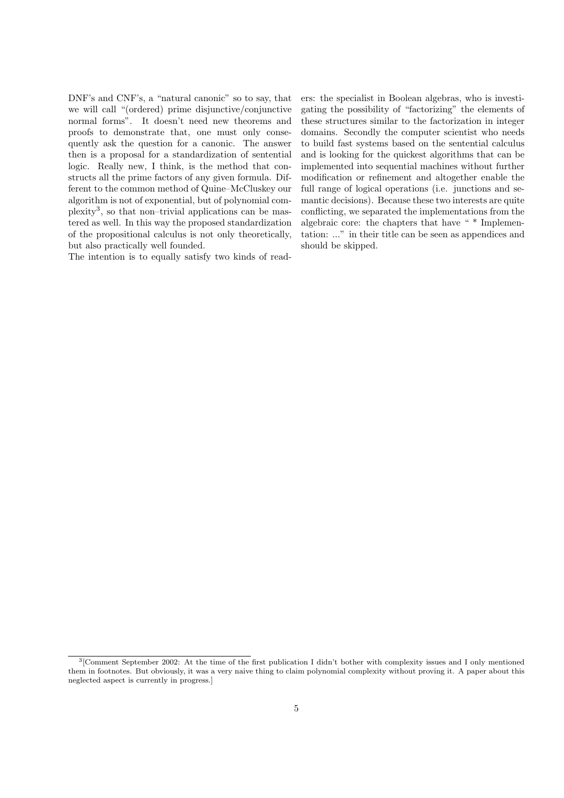DNF's and CNF's, a "natural canonic" so to say, that we will call "(ordered) prime disjunctive/conjunctive normal forms". It doesn't need new theorems and proofs to demonstrate that, one must only consequently ask the question for a canonic. The answer then is a proposal for a standardization of sentential logic. Really new, I think, is the method that constructs all the prime factors of any given formula. Different to the common method of Quine–McCluskey our algorithm is not of exponential, but of polynomial complexity<sup>3</sup> , so that non–trivial applications can be mastered as well. In this way the proposed standardization of the propositional calculus is not only theoretically, but also practically well founded.

The intention is to equally satisfy two kinds of read-

ers: the specialist in Boolean algebras, who is investigating the possibility of "factorizing" the elements of these structures similar to the factorization in integer domains. Secondly the computer scientist who needs to build fast systems based on the sentential calculus and is looking for the quickest algorithms that can be implemented into sequential machines without further modification or refinement and altogether enable the full range of logical operations (i.e. junctions and semantic decisions). Because these two interests are quite conflicting, we separated the implementations from the algebraic core: the chapters that have " \* Implementation: ..." in their title can be seen as appendices and should be skipped.

<sup>&</sup>lt;sup>3</sup> [Comment September 2002: At the time of the first publication I didn't bother with complexity issues and I only mentioned them in footnotes. But obviously, it was a very naive thing to claim polynomial complexity without proving it. A paper about this neglected aspect is currently in progress.]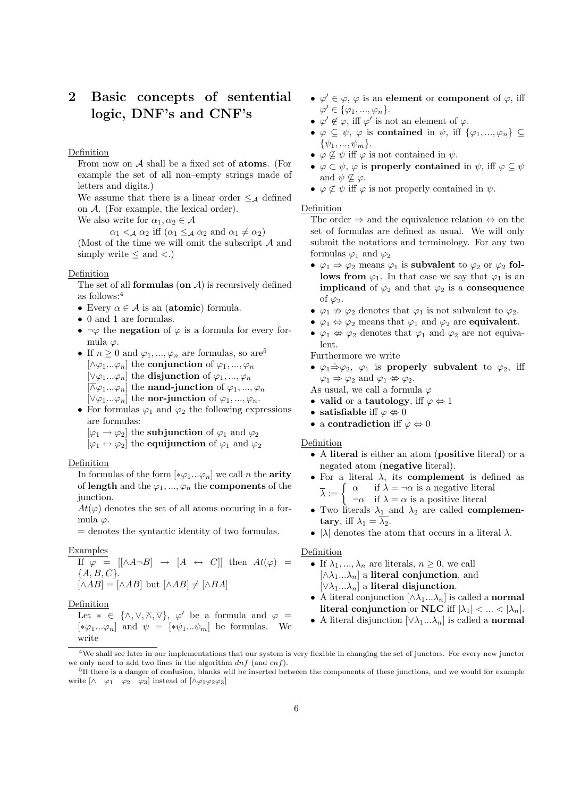## 2 Basic concepts of sentential logic, DNF's and CNF's

## Definition

From now on  $A$  shall be a fixed set of **atoms**. (For example the set of all non–empty strings made of letters and digits.)

We assume that there is a linear order  $\leq_{\mathcal{A}}$  defined on A. (For example, the lexical order).

We also write for  $\alpha_1, \alpha_2 \in \mathcal{A}$ 

 $\alpha_1 <_{\mathcal{A}} \alpha_2$  iff  $(\alpha_1 \leq_{\mathcal{A}} \alpha_2 \text{ and } \alpha_1 \neq \alpha_2)$ 

(Most of the time we will omit the subscript  $A$  and simply write  $\leq$  and  $\lt$ .)

## **Definition**

The set of all **formulas** (on  $\mathcal{A}$ ) is recursively defined as follows:<sup>4</sup>

- Every  $\alpha \in \mathcal{A}$  is an (atomic) formula.
- 0 and 1 are formulas.
- $\neg \varphi$  the **negation** of  $\varphi$  is a formula for every formula  $\varphi$ .
- If  $n \geq 0$  and  $\varphi_1, ..., \varphi_n$  are formulas, so are<sup>5</sup>  $[\wedge \varphi_1...\varphi_n]$  the conjunction of  $\varphi_1,...,\varphi_n$  $[\vee \varphi_1...\varphi_n]$  the disjunction of  $\varphi_1,...,\varphi_n$  $[\overline{\wedge} \varphi_1...\varphi_n]$  the **nand-junction** of  $\varphi_1,...,\varphi_n$  $[\nabla \varphi_1...\varphi_n]$  the **nor-junction** of  $\varphi_1,...,\varphi_n$ .
- For formulas  $\varphi_1$  and  $\varphi_2$  the following expressions are formulas:
	- $[\varphi_1 \rightarrow \varphi_2]$  the subjunction of  $\varphi_1$  and  $\varphi_2$
	- $[\varphi_1 \leftrightarrow \varphi_2]$  the equijunction of  $\varphi_1$  and  $\varphi_2$

## Definition

In formulas of the form  $[*\varphi_1...\varphi_n]$  we call n the **arity** of length and the  $\varphi_1, ..., \varphi_n$  the components of the junction.

 $At(\varphi)$  denotes the set of all atoms occuring in a formula  $\varphi$ .

= denotes the syntactic identity of two formulas.

## Examples

If 
$$
\varphi = [[\land A\neg B] \rightarrow [A \leftrightarrow C]]
$$
 then  $At(\varphi) =$   
 $\{A, B, C\}$ .  
 $[\land AB] = [\land AB]$  but  $[\land AB] \neq [\land BA]$ 

## Definition

Let  $* \in {\wedge, \vee, \overline{\wedge}, \overline{\vee}}$ ,  $\varphi'$  be a formula and  $\varphi =$  $[*\varphi_1...\varphi_n]$  and  $\psi =[*\psi_1...\psi_m]$  be formulas. We write

- $\varphi' \in \varphi$ ,  $\varphi$  is an element or component of  $\varphi$ , iff  $\varphi' \in {\varphi_1, ..., \varphi_n}.$
- $\varphi' \notin \varphi$ , iff  $\varphi'$  is not an element of  $\varphi$ .
- $\varphi \subseteq \psi$ ,  $\varphi$  is contained in  $\psi$ , iff  $\{\varphi_1, ..., \varphi_n\} \subseteq$  $\{\psi_1, ..., \psi_m\}.$
- $\varphi \nsubseteq \psi$  iff  $\varphi$  is not contained in  $\psi$ .
- $\varphi \subset \psi$ ,  $\varphi$  is properly contained in  $\psi$ , iff  $\varphi \subseteq \psi$ and  $\psi \nsubseteq \varphi$ .
- $\varphi \not\subset \psi$  iff  $\varphi$  is not properly contained in  $\psi$ .

## **Definition**

The order  $\Rightarrow$  and the equivalence relation  $\Leftrightarrow$  on the set of formulas are defined as usual. We will only submit the notations and terminology. For any two formulas  $\varphi_1$  and  $\varphi_2$ 

- $\varphi_1 \Rightarrow \varphi_2$  means  $\varphi_1$  is subvalent to  $\varphi_2$  or  $\varphi_2$  follows from  $\varphi_1$ . In that case we say that  $\varphi_1$  is an **implicand** of  $\varphi_2$  and that  $\varphi_2$  is a **consequence** of  $\varphi_2$ .
- $\varphi_1 \nRightarrow \varphi_2$  denotes that  $\varphi_1$  is not subvalent to  $\varphi_2$ .
- $\varphi_1 \Leftrightarrow \varphi_2$  means that  $\varphi_1$  and  $\varphi_2$  are **equivalent**.
- $\varphi_1 \nleftrightarrow \varphi_2$  denotes that  $\varphi_1$  and  $\varphi_2$  are not equivalent.

Furthermore we write

•  $\varphi_1 \Rightarrow \varphi_2$ ,  $\varphi_1$  is properly subvalent to  $\varphi_2$ , iff  $\varphi_1 \Rightarrow \varphi_2$  and  $\varphi_1 \nleftrightarrow \varphi_2$ .

As usual, we call a formula  $\varphi$ 

- valid or a tautology, iff  $\varphi \Leftrightarrow 1$
- satisfiable if  $\varphi \not\Rightarrow 0$
- a contradiction iff  $\varphi \Leftrightarrow 0$

## Definition

- A literal is either an atom (positive literal) or a negated atom (negative literal).
- For a literal  $\lambda$ , its **complement** is defined as  $\overline{\lambda} := \begin{cases} \alpha & \text{if } \lambda = \neg \alpha \text{ is a negative literal} \\ \dots & \text{if } \lambda = \text{a series } \text{arrows!} \end{cases}$  $\neg \alpha$  if  $\lambda = \alpha$  is a positive literal
- Two literals  $\lambda_1$  and  $\lambda_2$  are called **complemen**tary, iff  $\lambda_1 = \lambda_2$ .
- $|\lambda|$  denotes the atom that occurs in a literal  $\lambda$ .

## Definition

- If  $\lambda_1, ..., \lambda_n$  are literals,  $n \geq 0$ , we call  $[\wedge \lambda_1...\lambda_n]$  a literal conjunction, and  $[\vee \lambda_1...\lambda_n]$  a literal disjunction.
- A literal conjunction  $[\wedge \lambda_1...\lambda_n]$  is called a **normal** literal conjunction or NLC iff  $|\lambda_1| < ... < |\lambda_n|$ .
- A literal disjunction  $[\vee \lambda_1...\lambda_n]$  is called a normal

<sup>&</sup>lt;sup>4</sup>We shall see later in our implementations that our system is very flexible in changing the set of junctors. For every new junctor we only need to add two lines in the algorithm  $dnf$  (and  $cnf$ ).

<sup>&</sup>lt;sup>5</sup>If there is a danger of confusion, blanks will be inserted between the components of these junctions, and we would for example write  $\begin{bmatrix} \wedge & \varphi_1 & \varphi_2 & \varphi_3 \end{bmatrix}$  instead of  $\begin{bmatrix} \wedge \varphi_1 \varphi_2 \varphi_3 \end{bmatrix}$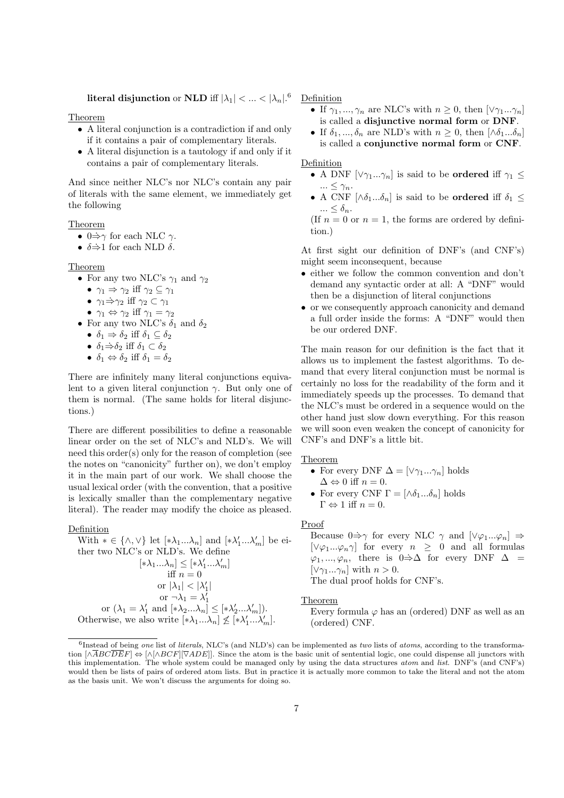literal disjunction or NLD iff  $|\lambda_1| < ... < |\lambda_n|^{.6}$ 

## Theorem

- A literal conjunction is a contradiction if and only if it contains a pair of complementary literals.
- A literal disjunction is a tautology if and only if it contains a pair of complementary literals.

And since neither NLC's nor NLC's contain any pair of literals with the same element, we immediately get the following

Theorem

- $0 \Rightarrow \gamma$  for each NLC  $\gamma$ .
- $\delta \Rightarrow 1$  for each NLD  $\delta$ .

## Theorem

• For any two NLC's  $\gamma_1$  and  $\gamma_2$ 

- $\gamma_1 \Rightarrow \gamma_2$  iff  $\gamma_2 \subseteq \gamma_1$
- $\gamma_1 \Rightarrow \gamma_2$  iff  $\gamma_2 \subset \gamma_1$
- $\gamma_1 \Leftrightarrow \gamma_2$  iff  $\gamma_1 = \gamma_2$
- For any two NLC's  $\delta_1$  and  $\delta_2$ 
	- $\delta_1 \Rightarrow \delta_2$  iff  $\delta_1 \subseteq \delta_2$
	- $\delta_1 \dot{\Rightarrow} \delta_2$  iff  $\delta_1 \subset \delta_2$
	- $\delta_1 \Leftrightarrow \delta_2$  iff  $\delta_1 = \delta_2$

There are infinitely many literal conjunctions equivalent to a given literal conjunction  $\gamma$ . But only one of them is normal. (The same holds for literal disjunctions.)

There are different possibilities to define a reasonable linear order on the set of NLC's and NLD's. We will need this order(s) only for the reason of completion (see the notes on "canonicity" further on), we don't employ it in the main part of our work. We shall choose the usual lexical order (with the convention, that a positive is lexically smaller than the complementary negative literal). The reader may modify the choice as pleased.

## **Definition**

With  $* \in \{\wedge, \vee\}$  let  $[*\lambda_1...\lambda_n]$  and  $[*\lambda'_1...\lambda'_m]$  be either two NLC's or NLD's. We define  $[\ast\lambda_1...\lambda_n]\leq [\ast\lambda_1'...\lambda_m']$ iff  $n = 0$ or  $|\lambda_1| < |\lambda_1'|$ or  $(\lambda_1 = \lambda'_1 \text{ and } [\ast \lambda_2 ... \lambda_n] \leq [\ast \lambda'_2 ... \lambda'_m]).$ Otherwise, we also write  $[*\lambda_1...\lambda_n] \nleq [\ast \lambda'_1...\lambda'_m]$ .

Definition

- If  $\gamma_1, ..., \gamma_n$  are NLC's with  $n \geq 0$ , then  $[\vee \gamma_1 ... \gamma_n]$ is called a disjunctive normal form or DNF.
- If  $\delta_1, ..., \delta_n$  are NLD's with  $n \geq 0$ , then  $[\wedge \delta_1 ... \delta_n]$ is called a conjunctive normal form or CNF.

## Definition

- A DNF  $[\vee \gamma_1...\gamma_n]$  is said to be **ordered** iff  $\gamma_1 \leq$  $\ldots \leq \gamma_n$ .
- A CNF  $[\wedge \delta_1...\delta_n]$  is said to be **ordered** iff  $\delta_1 \leq$  $\ldots \leq \delta_n$ .

(If  $n = 0$  or  $n = 1$ , the forms are ordered by definition.)

At first sight our definition of DNF's (and CNF's) might seem inconsequent, because

- either we follow the common convention and don't demand any syntactic order at all: A "DNF" would then be a disjunction of literal conjunctions
- or we consequently approach canonicity and demand a full order inside the forms: A "DNF" would then be our ordered DNF.

The main reason for our definition is the fact that it allows us to implement the fastest algorithms. To demand that every literal conjunction must be normal is certainly no loss for the readability of the form and it immediately speeds up the processes. To demand that the NLC's must be ordered in a sequence would on the other hand just slow down everything. For this reason we will soon even weaken the concept of canonicity for CNF's and DNF's a little bit.

## Theorem

- For every DNF  $\Delta = [\vee \gamma_1...\gamma_n]$  holds  $\Delta \Leftrightarrow 0$  iff  $n=0.$
- For every CNF  $\Gamma = [\wedge \delta_1 ... \delta_n]$  holds  $\Gamma \Leftrightarrow 1$  iff  $n = 0$ .

## Proof

Because  $0 \Rightarrow \gamma$  for every NLC  $\gamma$  and  $[\vee \varphi_1...\varphi_n] \Rightarrow$  $[\vee \varphi_1...\varphi_n \gamma]$  for every  $n \geq 0$  and all formulas  $\varphi_1, ..., \varphi_n$ , there is  $0 \Rightarrow \Delta$  for every DNF  $\Delta$  = [ $\forall \gamma_1...\gamma_n$ ] with  $n > 0$ . The dual proof holds for CNF's.

Theorem

Every formula  $\varphi$  has an (ordered) DNF as well as an (ordered) CNF.

 $^6$ Instead of being one list of literals, NLC's (and NLD's) can be implemented as two lists of atoms, according to the transformation  $[\wedge \overline{ABCDEF}] \Leftrightarrow [\wedge [\wedge BCF] [\nabla ADE]]$ . Since the atom is the basic unit of sentential logic, one could dispense all junctors with this implementation. The whole system could be managed only by using the data structures atom and list. DNF's (and CNF's) would then be lists of pairs of ordered atom lists. But in practice it is actually more common to take the literal and not the atom as the basis unit. We won't discuss the arguments for doing so.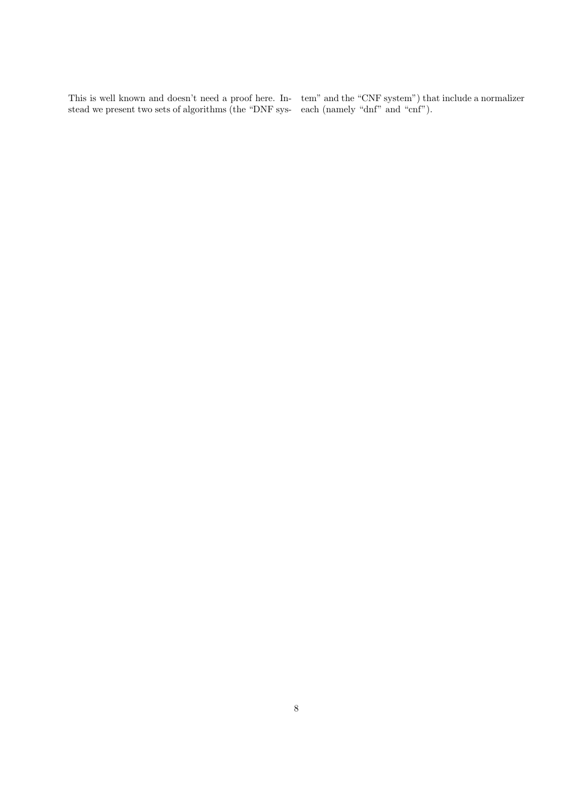This is well known and doesn't need a proof here. Instead we present two sets of algorithms (the "DNF system" and the "CNF system") that include a normalizer each (namely "dnf" and "cnf").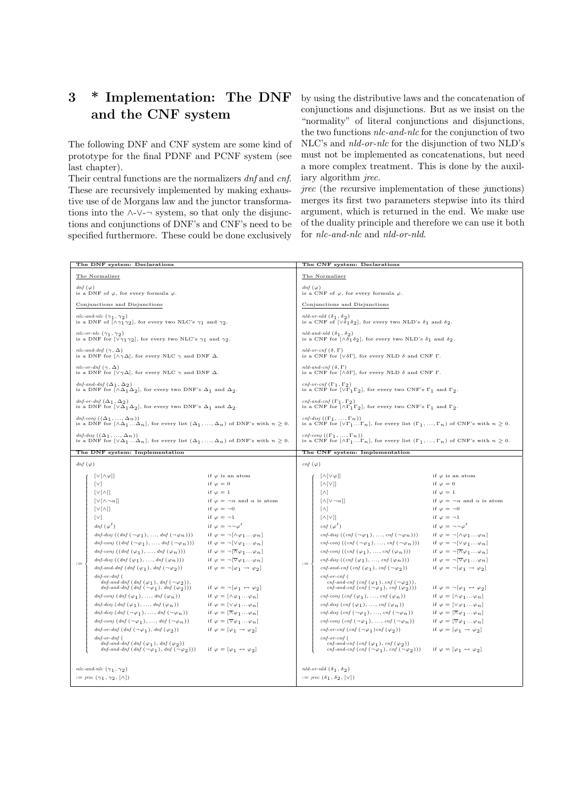# 3 \* Implementation: The DNF and the CNF system

The following DNF and CNF system are some kind of prototype for the final PDNF and PCNF system (see last chapter).

Their central functions are the normalizers  $dnf$  and  $cnf$ . These are recursively implemented by making exhaustive use of de Morgans law and the junctor transformations into the  $\land$ -∨- $\neg$  system, so that only the disjunctions and conjunctions of DNF's and CNF's need to be specified furthermore. These could be done exclusively

by using the distributive laws and the concatenation of conjunctions and disjunctions. But as we insist on the "normality" of literal conjunctions and disjunctions, the two functions nlc-and-nlc for the conjunction of two NLC's and nld-or-nlc for the disjunction of two NLD's must not be implemented as concatenations, but need a more complex treatment. This is done by the auxiliary algorithm jrec.

jrec (the recursive implementation of these junctions) merges its first two parameters stepwise into its third argument, which is returned in the end. We make use of the duality principle and therefore we can use it both for nlc-and-nlc and nld-or-nld.

| The DNF system: Declarations                                                                                                     |                                                                                                                                                                                        | The CNF system: Declarations                             |                                                                          |                                                                                                                                                                    |                                                                  |  |
|----------------------------------------------------------------------------------------------------------------------------------|----------------------------------------------------------------------------------------------------------------------------------------------------------------------------------------|----------------------------------------------------------|--------------------------------------------------------------------------|--------------------------------------------------------------------------------------------------------------------------------------------------------------------|------------------------------------------------------------------|--|
|                                                                                                                                  | The Normalizer                                                                                                                                                                         |                                                          | The Normalizer                                                           |                                                                                                                                                                    |                                                                  |  |
| $dnf(\varphi)$                                                                                                                   | is a DNF of $\varphi$ , for every formula $\varphi$ .                                                                                                                                  |                                                          | dnf $(\varphi)$<br>is a CNF of $\varphi$ , for every formula $\varphi$ . |                                                                                                                                                                    |                                                                  |  |
| Conjunctions and Disjunctions                                                                                                    |                                                                                                                                                                                        |                                                          | Conjunctions and Disjunctions                                            |                                                                                                                                                                    |                                                                  |  |
| nlc-and-nlc $(\gamma_1, \gamma_2)$<br>is a DNF of $[\wedge \gamma_1 \gamma_2]$ , for every two NLC's $\gamma_1$ and $\gamma_2$ . |                                                                                                                                                                                        |                                                          |                                                                          | nld-or-nld $(\delta_1, \delta_2)$<br>is a CNF of $[\sqrt{\delta_1 \delta_2}]$ , for every two NLD's $\delta_1$ and $\delta_2$ .                                    |                                                                  |  |
| nlc-or-nlc $(\gamma_1, \gamma_2)$<br>is a DNF for $[\vee \gamma_1 \gamma_2]$ , for every two NLC's $\gamma_1$ and $\gamma_2$ .   |                                                                                                                                                                                        |                                                          |                                                                          | nld-and-nld $(\delta_1, \delta_2)$<br>is a CNF for $[\wedge \delta_1 \delta_2]$ , for every two NLD's $\delta_1$ and $\delta_2$ .                                  |                                                                  |  |
|                                                                                                                                  | nlc-and-dnf $(\gamma, \Delta)$<br>is a DNF for $[\wedge \gamma \Delta]$ , for every NLC $\gamma$ and DNF $\Delta$ .                                                                    |                                                          |                                                                          | nld-or-cnf $(\delta, \Gamma)$<br>is a CNF for $[\lor \delta \Gamma]$ , for every NLD $\delta$ and CNF $\Gamma$ .                                                   |                                                                  |  |
|                                                                                                                                  | nlc-or-dnf $(\gamma, \Delta)$<br>is a DNF for $[\vee \gamma \Delta]$ , for every NLC $\gamma$ and DNF $\Delta$ .                                                                       |                                                          |                                                                          | nld-and-cnf $(\delta, \Gamma)$<br>is a CNF for $[\wedge \delta \Gamma]$ , for every NLD $\delta$ and CNF $\Gamma$ .                                                |                                                                  |  |
|                                                                                                                                  | dnf-and-dnf $(\Delta_1, \Delta_2)$<br>is a DNF for $[\wedge \Delta_1 \Delta_2]$ , for every two DNF's $\Delta_1$ and $\Delta_2$ .                                                      |                                                          |                                                                          | cnf-or-cnf $(\Gamma_1, \Gamma_2)$<br>is a CNF for $[\vee \Gamma_1 \Gamma_2]$ , for every two CNF's $\Gamma_1$ and $\Gamma_2$ .                                     |                                                                  |  |
|                                                                                                                                  | dnf-or-dnf $(\Delta_1, \Delta_2)$<br>is a DNF for $[\vee \Delta_1 \Delta_2]$ , for every two DNF's $\Delta_1$ and $\Delta_2$ .                                                         |                                                          |                                                                          | cnf-and-cnf $(\Gamma_1, \Gamma_2)$<br>is a CNF for $[\wedge \Gamma_1 \Gamma_2]$ , for every two CNF's $\Gamma_1$ and $\Gamma_2$ .                                  |                                                                  |  |
|                                                                                                                                  | dnf-conj $((\Delta_1, , \Delta_n))$<br>is a DNF for $[\wedge \Delta_1  \Delta_n]$ , for every list $(\Delta_1, , \Delta_n)$ of DNF's with $n \geq 0$ .                                 |                                                          |                                                                          | cnf-disj $((\Gamma_1, , \Gamma_n))$<br>is a CNF for $[\vee \Gamma_1 \dots \Gamma_n]$ , for every list $(\Gamma_1, \dots, \Gamma_n)$ of CNF's with $n \geq 0$ .     |                                                                  |  |
|                                                                                                                                  | dnf-disj $((\Delta_1, , \Delta_n))$<br>is a DNF for $[\vee \Delta_1  \Delta_n]$ , for every list $(\Delta_1, , \Delta_n)$ of DNF's with $n \geq 0$ .                                   |                                                          |                                                                          | cnf-conj $((\Gamma_1, , \Gamma_n))$<br>is a CNF for $[\wedge \Gamma_1 \dots \Gamma_n]$ , for every list $(\Gamma_1, \dots, \Gamma_n)$ of CNF's with $n \geq 0$ .   |                                                                  |  |
|                                                                                                                                  | The DNF system: Implementation                                                                                                                                                         |                                                          | The CNF system: Implementation                                           |                                                                                                                                                                    |                                                                  |  |
| $dnf(\varphi)$                                                                                                                   |                                                                                                                                                                                        |                                                          | $cnf(\varphi)$                                                           |                                                                                                                                                                    |                                                                  |  |
|                                                                                                                                  |                                                                                                                                                                                        |                                                          |                                                                          |                                                                                                                                                                    |                                                                  |  |
|                                                                                                                                  | $[\vee[\wedge \varphi]]$                                                                                                                                                               | if $\varphi$ is an atom                                  |                                                                          | $[\wedge[\vee \varphi]]$                                                                                                                                           | if $\varphi$ is an atom                                          |  |
|                                                                                                                                  | $\lceil \vee \rceil$                                                                                                                                                                   | if $\varphi = 0$                                         |                                                                          | $\left[\wedge\left[\vee\right]\right]$                                                                                                                             | if $\varphi = 0$                                                 |  |
|                                                                                                                                  | $[V(\wedge)]$                                                                                                                                                                          | if $\varphi = 1$                                         |                                                                          | $[\wedge]$                                                                                                                                                         | if $\varphi = 1$                                                 |  |
|                                                                                                                                  | $\lceil v \rceil \wedge \neg \alpha \rceil$                                                                                                                                            | if $\varphi = \neg \alpha$ and $\alpha$ is atom          |                                                                          | $[\wedge[\vee \neg \alpha]]$                                                                                                                                       | if $\varphi = \neg \alpha$ and $\alpha$ is atom                  |  |
|                                                                                                                                  | $[V(\wedge)]$                                                                                                                                                                          | if $\varphi = \neg 0$                                    |                                                                          | $\lceil \wedge \rceil$                                                                                                                                             | if $\varphi = \neg 0$                                            |  |
|                                                                                                                                  | $\lceil v \rceil$                                                                                                                                                                      | if $\varphi = -1$                                        |                                                                          | $\left[\wedge\left[\vee\right]\right]$                                                                                                                             | if $\varphi = -1$                                                |  |
|                                                                                                                                  | $dnf(\varphi')$                                                                                                                                                                        | if $\varphi = \neg \neg \varphi'$                        |                                                                          | $cnf(\varphi')$                                                                                                                                                    | if $\varphi = \neg \neg \varphi'$                                |  |
|                                                                                                                                  | dnf-disj $((dnf(\neg\varphi_1), , dnf(\neg\varphi_n)))$                                                                                                                                | if $\varphi = \neg[\wedge \varphi_1 \dots \varphi_n]$    |                                                                          | cnf-disj $((\text{cnf}(\neg \varphi_1), \ldots, \text{cnf}(\neg \varphi_n)))$                                                                                      | if $\varphi = \neg[\wedge \varphi_1 \dots \varphi_n]$            |  |
|                                                                                                                                  | dnf-conj $((dnf(\neg\varphi_1), , dnf(\neg\varphi_n)))$                                                                                                                                | if $\varphi = \neg[\vee \varphi_1 \dots \varphi_n]$      |                                                                          | cnf-conj $((cnf(\neg\varphi_1), , cnf(\neg\varphi_n)))$                                                                                                            | if $\varphi = \neg[\vee \varphi_1 \dots \varphi_n]$              |  |
|                                                                                                                                  | dnf-conj $((dnf(\varphi_1), , dnf(\varphi_n)))$                                                                                                                                        | if $\varphi = \neg[\neg \varphi_1 \dots \varphi_n]$      |                                                                          | cnf-conj $((\text{cnf }(\varphi_1),,\text{cnf }(\varphi_n)))$                                                                                                      | if $\varphi = \neg[\overline{\wedge} \varphi_1 \dots \varphi_n]$ |  |
| $:=$                                                                                                                             | dnf-disj $((dnf(\varphi_1), , dnf(\varphi_n)))$                                                                                                                                        | if $\varphi = \neg [\nabla \varphi_1 \dots \varphi_n]$   | $:=$                                                                     | cnf-disj $((\text{cnf }(\varphi_1),,\text{cnf }(\varphi_n)))$                                                                                                      | if $\varphi = \neg [\nabla \varphi_1 \dots \varphi_n]$           |  |
|                                                                                                                                  | dnf-and-dnf $(dnf(\varphi_1), dnf(\neg \varphi_2))$                                                                                                                                    | if $\varphi = \neg [\varphi_1 \rightarrow \varphi_2]$    |                                                                          | cnf-and-cnf (cnf $(\varphi_1)$ , cnf $(\neg \varphi_2)$ )                                                                                                          | if $\varphi = \neg [\varphi_1 \rightarrow \varphi_2]$            |  |
|                                                                                                                                  | $dnf$ - $or$ - $dnf$ $($<br>dnf-and-dnf $(dnf(\varphi_1), dnf(\neg \varphi_2)),$<br>dnf-and-dnf $(dnf(\neg\varphi_1), dnf(\varphi_2)))$                                                | if $\varphi = \neg[\varphi_1 \leftrightarrow \varphi_2]$ |                                                                          | $cnf\text{-}or\text{-}cnf$ (<br>cnf-and-cnf (cnf $(\varphi_1)$ , cnf $(\neg \varphi_2)$ ),<br>cnf-and-cnf $(\text{cnf }(\neg \varphi_1), \text{cnf }(\varphi_2)))$ | if $\varphi = \neg[\varphi_1 \leftrightarrow \varphi_2]$         |  |
|                                                                                                                                  | dnf-conj $(dnf(\varphi_1), , dnf(\varphi_n))$                                                                                                                                          | if $\varphi = [\wedge \varphi_1 \dots \varphi_n]$        |                                                                          | cnf-conj $(\text{cnf }(\varphi_1), \ldots, \text{cnf }(\varphi_n))$                                                                                                | if $\varphi = [\wedge \varphi_1 \dots \varphi_n]$                |  |
|                                                                                                                                  | dnf-disj $(dnf(\varphi_1), , dnf(\varphi_n))$                                                                                                                                          | if $\varphi = [\vee \varphi_1  \varphi_n]$               |                                                                          | cnf-disj $(\text{cnf }(\varphi_1), \ldots, \text{cnf }(\varphi_n))$                                                                                                | if $\varphi = [\vee \varphi_1  \varphi_n]$                       |  |
|                                                                                                                                  | dnf-disj $(dnf(\neg\varphi_1),, dnf(\neg\varphi_n))$                                                                                                                                   | if $\varphi = [\overline{\wedge} \varphi_1  \varphi_n]$  |                                                                          | cnf-disj $(\text{cnf}(\neg \varphi_1), \dots, \text{cnf}(\neg \varphi_n))$                                                                                         | if $\varphi = [\overline{\wedge} \varphi_1  \varphi_n]$          |  |
|                                                                                                                                  | dnf-conj $(dnf(\neg\varphi_1),, dnf(\neg\varphi_n))$                                                                                                                                   | if $\varphi = [\nabla \varphi_1 \dots \varphi_n]$        |                                                                          | cnf-conj $(\text{cnf}(\neg \varphi_1), \ldots, \text{cnf}(\neg \varphi_n))$                                                                                        | if $\varphi = [\nabla \varphi_1 \dots \varphi_n]$                |  |
|                                                                                                                                  | dnf-or-dnf $(dnf(\neg\varphi_1), dnf(\varphi_2))$                                                                                                                                      | if $\varphi = [\varphi_1 \rightarrow \varphi_2]$         |                                                                          | cnf-or-cnf $(\text{cnf }(\neg \varphi_1) \text{cnf }(\varphi_2))$                                                                                                  | if $\varphi = [\varphi_1 \rightarrow \varphi_2]$                 |  |
|                                                                                                                                  | $dnf-or-dnf$ (                                                                                                                                                                         |                                                          |                                                                          | $cnf-or-cnf$ (                                                                                                                                                     |                                                                  |  |
|                                                                                                                                  | dnf-and-dnf $(dnf(\varphi_1), dnf(\varphi_2))$<br>$\textit{dnf-and-dnf} \left( \textit{dnf} \left( \neg \varphi_1 \right), \textit{dnf} \left( \neg \varphi_2 \right) \right) \right)$ | if $\varphi = [\varphi_1 \leftrightarrow \varphi_2]$     |                                                                          | cnf-and-cnf (cnf $(\varphi_1)$ , cnf $(\varphi_2)$ )<br>$\mathit{cnf\text{-}and\text{-}cnf}$ $(\mathit{cnf}~(\neg\varphi_1),\mathit{cnf}~(\neg\varphi_2)))$        | if $\varphi = [\varphi_1 \leftrightarrow \varphi_2]$             |  |
|                                                                                                                                  |                                                                                                                                                                                        |                                                          |                                                                          |                                                                                                                                                                    |                                                                  |  |
|                                                                                                                                  | nlc-and-nlc $(\gamma_1, \gamma_2)$                                                                                                                                                     |                                                          | nld-or-nld $(\delta_1, \delta_2)$                                        |                                                                                                                                                                    |                                                                  |  |
| $:=$ $\text{if} \{ \gamma_1, \gamma_2, [\wedge] \}$                                                                              |                                                                                                                                                                                        | $:= \text{prec} (\delta_1, \delta_2, [\vee])$            |                                                                          |                                                                                                                                                                    |                                                                  |  |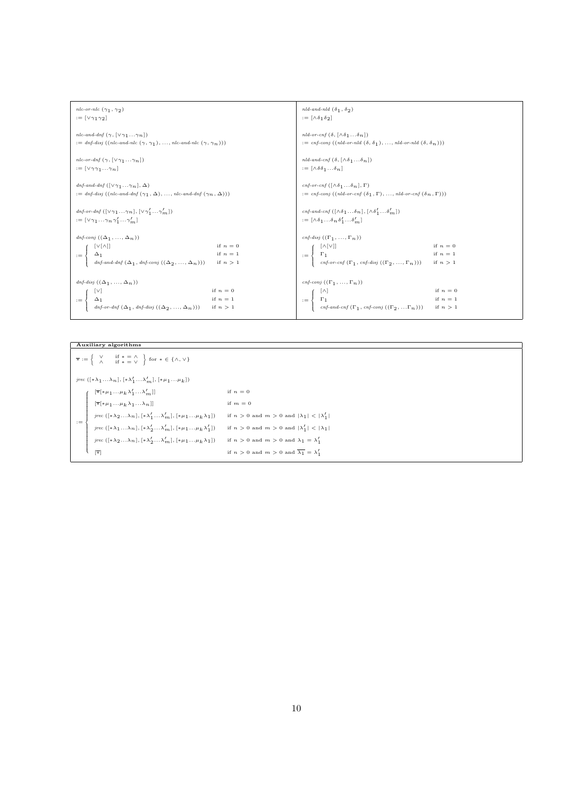| nlc-or-nlc $(\gamma_1, \gamma_2)$                                                                                                                                                                                                                                                                              | nld-and-nld $(\delta_1, \delta_2)$                                                                                                                                                                          |  |  |
|----------------------------------------------------------------------------------------------------------------------------------------------------------------------------------------------------------------------------------------------------------------------------------------------------------------|-------------------------------------------------------------------------------------------------------------------------------------------------------------------------------------------------------------|--|--|
| $:= [\vee \gamma_1 \gamma_2]$                                                                                                                                                                                                                                                                                  | $:= [\wedge \delta_1 \delta_2]$                                                                                                                                                                             |  |  |
| nlc-and-dnf $(\gamma, [\vee \gamma_1 \ldots \gamma_n])$                                                                                                                                                                                                                                                        | nld-or-cnf $(\delta, [\wedge \delta_1 \dots \delta_n])$                                                                                                                                                     |  |  |
| $:=$ dnf-disj ((nlc-and-nlc $(\gamma, \gamma_1), ,$ nlc-and-nlc $(\gamma, \gamma_n))$ )                                                                                                                                                                                                                        | $:= cnf\text{-}conj((nld\text{-}or\text{-}nld(\delta, \delta_1), , nld\text{-}or\text{-}nld(\delta, \delta_n)))$                                                                                            |  |  |
| nlc-or-dnf $(\gamma, [\vee \gamma_1 \ldots \gamma_n])$                                                                                                                                                                                                                                                         | nld-and-cnf $(\delta, [\wedge \delta_1 \dots \delta_n])$                                                                                                                                                    |  |  |
| $:= [\vee \gamma \gamma_1  \gamma_n]$                                                                                                                                                                                                                                                                          | $:= [\wedge \delta \delta_1 \dots \delta_n]$                                                                                                                                                                |  |  |
| dnf-and-dnf $(\lceil \vee \gamma_1 \ldots \gamma_n \rceil, \Delta)$                                                                                                                                                                                                                                            | cnf-or-cnf $(\lceil \wedge \delta_1 \ldots \delta_n \rceil, \Gamma)$                                                                                                                                        |  |  |
| $:=$ dnf-disj $((nlc\text{-}and\text{-}dnf(\gamma_1,\Delta),,nlc\text{-}and\text{-}dnf(\gamma_n,\Delta)))$                                                                                                                                                                                                     | $:=$ cnf-conj ((nld-or-cnf $(\delta_1, \Gamma), ,$ nld-or-cnf $(\delta_n, \Gamma))$ )                                                                                                                       |  |  |
| dnf-or-dnf $([\vee \gamma_1 \ldots \gamma_n], [\vee \gamma'_1 \ldots \gamma'_m])$<br>$:= [\vee \gamma_1  \gamma_n \gamma'_1  \gamma'_m]$                                                                                                                                                                       | $\begin{split} & \textit{cnf-and-cnf} \ (\ [\wedge \delta_1 \ldots \delta_n\ ], \ [\wedge \delta_1' \ldots \delta_m'] \ ) \\ & := [\wedge \delta_1 \ldots \delta_n \delta_1' \ldots \delta_m'] \end{split}$ |  |  |
| dnf-conj $((\Delta_1, , \Delta_n))$<br>if $n=0$<br>$\lceil v \rceil \wedge \rceil$<br>if $n=1$<br>$\begin{aligned} \Delta_1 &\qquad \qquad \text{if }n=1\\ &\textit{dnf-and-dnf}\left(\Delta_1,\textit{dnf-conj}\left(\left(\Delta_2,\ldots,\Delta_n\right)\right)\right) &\qquad \text{if }n>1 \end{aligned}$ | cnf-disj $((\Gamma_1, , \Gamma_n))$<br>$[\wedge[\vee]]$<br>if $n=0$<br>$:=\begin{cases} \Gamma_1 & \text{if } n=1 \\ \Gamma_1 & \text{if } n>1 \end{cases}$                                                 |  |  |
| dnf-disj $((\Delta_1, , \Delta_n))$<br>$[\vee]$<br>if $n=0$<br>if $n=1$<br>$\Delta_1$<br>$:=$<br>$\Delta_1$ it $n = 1$<br>dnf-or-dnf $(\Delta_1, dnf$ -disj $((\Delta_2, , \Delta_n)))$ if $n > 1$                                                                                                             | cnf-conj $((\Gamma_1, , \Gamma_n))$<br>if $n=0$<br>$[\wedge]$<br>$\Gamma_1$<br>$\Gamma_2$ it $n = 1$<br>$\text{cnf-and-cnf} (\Gamma_1, \text{cnf-conj} ((\Gamma_2,  \Gamma_n)))$ if $n > 1$<br>$:=$         |  |  |

Auxiliary algorithms  $\overline{*} := \left\{ \begin{array}{cc} \vee & \text{if } * = \wedge \\ \wedge & \text{if } * = \vee \end{array} \right\} \text{ for } * \in \{\wedge, \vee\}$ jrec  $([\ast \lambda_1 ... \lambda_n], [\ast \lambda_1' ... \lambda_m'], [\ast \mu_1 ... \mu_k])$  $\label{eq:3.1} [\overline{\ast}[\ast \mu_1 \ldots \mu_k \, \lambda_1' \ldots \lambda_m'] ] \qquad \qquad \text{if } n=0$  $\sqrt{2}$  $\overline{\phantom{a}}$  $\label{eq:3.1} [\overline{\ast }[\ast \mu _{1}...\mu _{k}\lambda _{1}...\lambda _{n}]] \hskip 1.0cm \mbox{if $m=0$}$  $\label{eq:spec} jrec\left( [\ast \lambda_2\dots \lambda_n], [\ast \lambda_1' \dots \lambda_m'], [\ast \mu_1\dots \mu_k \lambda_1]\right) \quad \ \ \text{if}\ n>0 \ \text{and} \ m>0 \ \text{and} \ |\lambda_1|<|\lambda_1'|\$ :=  $\label{eq:spec} jrec\,\left([\ast\lambda_1\ldots\lambda_n],[\ast\lambda_2'\ldots\lambda_m'],[\ast\mu_1\ldots\mu_k\lambda_1']\right) \quad\quad \text{if }n>0\,\,\text{and}\,\,m>0\,\,\text{and}\,\,|\lambda_1'|<|\lambda_1|$  $\begin{array}{c} \hline \end{array}$  $\text{if } n > 0 \text{ and } m > 0 \text{ and } \lambda_1 = \lambda_1'$ <br> $\text{if } n > 0 \text{ and } m > 0 \text{ and } \lambda_1 = \lambda_1'$  $\mathsf{l}$  $\text{if } n \, > \, 0 \, \text{ and } \, m \, > \, 0 \, \text{ and } \, \overline{\lambda_1} \, = \, \lambda_1'$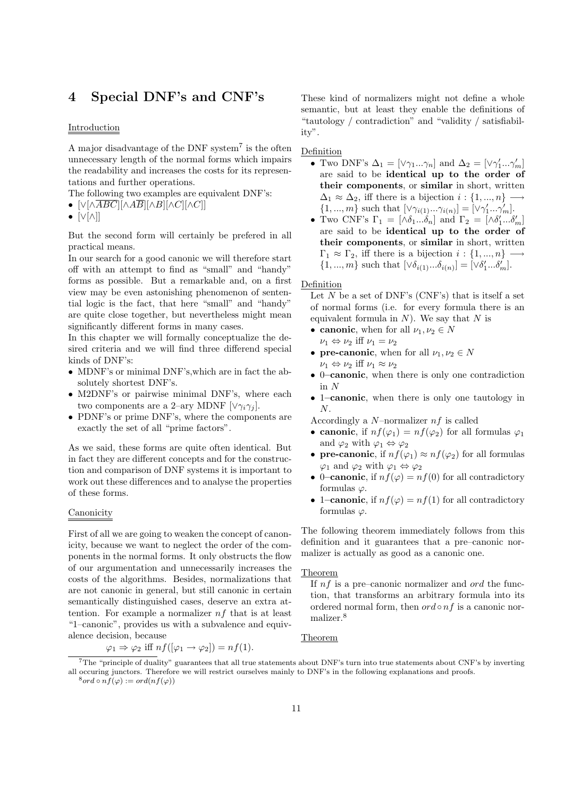## 4 Special DNF's and CNF's

## **Introduction**

A major disadvantage of the DNF system<sup>7</sup> is the often unnecessary length of the normal forms which impairs the readability and increases the costs for its representations and further operations.

The following two examples are equivalent DNF's:

- $[\vee[\wedge \overline{ABC}][\wedge A\overline{B}][\wedge B][\wedge C][\wedge C]]$
- [∨[∧]]

But the second form will certainly be prefered in all practical means.

In our search for a good canonic we will therefore start off with an attempt to find as "small" and "handy" forms as possible. But a remarkable and, on a first view may be even astonishing phenomenon of sentential logic is the fact, that here "small" and "handy" are quite close together, but nevertheless might mean significantly different forms in many cases.

In this chapter we will formally conceptualize the desired criteria and we will find three differend special kinds of DNF's:

- MDNF's or minimal DNF's,which are in fact the absolutely shortest DNF's.
- M2DNF's or pairwise minimal DNF's, where each two components are a 2–ary MDNF  $[\vee \gamma_i \gamma_j]$ .
- PDNF's or prime DNF's, where the components are exactly the set of all "prime factors".

As we said, these forms are quite often identical. But in fact they are different concepts and for the construction and comparison of DNF systems it is important to work out these differences and to analyse the properties of these forms.

## Canonicity

First of all we are going to weaken the concept of canonicity, because we want to neglect the order of the components in the normal forms. It only obstructs the flow of our argumentation and unnecessarily increases the costs of the algorithms. Besides, normalizations that are not canonic in general, but still canonic in certain semantically distinguished cases, deserve an extra attention. For example a normalizer  $nf$  that is at least "1–canonic", provides us with a subvalence and equivalence decision, because

$$
\varphi_1 \Rightarrow \varphi_2
$$
 iff  $nf([\varphi_1 \rightarrow \varphi_2]) = nf(1)$ .

These kind of normalizers might not define a whole semantic, but at least they enable the definitions of "tautology / contradiction" and "validity / satisfiability".

## Definition

- Two DNF's  $\Delta_1 = [\vee \gamma_1 ... \gamma_n]$  and  $\Delta_2 = [\vee \gamma'_1 ... \gamma'_m]$ are said to be identical up to the order of their components, or similar in short, written  $\Delta_1 \approx \Delta_2$ , iff there is a bijection  $i: \{1, ..., n\} \longrightarrow$  $\{1, ..., m\}$  such that  $[\vee \gamma_{i(1)} ... \gamma_{i(n)}] = [\vee \gamma'_1 ... \gamma'_m].$
- Two CNF's  $\Gamma_1 = [\Delta \delta_1 ... \delta_n]$  and  $\Gamma_2 = [\Delta \delta'_1 ... \delta'_m]$ are said to be identical up to the order of their components, or similar in short, written  $\Gamma_1 \approx \Gamma_2$ , iff there is a bijection  $i : \{1, ..., n\}$  –  $\{1, ..., m\}$  such that  $[\vee \delta_{i(1)}...\delta_{i(n)}] = [\vee \delta'_{1}...\delta'_{m}].$

## Definition

Let  $N$  be a set of DNF's (CNF's) that is itself a set of normal forms (i.e. for every formula there is an equivalent formula in  $N$ ). We say that  $N$  is

- canonic, when for all  $\nu_1, \nu_2 \in N$
- $\nu_1 \Leftrightarrow \nu_2$  iff  $\nu_1 = \nu_2$ • pre-canonic, when for all  $\nu_1, \nu_2 \in N$ 
	- $\nu_1 \Leftrightarrow \nu_2$  iff  $\nu_1 \approx \nu_2$
- 0–canonic, when there is only one contradiction in N
- 1–canonic, when there is only one tautology in N.

Accordingly a  $N$ -normalizer  $nf$  is called

- canonic, if  $nf(\varphi_1) = nf(\varphi_2)$  for all formulas  $\varphi_1$ and  $\varphi_2$  with  $\varphi_1 \Leftrightarrow \varphi_2$
- pre-canonic, if  $nf(\varphi_1) \approx nf(\varphi_2)$  for all formulas  $\varphi_1$  and  $\varphi_2$  with  $\varphi_1 \Leftrightarrow \varphi_2$
- 0-canonic, if  $nf(\varphi) = nf(0)$  for all contradictory formulas  $\varphi$ .
- 1–canonic, if  $nf(\varphi) = nf(1)$  for all contradictory formulas  $\varphi$ .

The following theorem immediately follows from this definition and it guarantees that a pre–canonic normalizer is actually as good as a canonic one.

## Theorem

If  $nf$  is a pre–canonic normalizer and *ord* the function, that transforms an arbitrary formula into its ordered normal form, then  $\operatorname{ord} \circ nf$  is a canonic normalizer.<sup>8</sup>

## Theorem

<sup>7</sup>The "principle of duality" guarantees that all true statements about DNF's turn into true statements about CNF's by inverting all occuring junctors. Therefore we will restrict ourselves mainly to DNF's in the following explanations and proofs.  $^8ord \circ nf(\varphi) := ord(n f(\varphi))$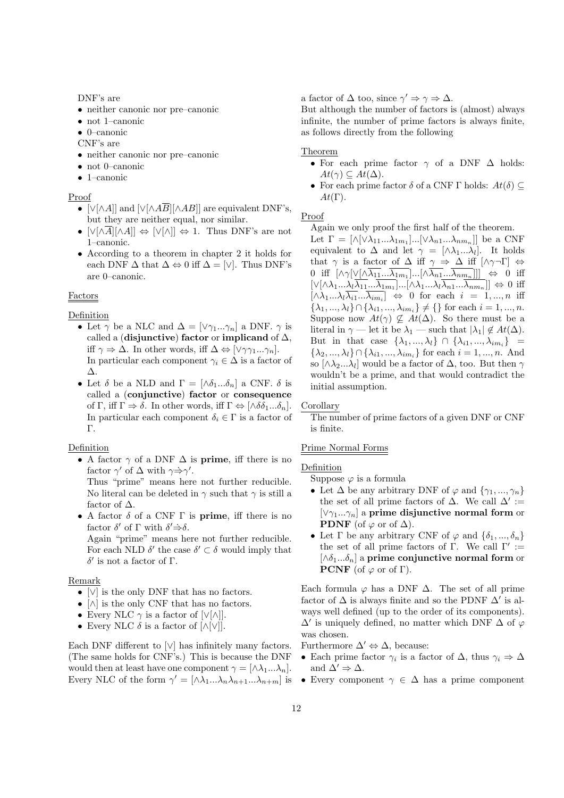DNF's are

- neither canonic nor pre–canonic
- not 1–canonic

• 0–canonic

CNF's are

- neither canonic nor pre–canonic
- not 0–canonic
- 1–canonic

Proof

- [∨[∧A]] and [∨[∧ $\widehat{AB}$ ][∧ $AB$ ]] are equivalent DNF's, but they are neither equal, nor similar.
- $[\vee[\wedge \overline{A}][\wedge A]] \Leftrightarrow [\vee[\wedge]] \Leftrightarrow 1$ . Thus DNF's are not 1–canonic.
- According to a theorem in chapter 2 it holds for each DNF  $\Delta$  that  $\Delta \Leftrightarrow 0$  iff  $\Delta = [\vee]$ . Thus DNF's are 0–canonic.

## Factors

Definition

- Let  $\gamma$  be a NLC and  $\Delta = [\vee \gamma_1...\gamma_n]$  a DNF.  $\gamma$  is called a (disjunctive) factor or implicand of  $\Delta$ , iff  $\gamma \Rightarrow \Delta$ . In other words, iff  $\Delta \Leftrightarrow [\vee \gamma \gamma_1 ... \gamma_n].$ In particular each component  $\gamma_i \in \Delta$  is a factor of ∆.
- Let  $\delta$  be a NLD and  $\Gamma = [\wedge \delta_1...\delta_n]$  a CNF.  $\delta$  is called a (conjunctive) factor or consequence of  $\Gamma$ , iff  $\Gamma \Rightarrow \delta$ . In other words, iff  $\Gamma \Leftrightarrow [\wedge \delta \delta_1 ... \delta_n]$ . In particular each component  $\delta_i \in \Gamma$  is a factor of Γ.

## Definition

• A factor  $\gamma$  of a DNF  $\Delta$  is prime, iff there is no factor  $\gamma'$  of  $\Delta$  with  $\gamma \Rightarrow \gamma'$ .

Thus "prime" means here not further reducible. No literal can be deleted in  $\gamma$  such that  $\gamma$  is still a factor of  $\Delta$ .

• A factor  $\delta$  of a CNF  $\Gamma$  is **prime**, iff there is no factor  $\delta'$  of  $\Gamma$  with  $\delta' \dot{\Rightarrow} \delta$ .

Again "prime" means here not further reducible. For each NLD  $\delta'$  the case  $\delta' \subset \delta$  would imply that δ 0 is not a factor of Γ.

## Remark

- [∨] is the only DNF that has no factors.
- [∧] is the only CNF that has no factors.
- Every NLC  $\gamma$  is a factor of  $[\vee[\wedge]].$
- Every NLC  $\delta$  is a factor of  $\lceil \wedge |\vee| \rceil$ .

Each DNF different to  $\lfloor \vee \rfloor$  has infinitely many factors. (The same holds for CNF's.) This is because the DNF would then at least have one component  $\gamma = [\wedge \lambda_1 ... \lambda_n].$ Every NLC of the form  $\gamma' = [\wedge \lambda_1 ... \lambda_n \lambda_{n+1} ... \lambda_{n+m}]$  is

a factor of  $\Delta$  too, since  $\gamma' \Rightarrow \gamma \Rightarrow \Delta$ .

But although the number of factors is (almost) always infinite, the number of prime factors is always finite, as follows directly from the following

## Theorem

- For each prime factor  $\gamma$  of a DNF  $\Delta$  holds:  $At(\gamma) \subseteq At(\Delta).$
- For each prime factor  $\delta$  of a CNF  $\Gamma$  holds:  $At(\delta) \subseteq$  $At(\Gamma).$

## Proof

Again we only proof the first half of the theorem.

Let  $\Gamma = [\wedge [\vee \lambda_{11} ... \lambda_{1m_1}] ... [\vee \lambda_{n1} ... \lambda_{nm_n}]]$  be a CNF equivalent to  $\Delta$  and let  $\gamma = [\Delta \lambda_1 ... \lambda_l].$  It holds that  $\gamma$  is a factor of  $\Delta$  iff  $\gamma \Rightarrow \Delta$  iff  $[\wedge \gamma \neg \Gamma] \Leftrightarrow$ 0 iff  $[\wedge \gamma [\vee [\wedge \lambda_{11}...\lambda_{1m_1}]...[\wedge \lambda_{n1}...\lambda_{nm_n}]]] \Leftrightarrow$  0 iff  $[\vee[\wedge\lambda_1...\lambda_l\lambda_{11}...\lambda_{1m_1}]\dots[\wedge\lambda_1...\lambda_l\lambda_{n1}...\lambda_{nm_n}]] \Leftrightarrow 0$  iff  $[\wedge \lambda_1 ... \lambda_l \lambda_{i1} ... \lambda_{i m_i}] \Leftrightarrow 0$  for each  $i = 1, ..., n$  iff  $\{\lambda_1, ..., \lambda_l\} \cap \{\lambda_{i1}, ..., \lambda_{im_i}\} \neq \{\}\$ for each  $i = 1, ..., n$ . Suppose now  $At(\gamma) \nsubseteq At(\Delta)$ . So there must be a literal in  $\gamma$  — let it be  $\lambda_1$  — such that  $|\lambda_1| \notin At(\Delta)$ . But in that case  $\{\lambda_1, ..., \lambda_l\} \cap \{\lambda_{i1}, ..., \lambda_{im_i}\}$  =  $\{\lambda_2, ..., \lambda_l\} \cap \{\lambda_{i1}, ..., \lambda_{im_i}\}$  for each  $i = 1, ..., n$ . And so  $[\wedge \lambda_2...\lambda_l]$  would be a factor of  $\Delta$ , too. But then  $\gamma$ wouldn't be a prime, and that would contradict the initial assumption.

## Corollary

The number of prime factors of a given DNF or CNF is finite.

## Prime Normal Forms

## Definition

- Suppose  $\varphi$  is a formula
- Let  $\Delta$  be any arbitrary DNF of  $\varphi$  and  $\{\gamma_1, ..., \gamma_n\}$ the set of all prime factors of  $\Delta$ . We call  $\Delta' :=$  $[\vee \gamma_1...\gamma_n]$  a prime disjunctive normal form or **PDNF** (of  $\varphi$  or of  $\Delta$ ).
- Let  $\Gamma$  be any arbitrary CNF of  $\varphi$  and  $\{\delta_1, ..., \delta_n\}$ the set of all prime factors of  $\Gamma$ . We call  $\Gamma'$  :=  $[\wedge \delta_1...\delta_n]$  a prime conjunctive normal form or **PCNF** (of  $\varphi$  or of Γ).

Each formula  $\varphi$  has a DNF  $\Delta$ . The set of all prime factor of  $\Delta$  is always finite and so the PDNF  $\Delta'$  is always well defined (up to the order of its components).  $\Delta'$  is uniquely defined, no matter which DNF  $\Delta$  of  $\varphi$ was chosen.

Furthermore  $\Delta' \Leftrightarrow \Delta$ , because:

- Each prime factor  $\gamma_i$  is a factor of  $\Delta$ , thus  $\gamma_i \Rightarrow \Delta$ and  $\Delta' \Rightarrow \Delta$ .
- Every component  $\gamma \in \Delta$  has a prime component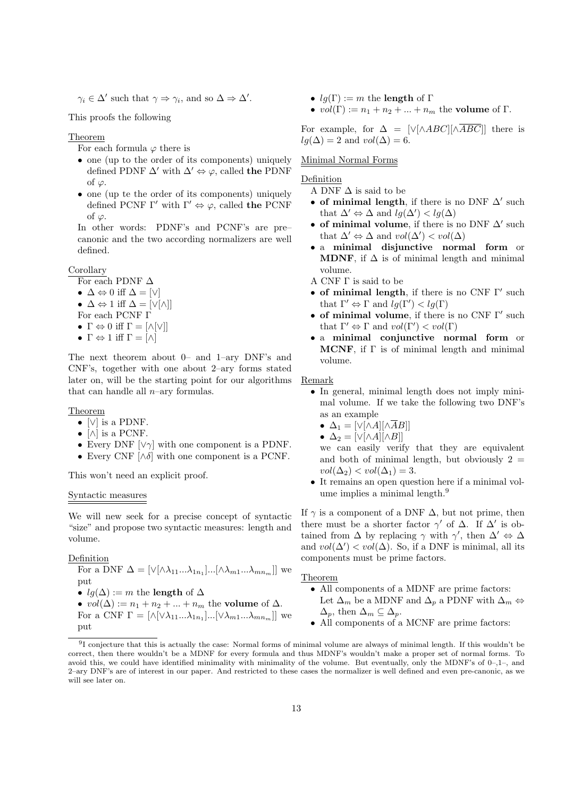$\gamma_i \in \Delta'$  such that  $\gamma \Rightarrow \gamma_i$ , and so  $\Delta \Rightarrow \Delta'$ .

This proofs the following

Theorem

- For each formula  $\varphi$  there is
- one (up to the order of its components) uniquely defined PDNF  $\Delta'$  with  $\Delta' \Leftrightarrow \varphi$ , called the PDNF of  $\varphi$ .
- one (up te the order of its components) uniquely defined PCNF Γ' with  $\Gamma' \Leftrightarrow \varphi$ , called the PCNF of  $\varphi$ .

In other words: PDNF's and PCNF's are pre– canonic and the two according normalizers are well defined.

## Corollary

- For each PDNF  $\Delta$ •  $\Delta \Leftrightarrow 0$  iff  $\Delta = [\vee]$ •  $\Delta \Leftrightarrow 1$  iff  $\Delta = [\vee[\wedge]]$ For each PCNF Γ
- $\Gamma \Leftrightarrow 0$  iff  $\Gamma = [\wedge[\vee]]$
- $\Gamma \Leftrightarrow 1$  iff  $\Gamma = [\wedge]$

The next theorem about 0– and 1–ary DNF's and CNF's, together with one about 2–ary forms stated later on, will be the starting point for our algorithms that can handle all  $n$ –ary formulas.

## Theorem

- $[\vee]$  is a PDNF.
- $[\wedge]$  is a PCNF.
- Every DNF  $[\vee \gamma]$  with one component is a PDNF.
- Every CNF  $[\wedge \delta]$  with one component is a PCNF.

This won't need an explicit proof.

## Syntactic measures

We will new seek for a precise concept of syntactic "size" and propose two syntactic measures: length and volume.

## Definition

put

For a DNF  $\Delta = [\vee[\wedge \lambda_{11}...\lambda_{1n}]...[\wedge \lambda_{m1}...\lambda_{mn}]]$  we put •  $lg(\Delta) := m$  the length of  $\Delta$ •  $vol(\Delta) := n_1 + n_2 + \dots + n_m$  the volume of  $\Delta$ . For a CNF  $\Gamma = [\wedge [\vee \lambda_{11} ... \lambda_{1n_1}] ... [\vee \lambda_{m1} ... \lambda_{mn_m}]]$  we

- $lg(\Gamma) := m$  the length of  $\Gamma$
- $vol(\Gamma) := n_1 + n_2 + ... + n_m$  the volume of  $\Gamma$ .

For example, for  $\Delta = |\sqrt{\triangle ABC}| |\overline{\triangle ABC}|$  there is  $lg(\Delta) = 2$  and  $vol(\Delta) = 6$ .

## Minimal Normal Forms

## **Definition**

A DNF  $\Delta$  is said to be

- of minimal length, if there is no DNF  $\Delta'$  such that  $\Delta' \Leftrightarrow \Delta$  and  $lg(\Delta') < lg(\Delta)$
- of minimal volume, if there is no DNF  $\Delta'$  such that  $\Delta' \Leftrightarrow \Delta$  and  $vol(\Delta') < vol(\Delta)$
- a minimal disjunctive normal form or **MDNF**, if  $\Delta$  is of minimal length and minimal volume.

A CNF Γ is said to be

- of minimal length, if there is no CNF  $\Gamma'$  such that  $\Gamma' \Leftrightarrow \Gamma$  and  $lg(\Gamma') < lg(\Gamma)$
- of minimal volume, if there is no CNF  $\Gamma'$  such that  $\Gamma' \Leftrightarrow \Gamma$  and  $vol(\Gamma') < vol(\Gamma)$
- a minimal conjunctive normal form or MCNF, if  $\Gamma$  is of minimal length and minimal volume.

Remark

• In general, minimal length does not imply minimal volume. If we take the following two DNF's as an example

$$
\bullet \ \Delta_1 = [\vee[\wedge A][\wedge \overline{A}B]]
$$

$$
\bullet \ \Delta_2 = [\vee[\wedge A][\wedge B]]
$$

we can easily verify that they are equivalent and both of minimal length, but obviously  $2 =$  $vol(\Delta_2) < vol(\Delta_1) = 3.$ 

• It remains an open question here if a minimal volume implies a minimal length.<sup>9</sup>

If  $\gamma$  is a component of a DNF  $\Delta$ , but not prime, then there must be a shorter factor  $\gamma'$  of  $\Delta$ . If  $\Delta'$  is obtained from  $\Delta$  by replacing  $\gamma$  with  $\gamma'$ , then  $\Delta' \Leftrightarrow \Delta$ and  $vol(\Delta') < vol(\Delta)$ . So, if a DNF is minimal, all its components must be prime factors.

Theorem

- All components of a MDNF are prime factors: Let  $\Delta_m$  be a MDNF and  $\Delta_p$  a PDNF with  $\Delta_m \Leftrightarrow$  $\Delta_p$ , then  $\Delta_m \subseteq \Delta_p$ .
- All components of a MCNF are prime factors:

 $91$  conjecture that this is actually the case: Normal forms of minimal volume are always of minimal length. If this wouldn't be correct, then there wouldn't be a MDNF for every formula and thus MDNF's wouldn't make a proper set of normal forms. To avoid this, we could have identified minimality with minimality of the volume. But eventually, only the MDNF's of 0–,1–, and 2–ary DNF's are of interest in our paper. And restricted to these cases the normalizer is well defined and even pre-canonic, as we will see later on.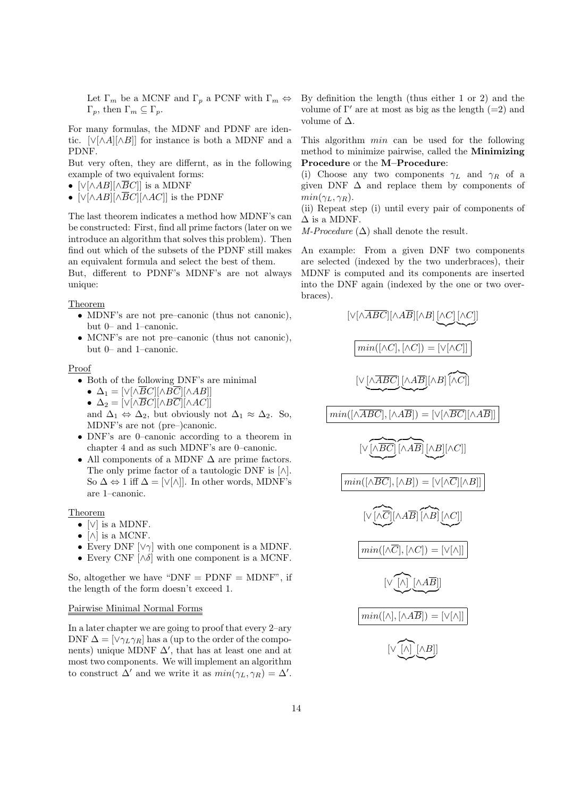Let  $\Gamma_m$  be a MCNF and  $\Gamma_p$  a PCNF with  $\Gamma_m \Leftrightarrow$ Γ<sub>p</sub>, then Γ<sub>m</sub>  $\subseteq$  Γ<sub>p</sub>.

For many formulas, the MDNF and PDNF are identic.  $[\vee[\wedge A][\wedge B]]$  for instance is both a MDNF and a PDNF.

But very often, they are differnt, as in the following example of two equivalent forms:

- $[\vee[\wedge AB][\wedge\overline BC]]$  is a MDNF
- [∨[∧ $AB$ ][∧ $\overline{BC}$ ][∧ $AC$ ]] is the PDNF

The last theorem indicates a method how MDNF's can be constructed: First, find all prime factors (later on we introduce an algorithm that solves this problem). Then find out which of the subsets of the PDNF still makes an equivalent formula and select the best of them.

But, different to PDNF's MDNF's are not always unique:

Theorem

- MDNF's are not pre–canonic (thus not canonic), but 0– and 1–canonic.
- MCNF's are not pre–canonic (thus not canonic), but 0– and 1–canonic.

Proof

- Both of the following DNF's are minimal
	- $\Delta_1 = [\sqrt{|\wedge BC|}|\wedge B\overline{C}] |\wedge AB|]$

• 
$$
\Delta_2 = [\vee[\wedge \overline{BC}][\wedge B\overline{C}][\wedge AC]]
$$

- and  $\Delta_1 \Leftrightarrow \Delta_2$ , but obviously not  $\Delta_1 \approx \Delta_2$ . So, MDNF's are not (pre–)canonic.
- DNF's are 0–canonic according to a theorem in chapter 4 and as such MDNF's are 0–canonic.
- All components of a MDNF  $\Delta$  are prime factors. The only prime factor of a tautologic DNF is  $[\wedge]$ . So  $\Delta \Leftrightarrow 1$  iff  $\Delta = [\vee[\wedge]]$ . In other words, MDNF's are 1–canonic.

## Theorem

- [∨] is a MDNF.
- $[\wedge]$  is a MCNF.
- Every DNF  $[\vee \gamma]$  with one component is a MDNF.
- Every CNF  $[\wedge \delta]$  with one component is a MCNF.

So, altogether we have " $DNF = PDNF = MDNF$ ", if the length of the form doesn't exceed 1.

## Pairwise Minimal Normal Forms

In a later chapter we are going to proof that every 2–ary DNF  $\Delta = [\vee \gamma_L \gamma_R]$  has a (up to the order of the components) unique MDNF  $\Delta'$ , that has at least one and at most two components. We will implement an algorithm to construct  $\Delta'$  and we write it as  $min(\gamma_L, \gamma_R) = \Delta'$ .

By definition the length (thus either 1 or 2) and the volume of  $\Gamma'$  are at most as big as the length (=2) and volume of  $\Delta$ .

This algorithm min can be used for the following method to minimize pairwise, called the Minimizing Procedure or the M–Procedure:

(i) Choose any two components  $\gamma_L$  and  $\gamma_R$  of a given DNF  $\Delta$  and replace them by components of  $min(\gamma_L, \gamma_R)$ .

(ii) Repeat step (i) until every pair of components of  $\Delta$  is a MDNF.

M-Procedure  $(\Delta)$  shall denote the result.

An example: From a given DNF two components are selected (indexed by the two underbraces), their MDNF is computed and its components are inserted into the DNF again (indexed by the one or two overbraces).

[∨[∧ABC][∧AB][∧B] [∧C] [∧C] ] |{z} |{z} min([∧C], [∧C]) = [∨[∧C]] [∨[∧ABC] | {z } [∧AB] | {z } [∧B] z}|{ [∧C]] min([∧ABC], [∧AB]) = [∨[∧BC][∧AB]] [∨ z }| { [∧BC] | {z } z }| { [∧AB] [∧B] | {z } [∧C]] min([∧BC], [∧B]) = [∨[∧C][∧B]] [∨ z}|{ [∧C] |{z} [∧AB] z }| { [∧B] [∧C] |{z} ] min([∧C], [∧C]) = [∨[∧]] [∨ z}|{ [∧] |{z} [∧AB] | {z } ] min([∧], [∧AB]) = [∨[∧]] [∨ z}|{ [∧] |{z} [∧B] | {z } ]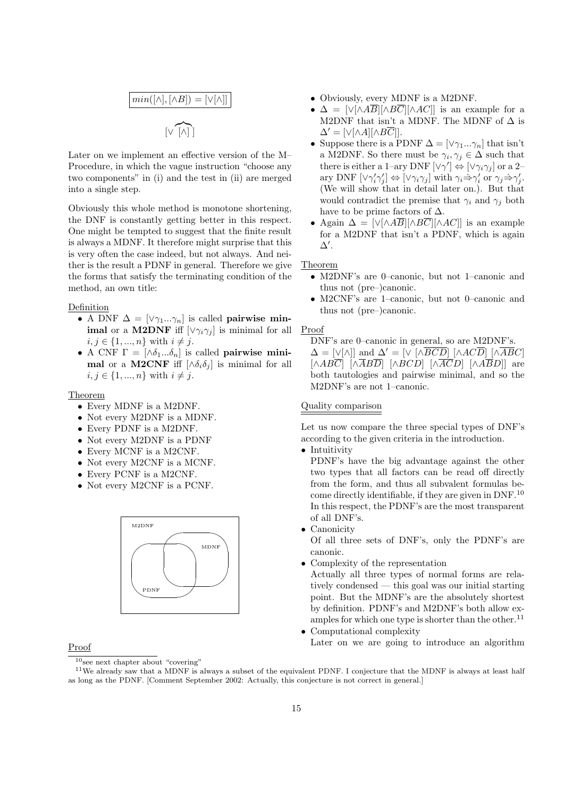$$
min([\wedge], [\wedge B]) = [\vee[\wedge]]
$$
  

$$
[\vee \widehat{[\wedge]}]
$$

Later on we implement an effective version of the M– Procedure, in which the vague instruction "choose any two components" in (i) and the test in (ii) are merged into a single step.

Obviously this whole method is monotone shortening, the DNF is constantly getting better in this respect. One might be tempted to suggest that the finite result is always a MDNF. It therefore might surprise that this is very often the case indeed, but not always. And neither is the result a PDNF in general. Therefore we give the forms that satisfy the terminating condition of the method, an own title:

## Definition

- A DNF  $\Delta = [\vee \gamma_1...\gamma_n]$  is called **pairwise minimal** or a **M2DNF** iff  $[\vee \gamma_i \gamma_j]$  is minimal for all  $i, j \in \{1, ..., n\}$  with  $i \neq j$ .
- A CNF  $\Gamma = [\Delta \delta_1 ... \delta_n]$  is called pairwise minimal or a M2CNF iff  $[\wedge \delta_i \delta_j]$  is minimal for all  $i, j \in \{1, ..., n\}$  with  $i \neq j$ .

## Theorem

- Every MDNF is a M2DNF.
- Not every M2DNF is a MDNF.
- Every PDNF is a M2DNF.
- Not every M2DNF is a PDNF
- Every MCNF is a M2CNF.
- Not every M2CNF is a MCNF.
- Every PCNF is a M2CNF.
- Not every M2CNF is a PCNF.



## Proof

- Obviously, every MDNF is a M2DNF.
- $\Delta = \left[\sqrt{\left|\langle AB\right|}\right] \left[\sqrt{AC}\right]$  is an example for a M2DNF that isn't a MDNF. The MDNF of  $\Delta$  is  $\Delta' = [\vee[\wedge A][\wedge B\overline{C}]].$
- Suppose there is a PDNF  $\Delta = [\vee \gamma_1...\gamma_n]$  that isn't a M2DNF. So there must be  $\gamma_i, \gamma_j \in \Delta$  such that there is either a 1–ary DNF  $[\vee \gamma'] \Leftrightarrow [\vee \gamma_i \gamma_j]$  or a 2– ary DNF  $[\vee \gamma_i' \gamma_j'] \Leftrightarrow [\vee \gamma_i \gamma_j]$  with  $\gamma_i \Rightarrow \gamma_i'$  or  $\gamma_j \Rightarrow \gamma_j'$ . (We will show that in detail later on.). But that would contradict the premise that  $\gamma_i$  and  $\gamma_j$  both have to be prime factors of  $\Delta$ .
- Again  $\Delta = [\sqrt{\Delta A} \overline{B}] [\Delta B \overline{C}] [\Delta AC]]$  is an example for a M2DNF that isn't a PDNF, which is again  $\Delta'$ .

## Theorem

- M2DNF's are 0–canonic, but not 1–canonic and thus not (pre–)canonic.
- M2CNF's are 1–canonic, but not 0–canonic and thus not (pre–)canonic.

## Proof

DNF's are 0–canonic in general, so are M2DNF's.

 $\Delta = [\vee[\wedge]]$  and  $\Delta' = [\vee] [\wedge \overline{BCD}]$   $[\wedge AC\overline{D}] [\wedge \overline{ABC}]$  $[\wedge AB\overline{C}]$   $[\wedge \overline{AB}\overline{D}]$   $[\wedge BCD]$   $[\wedge \overline{AC}D]$   $[\wedge A\overline{B}D]$  are both tautologies and pairwise minimal, and so the M2DNF's are not 1–canonic.

## Quality comparison

Let us now compare the three special types of DNF's according to the given criteria in the introduction.

• Intuitivity

PDNF's have the big advantage against the other two types that all factors can be read off directly from the form, and thus all subvalent formulas become directly identifiable, if they are given in DNF.<sup>10</sup> In this respect, the PDNF's are the most transparent of all DNF's.

• Canonicity

Of all three sets of DNF's, only the PDNF's are canonic.

• Complexity of the representation

Actually all three types of normal forms are relatively condensed — this goal was our initial starting point. But the MDNF's are the absolutely shortest by definition. PDNF's and M2DNF's both allow examples for which one type is shorter than the other.<sup>11</sup> • Computational complexity

Later on we are going to introduce an algorithm

 $10$ see next chapter about "covering"

<sup>&</sup>lt;sup>11</sup>We already saw that a MDNF is always a subset of the equivalent PDNF. I conjecture that the MDNF is always at least half as long as the PDNF. [Comment September 2002: Actually, this conjecture is not correct in general.]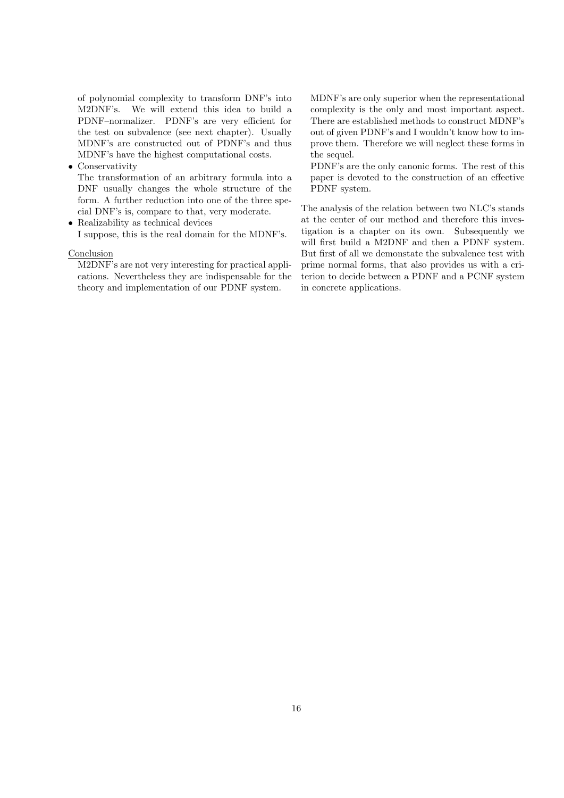of polynomial complexity to transform DNF's into M2DNF's. We will extend this idea to build a PDNF–normalizer. PDNF's are very efficient for the test on subvalence (see next chapter). Usually MDNF's are constructed out of PDNF's and thus MDNF's have the highest computational costs.

• Conservativity

The transformation of an arbitrary formula into a DNF usually changes the whole structure of the form. A further reduction into one of the three special DNF's is, compare to that, very moderate.

• Realizability as technical devices I suppose, this is the real domain for the MDNF's.

## Conclusion

M2DNF's are not very interesting for practical applications. Nevertheless they are indispensable for the theory and implementation of our PDNF system.

MDNF's are only superior when the representational complexity is the only and most important aspect. There are established methods to construct MDNF's out of given PDNF's and I wouldn't know how to improve them. Therefore we will neglect these forms in the sequel.

PDNF's are the only canonic forms. The rest of this paper is devoted to the construction of an effective PDNF system.

The analysis of the relation between two NLC's stands at the center of our method and therefore this investigation is a chapter on its own. Subsequently we will first build a M2DNF and then a PDNF system. But first of all we demonstate the subvalence test with prime normal forms, that also provides us with a criterion to decide between a PDNF and a PCNF system in concrete applications.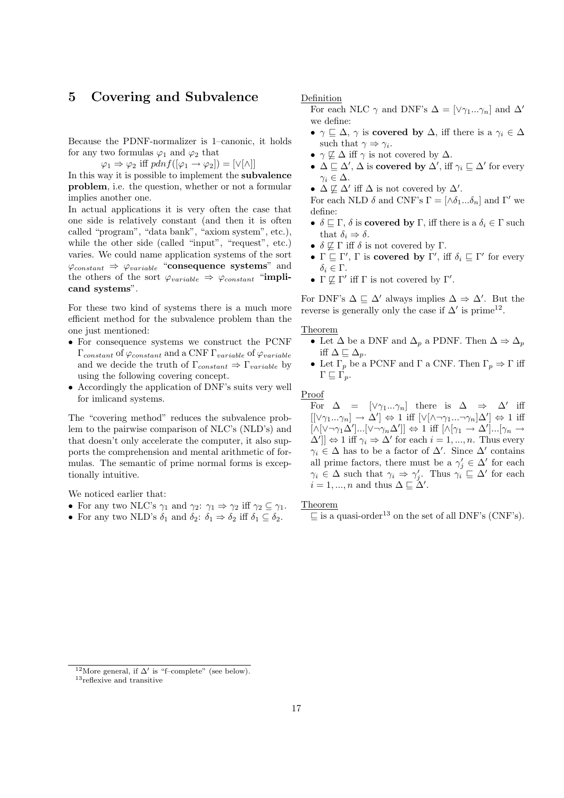## 5 Covering and Subvalence

Because the PDNF-normalizer is 1–canonic, it holds for any two formulas  $\varphi_1$  and  $\varphi_2$  that

 $\varphi_1 \Rightarrow \varphi_2$  iff  $pdnf([\varphi_1 \rightarrow \varphi_2]) = [\vee[\wedge]]$ 

In this way it is possible to implement the subvalence problem, i.e. the question, whether or not a formular implies another one.

In actual applications it is very often the case that one side is relatively constant (and then it is often called "program", "data bank", "axiom system", etc.), while the other side (called "input", "request", etc.) varies. We could name application systems of the sort  $\varphi_{constant} \Rightarrow \varphi_{variable}$  "consequence systems" and the others of the sort  $\varphi_{variable} \Rightarrow \varphi_{constant}$  "implicand systems".

For these two kind of systems there is a much more efficient method for the subvalence problem than the one just mentioned:

- For consequence systems we construct the PCNF  $\Gamma_{constant}$  of  $\varphi_{constant}$  and a CNF  $\Gamma_{variable}$  of  $\varphi_{variable}$ and we decide the truth of  $\Gamma_{constant} \Rightarrow \Gamma_{variable}$  by using the following covering concept.
- Accordingly the application of DNF's suits very well for imlicand systems.

The "covering method" reduces the subvalence problem to the pairwise comparison of NLC's (NLD's) and that doesn't only accelerate the computer, it also supports the comprehension and mental arithmetic of formulas. The semantic of prime normal forms is exceptionally intuitive.

We noticed earlier that:

- For any two NLC's  $\gamma_1$  and  $\gamma_2$ :  $\gamma_1 \Rightarrow \gamma_2$  iff  $\gamma_2 \subseteq \gamma_1$ .
- For any two NLD's  $\delta_1$  and  $\delta_2$ :  $\delta_1 \Rightarrow \delta_2$  iff  $\delta_1 \subseteq \delta_2$ .

Definition

For each NLC  $\gamma$  and DNF's  $\Delta = [\vee \gamma_1...\gamma_n]$  and  $\Delta'$ we define:

- $\gamma \sqsubset \Delta$ ,  $\gamma$  is covered by  $\Delta$ , iff there is a  $\gamma_i \in \Delta$ such that  $\gamma \Rightarrow \gamma_i$ .
- $\gamma \not\sqsubseteq \Delta$  iff  $\gamma$  is not covered by  $\Delta$ .
- $\Delta \sqsubseteq \Delta'$ ,  $\Delta$  is **covered by**  $\Delta'$ , iff  $\gamma_i \sqsubseteq \Delta'$  for every  $\gamma_i \in \Delta$ .
- $\Delta \not\sqsubseteq \Delta'$  iff  $\Delta$  is not covered by  $\Delta'$ .

For each NLD  $\delta$  and CNF's  $\Gamma = [\wedge \delta_1 ... \delta_n]$  and  $\Gamma'$  we define:

- $\delta \subseteq \Gamma$ ,  $\delta$  is **covered by**  $\Gamma$ , iff there is a  $\delta_i \in \Gamma$  such that  $\delta_i \Rightarrow \delta$ .
- $\delta \not\sqsubseteq \Gamma$  iff  $\delta$  is not covered by  $\Gamma$ .
- $\Gamma \subseteq \Gamma'$ ,  $\Gamma$  is **covered by**  $\Gamma'$ , iff  $\delta_i \subseteq \Gamma'$  for every δ<sup>i</sup> ∈ Γ.
- $\Gamma \not\sqsubseteq \Gamma'$  iff  $\Gamma$  is not covered by  $\Gamma'.$

For DNF's  $\Delta \subseteq \Delta'$  always implies  $\Delta \Rightarrow \Delta'$ . But the reverse is generally only the case if  $\Delta'$  is prime<sup>12</sup>.

Theorem

- Let  $\Delta$  be a DNF and  $\Delta_p$  a PDNF. Then  $\Delta \Rightarrow \Delta_p$ iff  $\Delta \sqsubseteq \Delta_p$ .
- Let  $\Gamma_p$  be a PCNF and  $\Gamma$  a CNF. Then  $\Gamma_p \Rightarrow \Gamma$  iff  $\Gamma \sqsubseteq \Gamma_p$ .

Proof

For  $\Delta = [\vee \gamma_1...\gamma_n]$  there is  $\Delta \Rightarrow \Delta'$  iff  $[[\vee \gamma_1...\gamma_n] \to \Delta'] \Leftrightarrow 1$  iff  $[\vee [\wedge \neg \gamma_1...\neg \gamma_n]\Delta'] \Leftrightarrow 1$  iff  $[\wedge[\vee \neg \gamma_1 \Delta']...[\vee \neg \gamma_n \Delta']] \Leftrightarrow 1$  iff  $[\wedge[\gamma_1 \rightarrow \Delta']...[\gamma_n \rightarrow$  $\Delta'$ ]  $\Leftrightarrow$  1 iff  $\gamma_i \Rightarrow \Delta'$  for each  $i = 1, ..., n$ . Thus every  $\gamma_i \in \Delta$  has to be a factor of  $\Delta'$ . Since  $\Delta'$  contains all prime factors, there must be a  $\gamma'_j \in \Delta'$  for each  $\gamma_i \in \Delta$  such that  $\gamma_i \Rightarrow \gamma'_j$ . Thus  $\gamma_i \subseteq \Delta'$  for each  $i = 1, ..., n$  and thus  $\Delta \sqsubseteq \Delta'$ .

Theorem

 $\Box$  is a quasi-order<sup>13</sup> on the set of all DNF's (CNF's).

<sup>&</sup>lt;sup>12</sup>More general, if  $\Delta'$  is "f–complete" (see below).

<sup>&</sup>lt;sup>13</sup>reflexive and transitive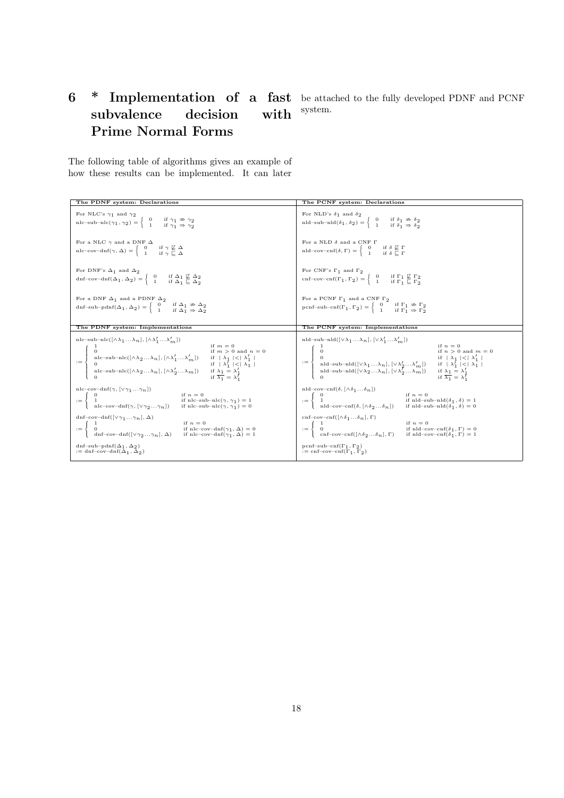# 6 \* Implementation of a fast be attached to the fully developed PDNF and PCNF subvalence decision with Prime Normal Forms

system.

The following table of algorithms gives an example of how these results can be implemented. It can later

| The PDNF system: Declarations                                                                                                                                                                                                                                                                                                                                                                                                                               | The PCNF system: Declarations                                                                                                                                                                                                                                                                                                                                                                                                                                                                                                                                               |
|-------------------------------------------------------------------------------------------------------------------------------------------------------------------------------------------------------------------------------------------------------------------------------------------------------------------------------------------------------------------------------------------------------------------------------------------------------------|-----------------------------------------------------------------------------------------------------------------------------------------------------------------------------------------------------------------------------------------------------------------------------------------------------------------------------------------------------------------------------------------------------------------------------------------------------------------------------------------------------------------------------------------------------------------------------|
| For NLC's $\gamma_1$ and $\gamma_2$                                                                                                                                                                                                                                                                                                                                                                                                                         | For NLD's $\delta_1$ and $\delta_2$                                                                                                                                                                                                                                                                                                                                                                                                                                                                                                                                         |
| nlc-sub-nlc( $\gamma_1$ , $\gamma_2$ ) = $\begin{cases} 0 & \text{if } \gamma_1 \neq \gamma_2 \\ 1 & \text{if } \gamma_1 \Rightarrow \gamma_2 \end{cases}$                                                                                                                                                                                                                                                                                                  | nld-sub-nld $(\delta_1, \delta_2) = \begin{cases} 0 & \text{if } \delta_1 \neq \delta_2 \\ 1 & \text{if } \delta_1 \Rightarrow \delta_2 \end{cases}$                                                                                                                                                                                                                                                                                                                                                                                                                        |
| For a NLC $\gamma$ and a DNF $\Delta$                                                                                                                                                                                                                                                                                                                                                                                                                       | For a NLD $\delta$ and a CNF $\Gamma$                                                                                                                                                                                                                                                                                                                                                                                                                                                                                                                                       |
| $\text{nlc-cov-dnf}(\gamma, \Delta) = \begin{cases} 0 & \text{if } \gamma \not\sqsubseteq \Delta \\ 1 & \text{if } \gamma \subseteq \Delta \end{cases}$                                                                                                                                                                                                                                                                                                     | $\mathrm{nd}\text{-cov}\text{-}\mathrm{cnf}(\delta,\Gamma)=\left\{\begin{array}{cc} 0 & \text{if } \delta \not\sqsubseteq \Gamma \\ 1 & \text{if } \delta \sqsubseteq \Gamma \end{array}\right.$                                                                                                                                                                                                                                                                                                                                                                            |
| For DNF's $\Delta_1$ and $\Delta_2$<br>$\text{dnf-cov-dnf}(\Delta_1, \Delta_2) = \begin{cases} 0 & \text{if } \Delta_1 \not\sqsubseteq \Delta_2 \\ 1 & \text{if } \Delta_1 \sqsubseteq \Delta_2 \end{cases}$                                                                                                                                                                                                                                                | For CNF's $\Gamma_1$ and $\Gamma_2$<br>cnf-cov-cnf( $\Gamma_1, \Gamma_2$ ) = $\begin{cases} 0 & \text{if } \Gamma_1 \not\sqsubseteq \Gamma_2 \\ 1 & \text{if } \Gamma_1 \sqsubseteq \Gamma_2 \end{cases}$                                                                                                                                                                                                                                                                                                                                                                   |
| For a DNF $\Delta_1$ and a PDNF $\Delta_2$                                                                                                                                                                                                                                                                                                                                                                                                                  | For a PCNF $\Gamma_1$ and a CNF $\Gamma_2$                                                                                                                                                                                                                                                                                                                                                                                                                                                                                                                                  |
| dnf-sub-pdnf( $\Delta_1$ , $\Delta_2$ ) = $\begin{cases} 0 & \text{if } \Delta_1 \neq \Delta_2 \\ 1 & \text{if } \Delta_1 \Rightarrow \Delta_2 \end{cases}$                                                                                                                                                                                                                                                                                                 | pcnf-sub-cnf( $\Gamma_1, \Gamma_2$ ) = $\begin{cases} 0 & \text{if } \Gamma_1 \nRightarrow \Gamma_2 \\ 1 & \text{if } \Gamma_1 \Rightarrow \Gamma_2 \end{cases}$                                                                                                                                                                                                                                                                                                                                                                                                            |
| The PDNF system: Implementations                                                                                                                                                                                                                                                                                                                                                                                                                            | The PCNF system: Implementations                                                                                                                                                                                                                                                                                                                                                                                                                                                                                                                                            |
|                                                                                                                                                                                                                                                                                                                                                                                                                                                             | nld-sub-nld $([\vee \lambda_1  \lambda_n], [\vee \lambda'_1  \lambda'_m])$<br>$\begin{aligned} &\text{min-sum}(\{\vee\wedge_1\wedge\cdots\wedge_{i\in I}\})\;\;\;\text{if}\;\;n=0\\ &\text{if}\;\;n>0\;\;\text{and}\;m\\ &\text{if}\;\;n>0\;\;\text{and}\;m\\ &\text{and--sub-nld}([\vee\lambda_1\ldots\lambda_n],[\vee\lambda_2'\ldots\lambda_m'])\;\;\;\text{if}\;\; \;\lambda_1 \leq \;\lambda_1\; \\ &\text{and--sub-nld}([\vee\lambda_2\ldots\lambda_n],[\vee\lambda_2'\ldots\lambda_m])\;\;\;\;\text{if}\;\;\lambda_1=\lambda_1'\\ &\text{$<br>if $n > 0$ and $m = 0$ |
| $\begin{array}{ll} \mathsf{nlc}\textup{-cov-dnf}(\gamma,[\vee\gamma_1\ldots\gamma_n])\qquad \qquad \mathrm{if}\ n=0\\ :=\left\{\begin{array}{ll} 0 & \mathrm{if}\ n\mathrm{lc}\textup{-sub-nlc}(\gamma,\gamma_1)=1\\ 1 & \mathrm{if}\ \mathrm{nlc}\textup{-sub-nlc}(\gamma,\gamma_1)=1\\ \mathrm{nlc}\textup{-cov-dnf}(\gamma,[\vee\gamma_2\ldots\gamma_n]) & \mathrm{if}\ \mathrm{nlc}\textup{-sub-nlc}(\gamma,\gamma_1)=0 \end{array}\right. \end{array}$ | nld-cov-cnf( $\delta$ , [ $\wedge \delta_1 \dots \delta_n$ ]<br>$\begin{aligned} \text{ind-cov-cm}(v, \text{ }&\text{for } v_1, \\ \text{ind} &\text{if } n = 0 \\ \text{ind-cov-cn}( \delta, \text{ } [\wedge \delta_2 \dots \delta_n]) \hspace{15pt} &\text{if } n \text{Id-sub-nld}( \delta_1, \delta ) = 1 \\ \text{ind-cov-cn}( \delta, \text{ } [\wedge \delta_2 \dots \delta_n]) \hspace{15pt} &\text{if } n \text{Id-sub-nld}( \delta_1, \delta ) = 0 \end{aligned}$                                                                                                |
| dnf-cov-dnf( $[\vee \gamma_1 \ldots \gamma_n], \Delta$ )                                                                                                                                                                                                                                                                                                                                                                                                    | cnf-cov-cnf( $[\wedge \delta_1 \dots \delta_n]$ , $\Gamma$ )                                                                                                                                                                                                                                                                                                                                                                                                                                                                                                                |
| $\begin{array}{lll} \mathrm{an} \text{-}\mathrm{cov}\text{-}\mathrm{an}_1(\text{v}\text{-}\eta_1\cdots\text{m}_1,\rightarrow) & & \text{if }n=0 \\ \text{1} & \text{if }n\text{--}\mathrm{cov}\text{-}\mathrm{dnf}(\gamma_1,\Delta)=0 \\ \text{d}\text{-}\mathrm{cov}\text{-}\mathrm{dnf}([\text{V}\gamma_2\ldots\gamma_n],\Delta) & & \text{if }n\text{--}\mathrm{cov}\text{-}\mathrm{dnf}(\gamma_1,\Delta)=1 \end{array}$                                 | $:= \left\{ \begin{array}{ll} 1 & \mbox{if $n=0$} \\ 0 & \mbox{if } n\!=\!0 \\ \mbox{onf-cov-cnf}([\wedge \delta_2 \dots \delta_n], \Gamma) & \mbox{if } n \mbox{ld-cov-cnf}(\delta_1, \Gamma) = 1 \\ \end{array} \right.$                                                                                                                                                                                                                                                                                                                                                  |
| dnf-sub-pdnf $(\Delta_1, \Delta_2)$                                                                                                                                                                                                                                                                                                                                                                                                                         | pcnf-sub-cnf( $\Gamma_1$ , $\Gamma_2$ )                                                                                                                                                                                                                                                                                                                                                                                                                                                                                                                                     |
| $:= \text{dnf-cov-dnf}(\Delta_1, \Delta_2)$                                                                                                                                                                                                                                                                                                                                                                                                                 | $:=$ cnf-cov-cnf( $\Gamma_1$ , $\Gamma_2$ )                                                                                                                                                                                                                                                                                                                                                                                                                                                                                                                                 |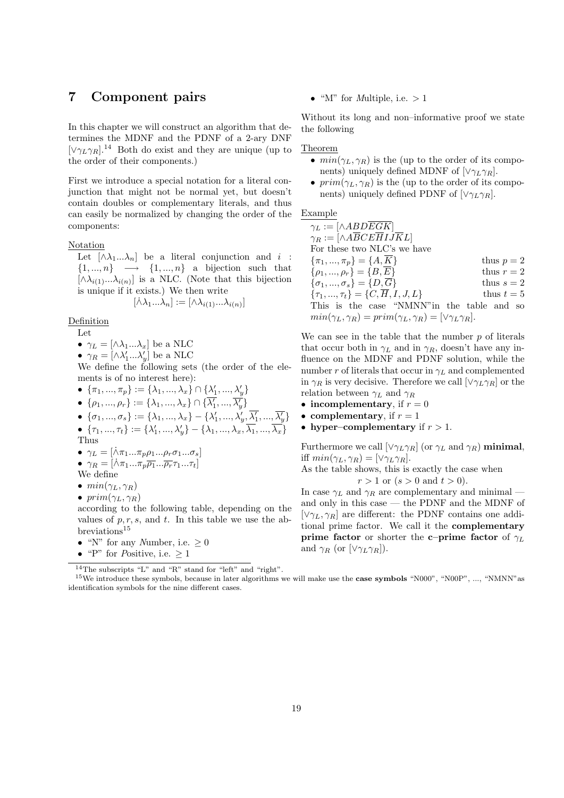## 7 Component pairs

In this chapter we will construct an algorithm that determines the MDNF and the PDNF of a 2-ary DNF  $[\vee \gamma_L \gamma_R]$ <sup>14</sup> Both do exist and they are unique (up to the order of their components.)

First we introduce a special notation for a literal conjunction that might not be normal yet, but doesn't contain doubles or complementary literals, and thus can easily be normalized by changing the order of the components:

Notation

Let  $[\wedge \lambda_1...\lambda_n]$  be a literal conjunction and *i* :  $\{1, ..., n\}$   $\longrightarrow$   $\{1, ..., n\}$  a bijection such that  $[\wedge \lambda_{i(1)}...\lambda_{i(n)}]$  is a NLC. (Note that this bijection is unique if it exists.) We then write

$$
[\dot{\wedge}\lambda_1...\lambda_n]:=[\wedge\lambda_{i(1)}...\lambda_{i(n)}]
$$

Definition

Let

•  $\gamma_L = [\wedge \lambda_1 ... \lambda_x]$  be a NLC

•  $\gamma_R = [\wedge \lambda'_1 ... \lambda'_y]$  be a NLC

We define the following sets (the order of the elements is of no interest here):

- $\{\pi_1, ..., \pi_p\} := \{\lambda_1, ..., \lambda_x\} \cap \{\lambda'_1, ..., \lambda'_y\}$
- $\bullet \ \{\rho_1,...,\rho_r\}:=\{\lambda_1,...,\lambda_x\}\cap\{\overline{\lambda'_1},...,\overline{\lambda'_y}\}$
- $\bullet \ \ \{\sigma_1,...,\sigma_s\}:=\{\lambda_1,...,\lambda_x\}-\{\lambda_1',...,\lambda_y',\overline{\lambda_1'},...,\overline{\lambda_y'}\}$
- $\bullet \ \{\tau_1,...,\tau_t\}:=\{\lambda'_1,...,\lambda'_y\}-\{\lambda_1,...,\lambda_x,\overline{\lambda_1},...,\overline{\lambda_x}\}$

Thus

- $\gamma_L = [\dot{\wedge}\pi_1...\pi_p\rho_1...\rho_r\sigma_1...\sigma_s]$
- $\gamma_R = [\dot{\wedge} \pi_1 ... \pi_p \overline{\rho_1} ... \overline{\rho_r} \tau_1 ... \tau_t]$
- We define
- $min(\gamma_L, \gamma_R)$
- $prim(\gamma_L, \gamma_R)$

according to the following table, depending on the values of  $p, r, s$ , and  $t$ . In this table we use the ab- $\rm breviations^{15}$ 

- "N" for any Number, i.e.  $\geq 0$
- "P" for Positive, i.e.  $> 1$

• "M" for *Multiple*, i.e.  $> 1$ 

Without its long and non–informative proof we state the following

Theorem

- $min(\gamma_L, \gamma_R)$  is the (up to the order of its components) uniquely defined MDNF of  $[\vee \gamma_L \gamma_R]$ .
- $prim(\gamma_L, \gamma_R)$  is the (up to the order of its components) uniquely defined PDNF of  $[\vee \gamma_L \gamma_R]$ .

## Example

 $\gamma_L := [\wedge ABDEGK]$  $\gamma_R := [\wedge A \overline{B} C E \overline{H} I J \overline{K} L]$ For these two NLC's we have  $\{\pi_1, ..., \pi_p\} = \{A, \overline{K}\}\$  thus  $p = 2$  $\{\rho_1, ..., \rho_r\} = \{B, \overline{E}\}\$  thus  $r = 2$  $\{\sigma_1, ..., \sigma_s\} = \{D, \overline{G}\}\$  thus  $s = 2$  $\{\tau_1, ..., \tau_t\} = \{C, \overline{H}, I, J, L\}$  thus  $t = 5$ This is the case "NMNN"in the table and so  $min(\gamma_L, \gamma_R) = prim(\gamma_L, \gamma_R) = [\vee \gamma_L \gamma_R].$ 

We can see in the table that the number  $p$  of literals that occur both in  $\gamma_L$  and in  $\gamma_R$ , doesn't have any influence on the MDNF and PDNF solution, while the number r of literals that occur in  $\gamma_L$  and complemented in  $\gamma_R$  is very decisive. Therefore we call  $[\vee \gamma_L \gamma_R]$  or the relation between  $\gamma_L$  and  $\gamma_R$ 

- incomplementary, if  $r = 0$
- complementary, if  $r = 1$
- hyper–complementary if  $r > 1$ .

Furthermore we call  $[\vee \gamma_L \gamma_R]$  (or  $\gamma_L$  and  $\gamma_R$ ) minimal, iff  $min(\gamma_L, \gamma_R) = [\vee \gamma_L \gamma_R].$ 

As the table shows, this is exactly the case when

 $r > 1$  or  $(s > 0 \text{ and } t > 0)$ .

In case  $\gamma_L$  and  $\gamma_R$  are complementary and minimal and only in this case — the PDNF and the MDNF of  $[\vee \gamma_L, \gamma_R]$  are different: the PDNF contains one additional prime factor. We call it the complementary **prime factor** or shorter the **c–prime factor** of  $\gamma_L$ and  $\gamma_R$  (or  $[\vee \gamma_L \gamma_R]).$ 

<sup>14</sup>The subscripts "L" and "R" stand for "left" and "right".

<sup>&</sup>lt;sup>15</sup>We introduce these symbols, because in later algorithms we will make use the **case symbols** "N000", "N00P", ..., "NMNN" as identification symbols for the nine different cases.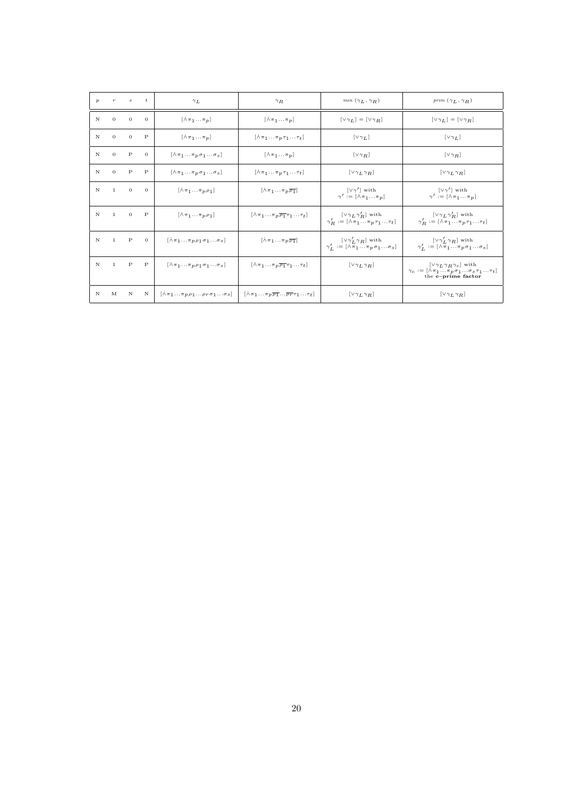| $\boldsymbol{p}$ | $\boldsymbol{r}$ | $\boldsymbol{s}$ | $\frac{t}{t}$ | $\gamma_L$                                                               | $\gamma_R$                                                                   | $min(\gamma_L, \gamma_R)$                                                                                          | prim $(\gamma_L, \gamma_R)$                                                                                                              |
|------------------|------------------|------------------|---------------|--------------------------------------------------------------------------|------------------------------------------------------------------------------|--------------------------------------------------------------------------------------------------------------------|------------------------------------------------------------------------------------------------------------------------------------------|
| N                | $\theta$         | $\theta$         | $\mathbf{0}$  | $[\lambda \pi_1 \dots \pi_p]$                                            | $[\lambda \pi_1 \dots \pi_p]$                                                | $[\vee \gamma_L] = [\vee \gamma_R]$                                                                                | $[\vee \gamma_L] = [\vee \gamma_R]$                                                                                                      |
| N                | $\theta$         | $\Omega$         | $\mathbf{P}$  | $[\lambda \pi_1 \dots \pi_p]$                                            | $[\wedge \pi_1 \dots \pi_p \tau_1 \dots \tau_t]$                             | $[\vee \gamma_L]$                                                                                                  | $[\vee \gamma_L]$                                                                                                                        |
| N                | $\theta$         | $\mathbf{P}$     | $\mathbf{0}$  | $[\lambda \pi_1  \pi_p \sigma_1  \sigma_s]$                              | $[\lambda \pi_1  \pi_p]$                                                     | $[\vee \gamma_R]$                                                                                                  | $[\vee \gamma_R]$                                                                                                                        |
| N                | $\Omega$         | $\mathbf{P}$     | $\mathbf{P}$  | $[\lambda \pi_1  \pi_p \sigma_1  \sigma_s]$                              | $[\lambda \pi_1 \ldots \pi_p \tau_1 \ldots \tau_t]$                          | $[\vee \gamma_L \gamma_R]$                                                                                         | $[\vee \gamma_L \gamma_R]$                                                                                                               |
| N                | $\mathbf{1}$     | $\mathbf{0}$     | $\mathbf{0}$  | $[\lambda \pi_1 \ldots \pi_p \rho_1]$                                    | $[\lambda \pi_1  \pi_p \overline{\rho_1}]$                                   | $[\vee \gamma']$ with<br>$\gamma' := [\lambda \pi_1  \pi_p]$                                                       | $[\vee \gamma']$ with<br>$\gamma' := [\lambda \pi_1  \pi_p]$                                                                             |
| N                | 1                | $\theta$         | $\mathbf P$   | $[\lambda \pi_1 \ldots \pi_p \rho_1]$                                    | $[\lambda \pi_1  \pi_p \overline{\rho_1} \tau_1  \tau_t]$                    | $[\vee \gamma_L \gamma_R']$ with<br>$\gamma'_B := [\lambda \pi_1  \pi_p \tau_1  \tau_t]$                           | $[\vee \gamma_L \gamma'_R]$ with<br>$\gamma'_B := [\lambda \pi_1  \pi_p \tau_1  \tau_t]$                                                 |
| N                | $\mathbf{1}$     | $\mathbf{P}$     | $\Omega$      | $[\lambda \pi_1  \pi_p \rho_1 \sigma_1  \sigma_s]$                       | $[\lambda \pi_1  \pi_p \overline{\rho_1}]$                                   | $[\vee \gamma'_L \gamma_R]$ with<br>$\gamma_L' := [\lambda \overline{\pi}_1  \overline{\pi}_p \sigma_1  \sigma_s]$ | $[\vee \gamma'_L \gamma_R]$ with<br>$\gamma'_L := [\lambda \overline{\pi}_1  \overline{\pi}_p \sigma_1  \sigma_s]$                       |
| N                | $\mathbf{1}$     | $\mathbf{P}$     | $\mathbf{P}$  | $[\lambda \pi_1  \pi_p \rho_1 \sigma_1  \sigma_s]$                       | $[\wedge \pi_1 \dots \pi_p \overline{\rho_1} \tau_1 \dots \tau_t]$           | $[\vee \gamma_L \gamma_R]$                                                                                         | $[\vee \gamma_L \gamma_R \gamma_c]$ with<br>$\gamma_c := [\lambda \pi_1  \pi_p \sigma_1  \sigma_s \tau_1  \tau_t]$<br>the c-prime factor |
| N                | M                | N                | N             | $[\wedge \pi_1 \dots \pi_p \rho_1 \dots \rho_r \sigma_1 \dots \sigma_s]$ | $[\lambda \pi_1  \pi_p \overline{\rho_1}  \overline{\rho_r} \tau_1  \tau_t]$ | $[\vee \gamma_L \gamma_R]$                                                                                         | $[\vee \gamma_L \gamma_R]$                                                                                                               |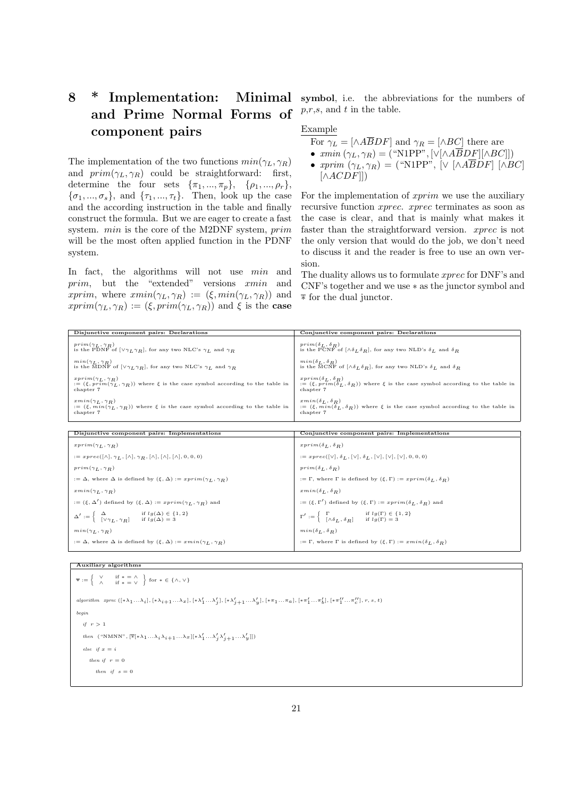# 8 \* Implementation: and Prime Normal Forms of component pairs

The implementation of the two functions  $min(\gamma_L, \gamma_R)$ and  $prim(\gamma_L, \gamma_R)$  could be straightforward: first, determine the four sets  $\{\pi_1, ..., \pi_p\}, \{\rho_1, ..., \rho_r\},\$  $\{\sigma_1, ..., \sigma_s\}$ , and  $\{\tau_1, ..., \tau_t\}$ . Then, look up the case and the according instruction in the table and finally construct the formula. But we are eager to create a fast system. min is the core of the M2DNF system, prim will be the most often applied function in the PDNF system.

In fact, the algorithms will not use  $min$  and prim, but the "extended" versions xmin and xprim, where  $xmin(\gamma_L, \gamma_R) := (\xi, min(\gamma_L, \gamma_R))$  and  $xprim(\gamma_L, \gamma_R) := (\xi, prim(\gamma_L, \gamma_R))$  and  $\xi$  is the case

**Minimal** symbol, i.e. the abbreviations for the numbers of  $p,r,s$ , and  $t$  in the table.

## Example

- For  $\gamma_L = [\wedge A \overline{B} DF]$  and  $\gamma_R = [\wedge BC]$  there are
- $xmin(\gamma_L, \gamma_R) = ("N1PP", [\vee[\wedge ABDF][\wedge BC]])$
- $xprim (\gamma_L, \gamma_R) =$  ("N1PP", [ $\vee$  [ $\wedge ABDF$ ] [ $\wedge BC$ ]  $[\wedge ACDF]]$

For the implementation of xprim we use the auxiliary recursive function xprec. xprec terminates as soon as the case is clear, and that is mainly what makes it faster than the straightforward version. xprec is not the only version that would do the job, we don't need to discuss it and the reader is free to use an own version.

The duality allows us to formulate xprec for DNF's and CNF's together and we use ∗ as the junctor symbol and  $\overline{*}$  for the dual junctor.

| Disjunctive component pairs: Declarations                                                                      | Conjunctive component pairs: Declarations                                                                          |
|----------------------------------------------------------------------------------------------------------------|--------------------------------------------------------------------------------------------------------------------|
| $prim(\gamma_L, \gamma_R)$                                                                                     | $prim(\delta_L, \delta_R)$                                                                                         |
| is the PDNF of $[\vee \gamma_L \gamma_R]$ , for any two NLC's $\gamma_L$ and $\gamma_R$                        | is the PCNF of $[\wedge \delta_L \delta_R]$ , for any two NLD's $\delta_L$ and $\delta_R$                          |
| $min(\gamma_L, \gamma_R)$                                                                                      | $min(\delta_I, \delta_B)$                                                                                          |
| is the MDNF of $[\vee \gamma_L \gamma_R]$ , for any two NLC's $\gamma_L$ and $\gamma_R$                        | is the MCNF of $[\wedge \delta_I \delta_R]$ , for any two NLD's $\delta_I$ and $\delta_R$                          |
| $xprim(\gamma_L, \gamma_R)$                                                                                    | $x \, prim(\delta_{L}, \delta_{R})$                                                                                |
| $\mathbf{f} = (\xi, \text{prim}(\gamma_L, \gamma_R))$ where $\xi$ is the case symbol according to the table in | $\mathbf{z} = (\xi, pr\overline{i}m(\delta_L, \delta_R))$ where $\xi$ is the case symbol according to the table in |
| chapter 7                                                                                                      | chapter 7                                                                                                          |
| $xmin(\gamma_L, \gamma_R)$                                                                                     | $xmin(\delta_I, \delta_B)$                                                                                         |
| $\mathbf{z} = (\xi, \min(\gamma_L, \gamma_R))$ where $\xi$ is the case symbol according to the table in        | $\mathcal{L} = (\xi, min(\delta_L, \delta_R))$ where $\xi$ is the case symbol according to the table in            |
| chapter 7                                                                                                      | chapter 7                                                                                                          |

| Disjunctive component pairs: Implementations                                                                                                                    | Conjunctive component pairs: Implementations                                                                                                                                 |
|-----------------------------------------------------------------------------------------------------------------------------------------------------------------|------------------------------------------------------------------------------------------------------------------------------------------------------------------------------|
| $xprim(\gamma_L, \gamma_R)$                                                                                                                                     | $x\,\delta_L, \delta_R)$                                                                                                                                                     |
| $:= \text{spec}([\wedge], \gamma_L, [\wedge], \gamma_B, [\wedge], [\wedge], [\wedge], 0, 0, 0)$                                                                 | $:= \, \text{spec}([\vee], \, \delta_L, [\vee], \, \delta_L, [\vee], [\vee], [\vee], 0, 0, 0)$                                                                               |
| $prim(\gamma_L, \gamma_R)$                                                                                                                                      | $prim(\delta_L, \delta_R)$                                                                                                                                                   |
| $\tau := \Delta$ , where $\Delta$ is defined by $(\xi, \Delta) := x \text{prim}(\gamma_L, \gamma_R)$                                                            | $:= \Gamma$ , where $\Gamma$ is defined by $(\xi, \Gamma) := x \, \text{prim}(\delta_L, \delta_R)$                                                                           |
| $xmin(\gamma_L, \gamma_R)$                                                                                                                                      | $xmin(\delta_L, \delta_R)$                                                                                                                                                   |
| $\mathbf{L} := (\xi, \Delta')$ defined by $(\xi, \Delta) := x \text{prim}(\gamma_L, \gamma_R)$ and                                                              | $\mathbf{r} := (\xi, \Gamma')$ defined by $(\xi, \Gamma) := x \, \text{prim}(\delta_L, \delta_R)$ and                                                                        |
| $\Delta' := \left\{ \begin{array}{ll} \Delta & \text{if } lg(\Delta) \in \{1, 2\} \\ [\vee \gamma_L, \gamma_R] & \text{if } lg(\Delta) = 3 \end{array} \right.$ | $\Gamma' := \left\{ \begin{array}{ll} \Gamma & \quad \text{if } lg(\Gamma) \in \{1,2\} \\ [\wedge \delta_L, \delta_R] & \quad \text{if } lg(\Gamma) = 3 \end{array} \right.$ |
| $min(\gamma_L, \gamma_R)$                                                                                                                                       | $min(\delta_L, \delta_R)$                                                                                                                                                    |
| $:= \Delta$ , where $\Delta$ is defined by $(\xi, \Delta) := xmin(\gamma_L, \gamma_R)$                                                                          | $:= \Gamma$ , where $\Gamma$ is defined by $(\xi, \Gamma) := x \min(\delta_L, \delta_R)$                                                                                     |

#### Auxiliary algorithms

```
\overline{*} := \left\{ \begin{array}{cc} \vee & \text{if } * = \wedge \\ \wedge & \text{if } * = \vee \end{array} \right\} \text{ for } * \in \{\wedge, \vee\}\emph{algorithm\_spec~}(\textrm{[}*\lambda_1\ldots\lambda_i\rbrack,\textrm{[}*\lambda_{i+1}\ldots\lambda_x\rbrack,\textrm{[}*\lambda_1'\ldots\lambda_j'\textrm{],\textrm{[}*\lambda_{j+1}'\ldots\lambda_y'\textrm{],\textrm{[}*\pi_1\ldots\pi_a\rbrack,\textrm{[}*\pi_1'\ldots\pi_b'\textrm{],\textrm{[}*\pi_1''\ldots\pi_c'']\textrm{,}\textrm{,}\textrm{,}\textrm{,}\textrm{,}\textrm{,}\textrm{,}\textrm{,}\textrm{,}\textrbegin
      if r > 1then ("NMNN", [*[*\lambda_1 \ldots \lambda_i \lambda_{i+1} \ldots \lambda_x][*\lambda'_1 \ldots \lambda'_j \lambda'_{j+1} \ldots \lambda'_y]])
      else if x = ithen if r = 0then if s = 0
```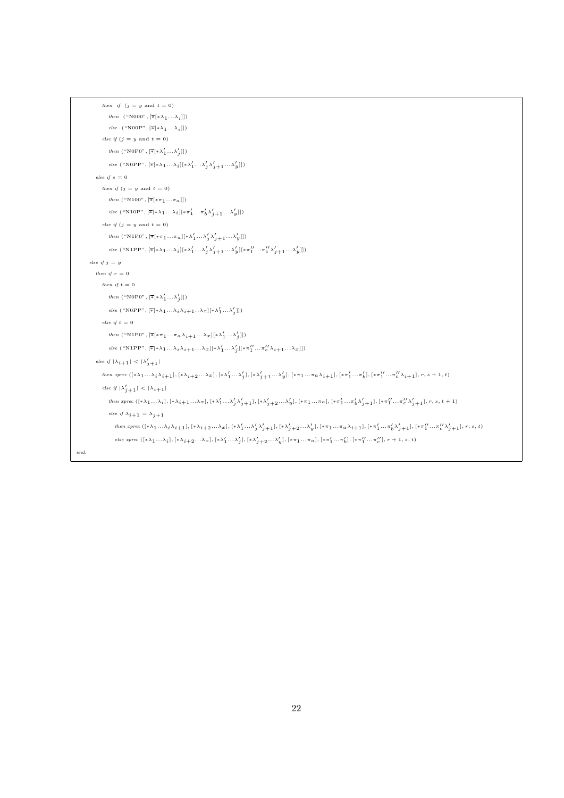```
then \ \ if \ \ (j\,=\,y\ \ \text{and}\ \ t\,=\,0)then ("N000", [\overline{*}(*\lambda_1...\lambda_i]])else ("N00P", [\overline{\ast}[\ast \lambda_1 ... \lambda_i]])else if (j = y \text{ and } t = 0)then ("N0P0", [\overline{\ast}[\ast \lambda'_1 \dots \lambda'_j]])
                           else ("N0PP", [*[*\lambda_1 \ldots \lambda_i][*\lambda'_1 \ldots \lambda'_j \lambda'_{j+1} \ldots \lambda'_y]])
              else if s = 0then if (j = y \text{ and } t = 0)then ("N100", [\overline{\ast}[\ast\pi_1\ldots\pi_a]])else ("N10P", \lbrack\mathbb{\ast}\lbrack\ast\lbrack\ast\lambda_{1}\ldots\lambda_{i}\rbrack\lbrack\ast\pi_{1}'\ldots\pi_{b}'\lambda_{j+1}'\ldots\lambda_{y}'\rbrack\rbrack\rbrackelse if (j = y \text{ and } t = 0)then ("N1P0", [\bar{\ast}[\ast \pi_1 ... \pi_a][\ast \lambda'_1 ... \lambda'_j \lambda'_{j+1} ... \lambda'_y]])
                           \label{eq:edge} else\,\, ("N1PP", [\overline{\ast} [ \ast \lambda_1 \ldots \lambda_i] [ \ast \lambda_1' \ldots \lambda_j' \lambda_{j+1}' \ldots \lambda_{y}'] [ \ast \pi_1'' \ldots \pi_c'' \lambda_{j+1}' \ldots \lambda_{y}']])else if j = ythen if r = 0then if t = 0then ("N0P0", [\overline{\ast}[\ast \lambda'_1 \dots \lambda'_j]])
                           else ("N0PP", [*[*\lambda_1 \ldots \lambda_i \lambda_{i+1} \ldots \lambda_x][*\lambda'_1 \ldots \lambda'_j]])
                    else if t = 0then ("N1P0", [\overline{\ast}[\ast \pi_1 ... \pi_a \lambda_{i+1} ... \lambda_x] [\ast \lambda'_1 ... \lambda'_j]])
                           else ("N1PP", [\overline{\ast}[\ast \lambda_1 \ldots \lambda_i \lambda_{i+1} \ldots \lambda_x] [\ast \lambda_1' \ldots \lambda_j'] [\ast \pi_1'' \ldots \pi_c'' \lambda_{i+1} \ldots \lambda_x]])else if |\lambda_{i+1}| < |\lambda'_{j+1}|then\space zprec\;([\ast\lambda_1\ldots\lambda_i\lambda_{i+1}],[\ast\lambda_{i+2}\ldots\lambda_x],[\ast\lambda_1'\ldots\lambda_j'],[\ast\lambda_{j+1}'\ldots\lambda_y'],[\ast\pi_1\ldots\pi_{a}\lambda_{i+1}],[\ast\pi_1'\ldots\pi_b'],[\ast\pi_1'\ldots\pi_c'\lambda_{i+1}],r,s+1,t)else if |\lambda'_{j+1}| < |\lambda_{i+1}|then\space\space{ there}\space\begin{bmatrix}(*\lambda_1\ldots\lambda_i],[*\lambda_{i+1}\ldots\lambda_x],[*\lambda_1'\ldots\lambda_j'\lambda_{j+1}'],[*\lambda_{j+2}'\ldots\lambda_y'],[\ast\pi_1\ldots\pi_a],[*\pi_1'\ldots\pi_b'\lambda_{j+1}'],[\ast\pi_1''\ldots\pi_c''\lambda_{j+1}'],r,s,t+1)\end{bmatrix}else if \lambda_{i+1} = \lambda_{j+1}then\spacespec\;([\ast\lambda_1\ldots\lambda_i\lambda_{i+1}],[\ast\lambda_{i+2}\ldots\lambda_x],[\ast\lambda_1'\ldots\lambda_j'\lambda_{j+1}'],[\ast\lambda_{j+2}'\ldots\lambda_y'],[\ast\pi_1\ldots\pi_a\lambda_{i+1}],[\ast\pi_1'\ldots\pi_b'\lambda_{j+1}'],\ast\pi_1''\ldots\pi_c''\lambda_{j+1}'],r,s,t)\label{eq:edge} \textit{else~\textit{zprec}}~([\ast\lambda_1\dots\lambda_i],[\ast\lambda_{i+2}\dots\lambda_x],[\ast\lambda_1'\dots\lambda_j'],[\ast\lambda_{j+2}'\dots\lambda_y'],[\ast\pi_1\dots\pi_a],[\ast\pi_1'\dots\pi_b'],[\ast\pi_1''\dots\pi_c''],r+1,s,t)end.
```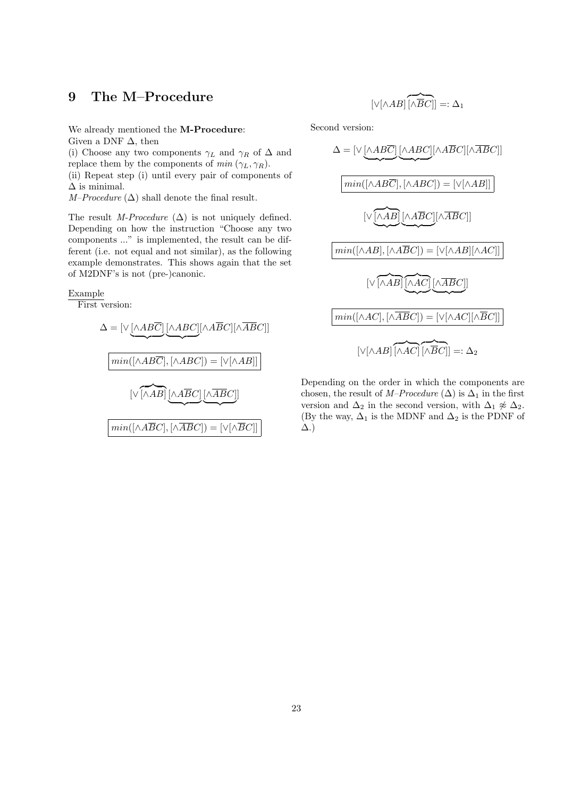## 9 The M–Procedure

We already mentioned the M-Procedure: Given a DNF  $\Delta$ , then

(i) Choose any two components  $\gamma_L$  and  $\gamma_R$  of  $\Delta$  and replace them by the components of  $min(\gamma_L, \gamma_R)$ . (ii) Repeat step (i) until every pair of components of  $\Delta$  is minimal.

 $M–Proceedure (\Delta)$  shall denote the final result.

The result M-Procedure  $(\Delta)$  is not uniquely defined. Depending on how the instruction "Choose any two components ..." is implemented, the result can be different (i.e. not equal and not similar), as the following example demonstrates. This shows again that the set of M2DNF's is not (pre-)canonic.

## Example

First version:

$$
\Delta = [\vee \underbrace{[\wedge ABC]} [\wedge ABC][\wedge \overline{BC}][\wedge \overline{ABC}]]
$$
\n
$$
\underbrace{min([\wedge AB\overline{C}], [\wedge ABC]) = [\vee[\wedge AB]]}_{\big[ \vee [\wedge AB] \underbrace{[\wedge \overline{ABC}][\wedge \overline{ABC}]]}_{\text{min}([\wedge \overline{ABC}], [\wedge \overline{ABC}] = [\vee[\wedge \overline{BC}]]}
$$

$$
[\vee[\wedge AB] \overbrace{[\wedge \overline{BC}]}] =: \Delta_1
$$

Second version:

$$
\Delta = [\vee \underbrace{[\wedge AB\overline{C}]}_{\text{min}} \underbrace{[\wedge ABC]}_{\text{min}} [\wedge \overline{ABC}][\wedge \overline{ABC}][\wedge \overline{ABC}]]
$$
\n
$$
\underbrace{[\wedge \overline{[A\overline{BC}]}, [\wedge ABC]]}_{\text{min}} = [\vee \underbrace{[\wedge AB]}_{\text{min}} \underbrace{[\wedge \overline{AB}C]}_{\text{min}}]
$$
\n
$$
\underbrace{[\wedge \overline{AB}]}_{\text{min}} \underbrace{[\wedge \overline{AB}C]}_{\text{max}} = [\vee \overline{[\wedge AB]}_{\text{max}} \underbrace{[\wedge \overline{AC}]}_{\text{max}}]
$$
\n
$$
\underbrace{[\wedge \overline{AB}C]}_{\text{min}} = [\vee \overline{[\wedge AC]}_{\text{max}} \underbrace{[\wedge \overline{BC}]]}_{\text{max}} =: \Delta_2
$$

Depending on the order in which the components are chosen, the result of M–Procedure ( $\Delta$ ) is  $\Delta_1$  in the first version and  $\Delta_2$  in the second version, with  $\Delta_1 \not\approx \Delta_2$ . (By the way,  $\Delta_1$  is the MDNF and  $\Delta_2$  is the PDNF of ∆.)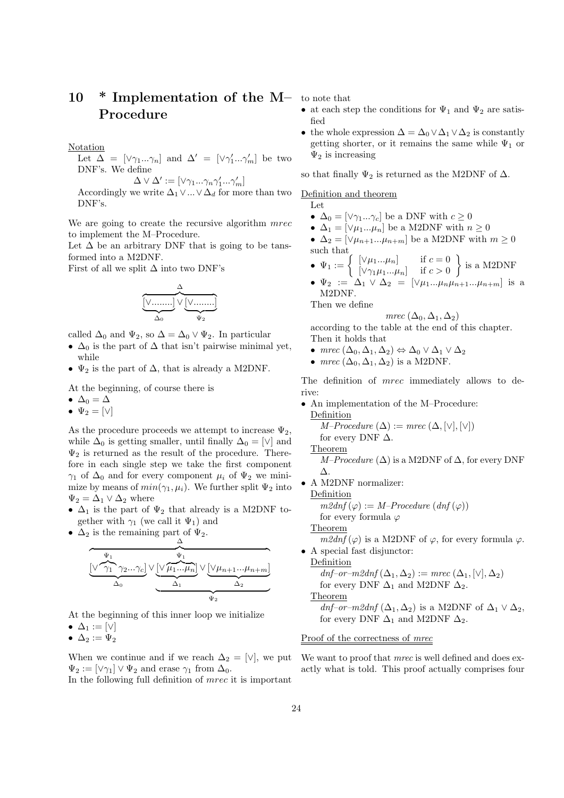# 10 \* Implementation of the M- to note that Procedure

Notation

Let 
$$
\Delta = [\vee \gamma_1...\gamma_n]
$$
 and  $\Delta' = [\vee \gamma'_1...\gamma'_m]$  be two  
DNF's. We define  
 $\Delta \vee \Delta' := [\vee \gamma_1...\gamma_n \gamma'_1...\gamma'_m]$ 

Accordingly we write  $\Delta_1 \vee ... \vee \Delta_d$  for more than two

DNF's.

We are going to create the recursive algorithm  $mrec$ to implement the M–Procedure.

Let  $\Delta$  be an arbitrary DNF that is going to be tansformed into a M2DNF.

First of all we split  $\Delta$  into two DNF's

$$
\underbrace{\overset{\Delta}{\underset{\Delta_0}{[\vee\ldots\ldots]}}\vee\underset{\Psi_2}{[\vee\ldots\ldots]}
$$

called  $\Delta_0$  and  $\Psi_2$ , so  $\Delta = \Delta_0 \vee \Psi_2$ . In particular

- $\Delta_0$  is the part of  $\Delta$  that isn't pairwise minimal yet, while
- $\Psi_2$  is the part of  $\Delta$ , that is already a M2DNF.

At the beginning, of course there is

- $\Delta_0 = \Delta$
- $\Psi_2 = [\vee]$

As the procedure proceeds we attempt to increase  $\Psi_2$ , while  $\Delta_0$  is getting smaller, until finally  $\Delta_0 = [\vee]$  and  $\Psi_2$  is returned as the result of the procedure. Therefore in each single step we take the first component  $\gamma_1$  of  $\Delta_0$  and for every component  $\mu_i$  of  $\Psi_2$  we minimize by means of  $min(\gamma_1, \mu_i)$ . We further split  $\Psi_2$  into  $\Psi_2 = \Delta_1 \vee \Delta_2$  where

- $\Delta_1$  is the part of  $\Psi_2$  that already is a M2DNF together with  $\gamma_1$  (we call it  $\Psi_1$ ) and
- $\Delta_2$  is the remaining part of  $\Psi_2$ .

$$
\underbrace{\frac{\Delta}{\sqrt{\frac{\Psi_1}{\lambda_1}}\gamma_2...\gamma_c}\}\vee\underbrace{\frac{\Psi_1}{\sqrt{\mu_1...\mu_n}}\vee\underbrace{\left[\vee\mu_{n+1}...\mu_{n+m}\right]}_{\Delta_2}}_{\Psi_2}
$$

At the beginning of this inner loop we initialize •  $\Delta_1 := [\vee]$ 

•  $\Delta_2 := \Psi_2$ 

When we continue and if we reach  $\Delta_2 = [\vee]$ , we put  $\Psi_2 := [\vee \gamma_1] \vee \Psi_2$  and erase  $\gamma_1$  from  $\Delta_0$ .

In the following full definition of mrec it is important

- at each step the conditions for  $\Psi_1$  and  $\Psi_2$  are satisfied
- the whole expression  $\Delta = \Delta_0 \vee \Delta_1 \vee \Delta_2$  is constantly getting shorter, or it remains the same while  $\Psi_1$  or  $\Psi_2$  is increasing

so that finally  $\Psi_2$  is returned as the M2DNF of  $\Delta$ .

## Definition and theorem

Let

- $\Delta_0 = [\vee \gamma_1 ... \gamma_c]$  be a DNF with  $c \geq 0$
- $\Delta_1 = [\vee \mu_1...\mu_n]$  be a M2DNF with  $n \geq 0$
- $\Delta_2 = [\vee \mu_{n+1}...\mu_{n+m}]$  be a M2DNF with  $m \ge 0$ such that
- $\Psi_1 := \begin{cases} [\vee \mu_1...\mu_n] & \text{if } c = 0 \\ [\vee \alpha, \mu_1...\mu_n] & \text{if } c > 0 \end{cases}$  $[\vee \gamma_1 \mu_1 ... \mu_n]$  if  $c > 0$  $\}$  is a M2DNF
- $\Psi_2 := \Delta_1 \vee \Delta_2 = [\vee \mu_1...\mu_n\mu_{n+1}...\mu_{n+m}]$  is a M2DNF.

Then we define

mrec  $(\Delta_0, \Delta_1, \Delta_2)$ according to the table at the end of this chapter. Then it holds that

- mrec  $(\Delta_0, \Delta_1, \Delta_2) \Leftrightarrow \Delta_0 \vee \Delta_1 \vee \Delta_2$
- $mrec$  ( $\Delta_0$ ,  $\Delta_1$ ,  $\Delta_2$ ) is a M2DNF.

The definition of *mrec* immediately allows to derive:

• An implementation of the M–Procedure: Definition

 $M–Proceedure (\Delta) := mrec (\Delta, [\vee], [\vee])$ for every DNF  $\Delta$ .

Theorem

*M–Proceedure* (
$$
\Delta
$$
) is a M2DNF of  $\Delta$ , for every DNF  $\Delta$ .

• A M2DNF normalizer:

Definition

 $m2dnf(\varphi) := M-Proceedure (dnf(\varphi))$ 

for every formula  $\varphi$ 

Theorem

 $m2dnf(\varphi)$  is a M2DNF of  $\varphi$ , for every formula  $\varphi$ . • A special fast disjunctor:

Definition  $dnf-or-m2dnf(\Delta_1,\Delta_2) := mrec(\Delta_1, [\vee], \Delta_2)$ for every DNF  $\Delta_1$  and M2DNF  $\Delta_2$ .

Theorem

 $dnf$ –or–m2dnf ( $\Delta_1$ ,  $\Delta_2$ ) is a M2DNF of  $\Delta_1 \vee \Delta_2$ , for every DNF  $\Delta_1$  and M2DNF  $\Delta_2$ .

## Proof of the correctness of *mrec*

We want to proof that *mrec* is well defined and does exactly what is told. This proof actually comprises four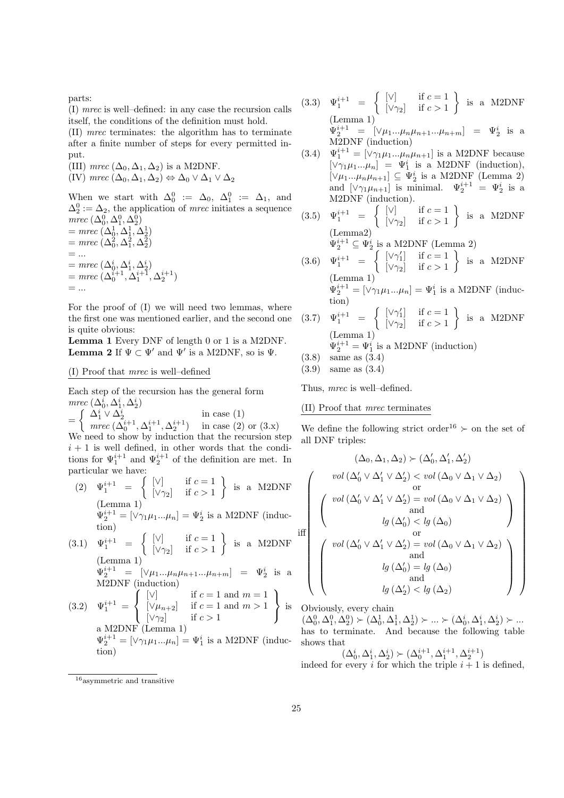parts:

(I) mrec is well–defined: in any case the recursion calls itself, the conditions of the definition must hold.

(II) mrec terminates: the algorithm has to terminate after a finite number of steps for every permitted input.

(III) mrec  $(\Delta_0, \Delta_1, \Delta_2)$  is a M2DNF. (IV) mrec  $(\Delta_0, \Delta_1, \Delta_2) \Leftrightarrow \Delta_0 \vee \Delta_1 \vee \Delta_2$ 

When we start with  $\Delta_0^0 := \Delta_0$ ,  $\Delta_1^0 := \Delta_1$ , and  $\Delta_2^0 := \Delta_2$ , the application of *mrec* initiates a sequence mrec  $(\Delta_0^0, \Delta_1^0, \Delta_2^0)$ 

 $=$  mrec  $(\Delta_0^1, \Delta_1^1, \Delta_2^1)$  $=$  mrec  $(\Delta_0^2, \Delta_1^2, \Delta_2^2)$  $= \dots$  $=$  mrec  $(\Delta_0^i, \Delta_1^i, \Delta_2^i)$  $=$  mrec  $(\Delta_0^{i+1}, \Delta_1^{i+1}, \Delta_2^{i+1})$  $=$  ...

For the proof of (I) we will need two lemmas, where the first one was mentioned earlier, and the second one is quite obvious:

Lemma 1 Every DNF of length 0 or 1 is a M2DNF. **Lemma 2** If  $\Psi \subset \Psi'$  and  $\Psi'$  is a M2DNF, so is  $\Psi$ .

## (I) Proof that mrec is well–defined

Each step of the recursion has the general form mrec  $(\Delta_0^i, \Delta_1^i, \Delta_2^i)$ 

$$
= \begin{cases} \Delta_1^i \vee \Delta_2^i & \text{in case (1)}\\ \text{mrec } (\Delta_0^{i+1}, \Delta_1^{i+1}, \Delta_2^{i+1}) & \text{in case (2) or (3.x)}\\ \text{We need to show by induction that the recursion step} \\ i+1 \text{ is well defined, in other words that the conditions for  $\Psi_1^{i+1}$  and  $\Psi_2^{i+1}$  of the definition are met. In particular we have:
$$

(2) 
$$
\Psi_1^{i+1} = \left\{ \begin{bmatrix} \nabla \end{bmatrix} \text{ if } c = 1 \atop \nabla \gamma_2 \end{bmatrix} \right\}
$$
 is a M2DNF  
\n(Lemma 1)  
\n $\Psi_2^{i+1} = [\nabla \gamma_1 \mu_1 ... \mu_n] = \Psi_2^i$  is a M2DNF (induction)  
\n(3.1)  $\Psi_1^{i+1} = \left\{ \begin{bmatrix} \nabla \end{bmatrix} \text{ if } c = 1 \atop \nabla \gamma_2 \end{bmatrix} \right\}$  is a M2DNF  
\n(Lemma 1)  
\n $\Psi_2^{i+1} = [\nabla \mu_1 ... \mu_n \mu_{n+1} ... \mu_{n+m}] = \Psi_2^i$  is a M2DNF  
\n(3.2)  $\Psi_1^{i+1} = \left\{ \begin{bmatrix} \nabla \end{bmatrix} \text{ if } c = 1 \text{ and } m = 1 \atop \nabla \mu_{n+2} \end{bmatrix} \right\}$  is a M2DNF (Lemma 1)  
\na M2DNF (Lemma 1)  
\n $\Psi_2^{i+1} = [\nabla \gamma_1 \mu_1 ... \mu_n] = \Psi_1^i$  is a M2DNF (induc-

(3.3)  $\Psi_1^{i+1} = \begin{cases} [\vee] & \text{if } c = 1 \\ [\vee] & \text{if } c > 1 \end{cases}$  $[\vee \gamma_2]$  if  $c > 1$  $\}$  is a M2DNF (Lemma 1)

> $\Psi_2^{i+1} = [\vee \mu_1...\mu_n\mu_{n+1}...\mu_{n+m}] = \Psi_2^i$  is a M2DNF (induction)

- (3.4)  $\Psi_1^{i+1} = [\vee \gamma_1 \mu_1 ... \mu_n \mu_{n+1}]$  is a M2DNF because  $[\vee \gamma_1 \mu_1 ... \mu_n] = \Psi_1^i$  is a M2DNF (induction),  $[\vee \mu_1...\mu_n\mu_{n+1}] \subseteq \Psi_2^i$  is a M2DNF (Lemma 2) and  $[\vee \gamma_1 \mu_{n+1}]$  is minimal.  $\Psi_2^{i+1} = \Psi_2^i$  is a M2DNF (induction).
- (3.5)  $\Psi_1^{i+1} = \begin{cases} [\vee] & \text{if } c = 1 \\ [\vee] & \text{if } c > 1 \end{cases}$  $[\vee \gamma_2]$  if  $c > 1$  $\}$  is a M2DNF (Lemma2)  $\Psi_2^{i+1} \subseteq \Psi_2^i$  is a M2DNF (Lemma 2) (3.6)  $\Psi_1^{i+1} = \begin{cases} [\vee \gamma_1'] & \text{if } c = 1 \\ [\vee \gamma_2] & \text{if } c > 1 \end{cases}$  $\}$  is a M2DNF
- $[\vee \gamma_2]$  if  $c > 1$ (Lemma 1)  $\Psi_2^{i+1} = [\vee \gamma_1 \mu_1 ... \mu_n] = \Psi_1^i$  is a M2DNF (induction) (3.7)  $\Psi_1^{i+1} = \begin{cases} [\vee \gamma_1'] & \text{if } c = 1 \\ [\vee \gamma_2] & \text{if } c > 1 \end{cases}$  $[\vee \gamma_2]$  if  $c > 1$  $\}$  is a M2DNF (Lemma 1)  $\Psi_2^{i+1} = \Psi_1^i$  is a M2DNF (induction)
- (3.8) same as (3.4)
- (3.9) same as (3.4)

Thus, mrec is well–defined.

## (II) Proof that mrec terminates

We define the following strict order<sup>16</sup>  $\succ$  on the set of all DNF triples:

$$
\left(\begin{array}{c}\n(\Delta_0, \Delta_1, \Delta_2) \succ (\Delta'_0, \Delta'_1, \Delta'_2) \\
vol\left(\Delta'_0 \vee \Delta'_1 \vee \Delta'_2\right) < vol\left(\Delta_0 \vee \Delta_1 \vee \Delta_2\right) \\
\text{or} \\
\begin{pmatrix}\nvol\left(\Delta'_0 \vee \Delta'_1 \vee \Delta'_2\right) = vol\left(\Delta_0 \vee \Delta_1 \vee \Delta_2\right) \\
\text{and} \\
lg\left(\Delta'_0\right) < lg\left(\Delta_0\right) \\
\text{or} \\
\begin{pmatrix}\nvol\left(\Delta'_0 \vee \Delta'_1 \vee \Delta'_2\right) = vol\left(\Delta_0 \vee \Delta_1 \vee \Delta_2\right) \\
\text{and} \\
lg\left(\Delta'_0\right) = lg\left(\Delta_0\right) \\
\text{and} \\
lg\left(\Delta'_2\right) < lg\left(\Delta_2\right)\n\end{pmatrix}\n\right)\n\end{array}\right)
$$

Obviously, every chain

 $(\Delta_0^0, \Delta_1^0, \Delta_2^0) \succ (\Delta_0^1, \Delta_1^1, \Delta_2^1) \succ \ldots \succ (\Delta_0^i, \Delta_1^i, \Delta_2^i) \succ \ldots$ has to terminate. And because the following table shows that

 $(\Delta^i_0, \Delta^i_1, \Delta^i_2) \succ (\Delta^{i+1}_0, \Delta^{i+1}_1, \Delta^{i+1}_2)$ indeed for every i for which the triple  $i + 1$  is defined.

tion)

iff

 $\sqrt{ }$ 

<sup>16</sup>asymmetric and transitive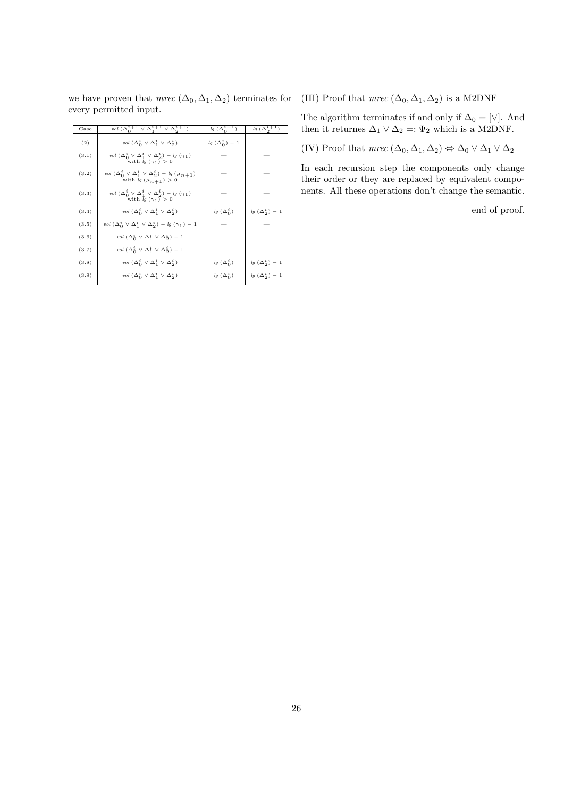we have proven that  $mrec (\Delta_0, \Delta_1, \Delta_2)$  terminates for every permitted input.

| Case  | vol $(\Delta_0^{i+1} \vee \Delta_1^{i+1} \vee \Delta_2^{i+1})$                                       | $lg (\Delta_0^{i+1})$ | $lg~(\Delta_2^{i+1})$ |
|-------|------------------------------------------------------------------------------------------------------|-----------------------|-----------------------|
| (2)   | vol $(\Delta_0^i \vee \Delta_1^i \vee \Delta_2^i)$                                                   | $lg(\Delta_0^i)-1$    |                       |
| (3.1) | vol $(\Delta_0^i \vee \Delta_1^i \vee \Delta_2^i) - \lg (\gamma_1)$<br>with $lg(\gamma_1) > 0$       |                       |                       |
| (3.2) | vol $(\Delta_0^i \vee \Delta_1^i \vee \Delta_2^i) - \lg (\mu_{n+1})$<br>with $lg(\mu_{n+1}) > 0$     |                       |                       |
| (3.3) | vol $(\Delta_0^i \vee \Delta_1^i \vee \Delta_2^i) - \lg (\gamma_1)$<br>with $\bar{lg}(\gamma_1) > 0$ |                       |                       |
| (3.4) | vol $(\Delta_0^i \vee \Delta_1^i \vee \Delta_2^i)$                                                   | $lg(\Delta_0^i)$      | $lg(\Delta_2^i)-1$    |
| (3.5) | vol $(\Delta_0^i \vee \Delta_1^i \vee \Delta_2^i) - \lg (\gamma_1) - 1$                              |                       |                       |
| (3.6) | vol $(\Delta_0^i \vee \Delta_1^i \vee \Delta_2^i) - 1$                                               |                       |                       |
| (3.7) | vol $(\Delta_0^i \vee \Delta_1^i \vee \Delta_2^i) - 1$                                               |                       |                       |
| (3.8) | vol $(\Delta_0^i \vee \Delta_1^i \vee \Delta_2^i)$                                                   | $lg(\Delta_0^i)$      | $lg(\Delta_2^i)-1$    |
| (3.9) | vol $(\Delta_0^i \vee \Delta_1^i \vee \Delta_2^i)$                                                   | $lg(\Delta_0^i)$      | $lg(\Delta_2^i)-1$    |

## (III) Proof that  $\mathit{mrec}$  ( $\Delta_0, \Delta_1, \Delta_2$ ) is a M2DNF

The algorithm terminates if and only if  $\Delta_0 = [\vee]$ . And then it returnes  $\Delta_1 \vee \Delta_2 =: \Psi_2$  which is a M2DNF.

(IV) Proof that  $\mathit{mrec}\ (\Delta_0, \Delta_1, \Delta_2) \Leftrightarrow \Delta_0 \vee \Delta_1 \vee \Delta_2$ 

In each recursion step the components only change their order or they are replaced by equivalent components. All these operations don't change the semantic.

end of proof.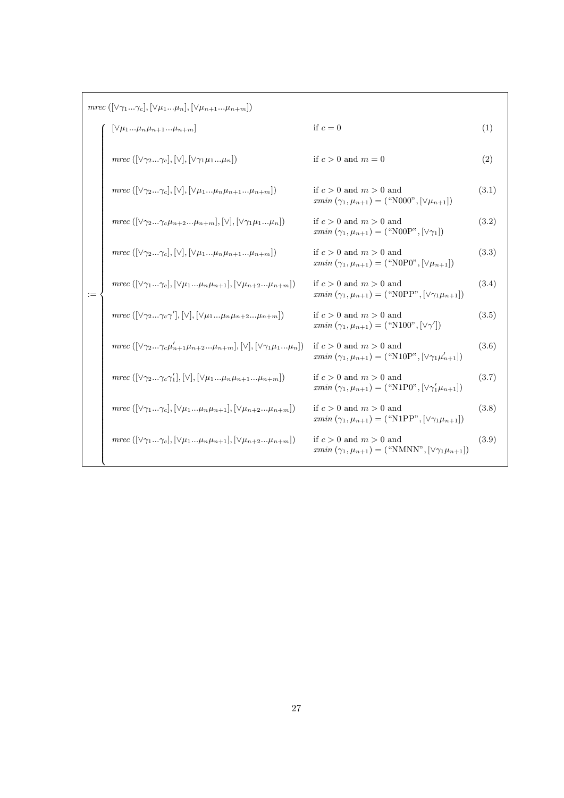| $mrec([ \vee \gamma_1  \gamma_c], [\vee \mu_1  \mu_n], [\vee \mu_{n+1}  \mu_{n+m}])$ |                                                                                                                       |                                                                                                          |       |  |  |
|--------------------------------------------------------------------------------------|-----------------------------------------------------------------------------------------------------------------------|----------------------------------------------------------------------------------------------------------|-------|--|--|
|                                                                                      | $[\vee \mu_1\mu_n\mu_{n+1}\mu_{n+m}]$                                                                                 | if $c=0$                                                                                                 | (1)   |  |  |
|                                                                                      | mrec $([\vee \gamma_2\gamma_c],[\vee],[\vee \gamma_1\mu_1\mu_n])$                                                     | if $c > 0$ and $m = 0$                                                                                   | (2)   |  |  |
|                                                                                      | $mrec([\vee \gamma_2\gamma_c],[\vee],[\vee \mu_1\mu_n\mu_{n+1}\mu_{n+m}])$                                            | if $c > 0$ and $m > 0$ and<br>$rmin(\gamma_1, \mu_{n+1}) =$ ("N000", $[\vee \mu_{n+1}]$ )                | (3.1) |  |  |
|                                                                                      | $mrec([\vee \gamma_2\gamma_c \mu_{n+2}\mu_{n+m}], [\vee], [\vee \gamma_1 \mu_1\mu_n])$                                | if $c > 0$ and $m > 0$ and<br>$rmin(\gamma_1, \mu_{n+1}) =$ ("N00P", $[\vee \gamma_1]$ )                 | (3.2) |  |  |
|                                                                                      | $mrec([\vee \gamma_2\gamma_c],[\vee],[\vee \mu_1\mu_n\mu_{n+1}\mu_{n+m}])$                                            | if $c > 0$ and $m > 0$ and<br>$xmin(\gamma_1, \mu_{n+1}) =$ ("N0P0", $ \vee \mu_{n+1} $ )                | (3.3) |  |  |
| $:=$                                                                                 | $mrec([\vee\gamma_1\gamma_c],[\vee\mu_1\mu_n\mu_{n+1}],[\vee\mu_{n+2}\mu_{n+m}])$                                     | if $c > 0$ and $m > 0$ and<br>$rmin(\gamma_1, \mu_{n+1}) =$ ("N0PP", $[\vee \gamma_1 \mu_{n+1}]$ )       | (3.4) |  |  |
|                                                                                      | mrec $( \vee \gamma_2\gamma_c \gamma' ,  \vee ,  \vee \mu_1\mu_n \mu_{n+2}\mu_{n+m} )$                                | if $c > 0$ and $m > 0$ and<br>$xmin(\gamma_1, \mu_{n+1}) = ("N100", [\vee \gamma'])$                     | (3.5) |  |  |
|                                                                                      | mrec $(\lceil \sqrt{\gamma_2}\gamma_c \mu_{n+1}'\mu_{n+2}\mu_{n+m} \rceil, \lceil \sqrt{\gamma_1} \mu_1\mu_n \rceil)$ | if $c > 0$ and $m > 0$ and<br>$rmin(\gamma_1, \mu_{n+1}) =$ ("N10P", $[\vee \gamma_1 \mu'_{n+1}]$ )      | (3.6) |  |  |
|                                                                                      | $mrec([ \vee \gamma_2\gamma_c \gamma'_1], [\vee], [\vee \mu_1\mu_n \mu_{n+1}\mu_{n+m}])$                              | if $c > 0$ and $m > 0$ and<br>$rmin(\gamma_1, \mu_{n+1}) =$ ("N1P0", $[\vee \gamma'_1 \mu_{n+1}]$ )      | (3.7) |  |  |
|                                                                                      | mrec $([\vee\gamma_1\gamma_c],[\vee\mu_1\mu_n\mu_{n+1}],[\vee\mu_{n+2}\mu_{n+m}])$                                    | if $c > 0$ and $m > 0$ and<br>$rmin(\gamma_1, \mu_{n+1}) = (\text{``N1PP''}, [\vee \gamma_1 \mu_{n+1}])$ | (3.8) |  |  |
|                                                                                      | $mrec([\vee\gamma_1\gamma_c],[\vee\mu_1\mu_n\mu_{n+1}],[\vee\mu_{n+2}\mu_{n+m}])$                                     | if $c > 0$ and $m > 0$ and<br>$rmin(\gamma_1, \mu_{n+1}) = (\text{``NMN''}, [\vee \gamma_1 \mu_{n+1}])$  | (3.9) |  |  |
|                                                                                      |                                                                                                                       |                                                                                                          |       |  |  |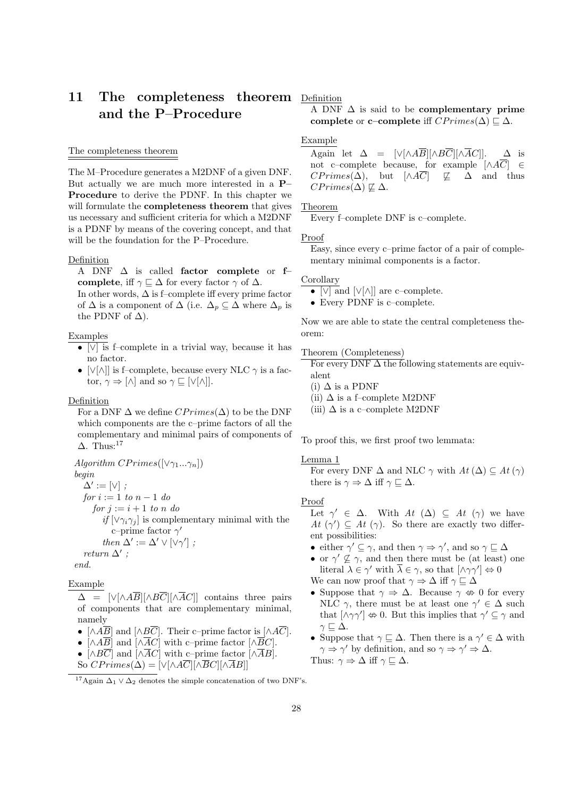# 11 The completeness theorem Definition and the P–Procedure

## The completeness theorem

The M–Procedure generates a M2DNF of a given DNF. But actually we are much more interested in a P– Procedure to derive the PDNF. In this chapter we will formulate the **completeness theorem** that gives us necessary and sufficient criteria for which a M2DNF is a PDNF by means of the covering concept, and that will be the foundation for the P–Procedure.

#### Definition

A DNF ∆ is called factor complete or f– complete, iff  $\gamma \sqsubseteq \Delta$  for every factor  $\gamma$  of  $\Delta$ . In other words,  $\Delta$  is f–complete iff every prime factor

of  $\Delta$  is a component of  $\Delta$  (i.e.  $\Delta_p \subseteq \Delta$  where  $\Delta_p$  is the PDNF of  $\Delta$ ).

## Examples

- [∨] is f–complete in a trivial way, because it has no factor.
- [∨[∧]] is f–complete, because every NLC  $\gamma$  is a factor,  $\gamma \Rightarrow [\wedge]$  and so  $\gamma \sqsubseteq [\vee[\wedge]]$ .

## Definition

For a DNF  $\Delta$  we define  $CPrimes(\Delta)$  to be the DNF which components are the c–prime factors of all the complementary and minimal pairs of components of  $\Delta$ . Thus:<sup>17</sup>

Algorithm  $CPrimes([\vee \gamma_1...\gamma_n])$ begin  $\Delta' := [\vee]$ ; for  $i := 1$  to  $n - 1$  do for  $j := i + 1$  to n do if  $[\vee \gamma_i \gamma_j]$  is complementary minimal with the c–prime factor  $\gamma'$ then  $\Delta' := \Delta' \vee [\vee \gamma']$ ; return  $\Delta'$ ; end.

Example

 $\Delta$  =  $[\vee[\wedge A\overline{B}][\wedge B\overline{C}][\wedge \overline{A}C]]$  contains three pairs of components that are complementary minimal, namely

- $[\wedge A\overline{B}]$  and  $[\wedge B\overline{C}]$ . Their c–prime factor is  $[\wedge A\overline{C}]$ .
- $[\wedge A\overline{B}]$  and  $[\wedge \overline{A}C]$  with c–prime factor  $[\wedge \overline{B}C]$ .
- $[\wedge B\overline{C}]$  and  $[\wedge \overline{A}C]$  with c–prime factor  $[\wedge \overline{A}B]$ .
- So  $CPrimes(\Delta) = [\sqrt{\wedge A}\overline{C}][\sqrt{B}C][\sqrt{A}B]]$

A DNF  $\Delta$  is said to be complementary prime complete or c–complete iff  $CPrimes(\Delta) \sqsubset \Delta$ .

## Example

Again let  $\Delta = [\vee[\wedge A\overline{B}][\wedge B\overline{C}][\wedge \overline{A}C]]. \Delta$  is not c–complete because, for example  $[\wedge A\overline{C}] \in$  $CPrimes(\Delta)$ , but  $[\wedge A\overline{C}]$   $\not\sqsubseteq \Delta$  and thus  $CPrimes(\Delta) \not\sqsubseteq \Delta$ .

## Theorem

Every f–complete DNF is c–complete.

#### Proof

Easy, since every c–prime factor of a pair of complementary minimal components is a factor.

#### Corollary

• [ $\sqrt{\vert \text{and} \vert \text{V} \vert \text{and}}$  are c–complete.

• Every PDNF is c–complete.

Now we are able to state the central completeness theorem:

## Theorem (Completeness)

For every DNF  $\Delta$  the following statements are equivalent

(i)  $\Delta$  is a PDNF

(ii)  $\Delta$  is a f–complete M2DNF

(iii)  $\Delta$  is a c–complete M2DNF

To proof this, we first proof two lemmata:

## Lemma 1

For every DNF  $\Delta$  and NLC  $\gamma$  with  $At(\Delta) \subseteq At(\gamma)$ there is  $\gamma \Rightarrow \Delta$  iff  $\gamma \sqsubseteq \Delta$ .

## Proof

Let  $\gamma' \in \Delta$ . With  $At (\Delta) \subseteq At (\gamma)$  we have At  $(\gamma') \subseteq At (\gamma)$ . So there are exactly two different possibilities:

- either  $\gamma' \subseteq \gamma$ , and then  $\gamma \Rightarrow \gamma'$ , and so  $\gamma \sqsubseteq \Delta$
- or  $\gamma' \nsubseteq \gamma$ , and then there must be (at least) one literal  $\lambda \in \gamma'$  with  $\overline{\lambda} \in \gamma$ , so that  $[\wedge \gamma \gamma'] \Leftrightarrow 0$

We can now proof that  $\gamma \Rightarrow \Delta$  iff  $\gamma \sqsubseteq \Delta$ 

- Suppose that  $\gamma \Rightarrow \Delta$ . Because  $\gamma \Leftrightarrow 0$  for every NLC  $\gamma$ , there must be at least one  $\gamma' \in \Delta$  such that  $[\wedge \gamma \gamma'] \nleftrightarrow 0$ . But this implies that  $\gamma' \subseteq \gamma$  and  $\gamma \sqsubseteq \Delta$ .
- Suppose that  $\gamma \subseteq \Delta$ . Then there is a  $\gamma' \in \Delta$  with  $\gamma \Rightarrow \gamma'$  by definition, and so  $\gamma \Rightarrow \gamma' \Rightarrow \Delta$ . Thus:  $\gamma \Rightarrow \Delta$  iff  $\gamma \sqsubseteq \Delta$ .

<sup>&</sup>lt;sup>17</sup>Again  $\Delta_1 \vee \Delta_2$  denotes the simple concatenation of two DNF's.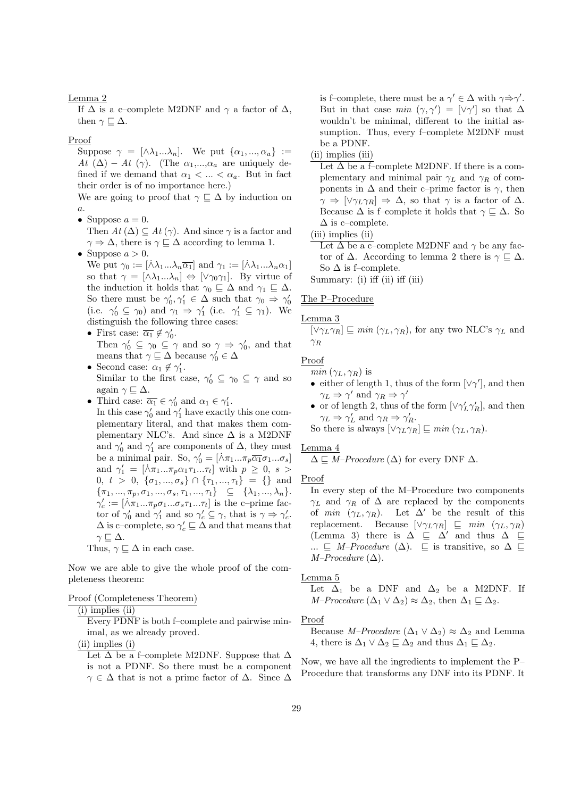## Lemma 2

If  $\Delta$  is a c–complete M2DNF and  $\gamma$  a factor of  $\Delta$ , then  $\gamma \sqsubset \Delta$ .

## Proof

Suppose  $\gamma = [\lambda \lambda_1 ... \lambda_n]$ . We put  $\{\alpha_1, ..., \alpha_n\}$  := At  $(\Delta)$  – At  $(\gamma)$ . (The  $\alpha_1,...,\alpha_a$  are uniquely defined if we demand that  $\alpha_1 < \ldots < \alpha_a$ . But in fact their order is of no importance here.)

We are going to proof that  $\gamma \subseteq \Delta$  by induction on  $\boldsymbol{a}.$ 

• Suppose  $a = 0$ .

Then  $At(\Delta) \subseteq At(\gamma)$ . And since  $\gamma$  is a factor and  $\gamma \Rightarrow \Delta$ , there is  $\gamma \subseteq \Delta$  according to lemma 1.

• Suppose  $a > 0$ .

We put  $\gamma_0 := [\dot{\wedge} \lambda_1 ... \lambda_n \overline{\alpha_1}]$  and  $\gamma_1 := [\dot{\wedge} \lambda_1 ... \lambda_n \alpha_1]$ so that  $\gamma = [\wedge \lambda_1 ... \lambda_n] \Leftrightarrow [\vee \gamma_0 \gamma_1]$ . By virtue of the induction it holds that  $\gamma_0 \subseteq \Delta$  and  $\gamma_1 \subseteq \Delta$ . So there must be  $\gamma'_0, \gamma'_1 \in \Delta$  such that  $\gamma_0 \Rightarrow \gamma'_0$ (i.e.  $\gamma'_0 \subseteq \gamma_0$ ) and  $\gamma_1 \Rightarrow \gamma'_1$  (i.e.  $\gamma'_1 \subseteq \gamma_1$ ). We distinguish the following three cases:

- First case:  $\overline{\alpha_1} \notin \gamma'_0$ . Then  $\gamma'_0 \subseteq \gamma_0 \subseteq \gamma$  and so  $\gamma \Rightarrow \gamma'_0$ , and that means that  $\gamma \sqsubseteq \Delta$  because  $\gamma'_0 \in \Delta$
- Second case:  $\alpha_1 \notin \gamma'_1$ . Similar to the first case,  $\gamma'_0 \subseteq \gamma_0 \subseteq \gamma$  and so again  $\gamma \sqsubseteq \Delta$ .
- Third case:  $\overline{\alpha_1} \in \gamma'_0$  and  $\alpha_1 \in \gamma'_1$ .

In this case  $\gamma'_0$  and  $\gamma'_1$  have exactly this one complementary literal, and that makes them complementary NLC's. And since  $\Delta$  is a M2DNF and  $\gamma'_0$  and  $\gamma'_1$  are components of  $\Delta$ , they must be a minimal pair. So,  $\gamma'_0 = [\lambda \pi_1 ... \pi_p \overline{\alpha_1} \sigma_1 ... \sigma_s]$ and  $\gamma'_1 = [\lambda \pi_1 ... \pi_p \alpha_1 \tau_1 ... \tau_t]$  with  $p \geq 0, s >$ 0,  $t > 0$ ,  $\{\sigma_1, ..., \sigma_s\} \cap \{\tau_1, ..., \tau_t\} = \{\}\$ and  ${\pi_1, ..., \pi_p, \sigma_1, ..., \sigma_s, \tau_1, ..., \tau_t} \subseteq {\lambda_1, ..., \lambda_n}.$  $\gamma_c' := [\lambda \pi_1 ... \pi_p \sigma_1 ... \sigma_s \tau_1 ... \tau_t]$  is the c-prime factor of  $\gamma'_0$  and  $\gamma'_1$  and so  $\gamma'_c \subseteq \gamma$ , that is  $\gamma \Rightarrow \gamma'_c$ .  $\Delta$  is c–complete, so  $\gamma_c' \sqsubseteq \Delta$  and that means that  $\gamma \sqsubseteq \Delta$ . Thus,  $\gamma \sqsubseteq \Delta$  in each case.

Now we are able to give the whole proof of the completeness theorem:

## Proof (Completeness Theorem)

 $(i)$  implies  $(ii)$ 

Every PDNF is both f–complete and pairwise minimal, as we already proved.

(ii) implies (i)

Let  $\Delta$  be a f–complete M2DNF. Suppose that  $\Delta$ is not a PDNF. So there must be a component  $\gamma \in \Delta$  that is not a prime factor of  $\Delta$ . Since  $\Delta$  is f–complete, there must be a  $\gamma' \in \Delta$  with  $\gamma \Rightarrow \gamma'$ . But in that case  $min(\gamma, \gamma') = [\vee \gamma']$  so that  $\Delta$ wouldn't be minimal, different to the initial assumption. Thus, every f–complete M2DNF must be a PDNF.

(ii) implies (iii)

Let  $\Delta$  be a f–complete M2DNF. If there is a complementary and minimal pair  $\gamma_L$  and  $\gamma_R$  of components in  $\Delta$  and their c–prime factor is  $\gamma$ , then  $\gamma \Rightarrow [\vee \gamma_L \gamma_R] \Rightarrow \Delta$ , so that  $\gamma$  is a factor of  $\Delta$ . Because  $\Delta$  is f–complete it holds that  $\gamma \subseteq \Delta$ . So  $\Delta$  is c–complete.

(iii) implies (ii)

Let  $\Delta$  be a c–complete M2DNF and  $\gamma$  be any factor of  $\Delta$ . According to lemma 2 there is  $\gamma \subseteq \Delta$ . So  $\Delta$  is f–complete.

Summary: (i) iff (ii) iff (iii)

## The P–Procedure

## Lemma 3

 $[\vee \gamma_L \gamma_R] \sqsubset min (\gamma_L, \gamma_R)$ , for any two NLC's  $\gamma_L$  and  $\gamma_R$ 

## Proof

 $min(\gamma_L, \gamma_R)$  is

- either of length 1, thus of the form  $[\vee \gamma']$ , and then  $\gamma_L \Rightarrow \gamma'$  and  $\gamma_R \Rightarrow \gamma'$
- $\bullet\,$  or of length 2, thus of the form  $[\vee\gamma_L'\gamma_R'] ,$  and then  $\gamma_L \Rightarrow \gamma_L'$  and  $\gamma_R \Rightarrow \gamma_R'.$

So there is always  $[\vee \gamma_L \gamma_R] \sqsubseteq min(\gamma_L, \gamma_R)$ .

## Lemma 4

 $\Delta \sqsubseteq M\text{-}Proceedure (\Delta)$  for every DNF  $\Delta$ .

## Proof

In every step of the M–Procedure two components  $\gamma_L$  and  $\gamma_R$  of  $\Delta$  are replaced by the components of min  $(\gamma_L, \gamma_R)$ . Let  $\Delta'$  be the result of this replacement. Because  $[\vee \gamma_L \gamma_R] \subseteq min (\gamma_L, \gamma_R)$ (Lemma 3) there is  $\Delta \subseteq \Delta'$  and thus  $\Delta \subseteq$ ...  $\subseteq M$ –Procedure ( $\Delta$ ).  $\subseteq$  is transitive, so  $\Delta \subseteq$  $M–Proceedure (\Delta).$ 

Lemma 5

Let  $\Delta_1$  be a DNF and  $\Delta_2$  be a M2DNF. If  $M-Proceedure (\Delta_1 \vee \Delta_2) \approx \Delta_2$ , then  $\Delta_1 \sqsubseteq \Delta_2$ .

#### Proof

Because *M–Procedure* ( $\Delta_1 \vee \Delta_2$ ) ≈  $\Delta_2$  and Lemma 4, there is  $\Delta_1 \vee \Delta_2 \sqsubseteq \Delta_2$  and thus  $\Delta_1 \sqsubseteq \Delta_2$ .

Now, we have all the ingredients to implement the P– Procedure that transforms any DNF into its PDNF. It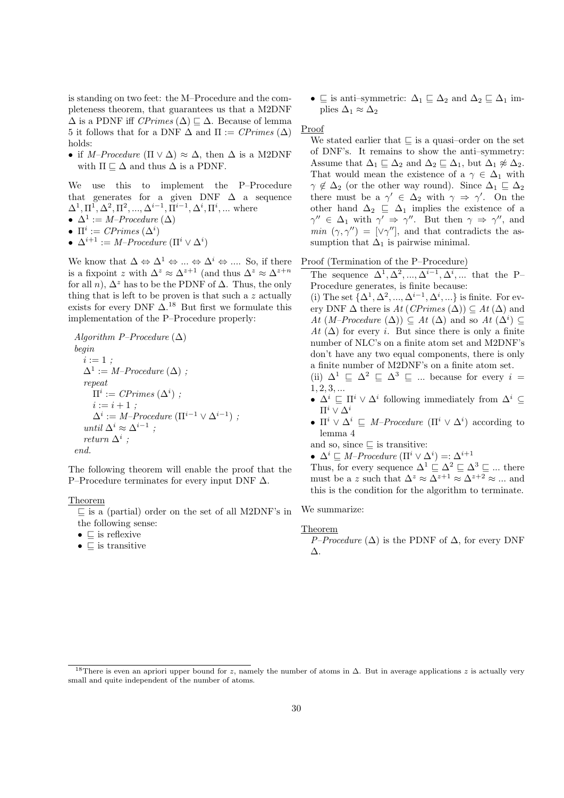is standing on two feet: the M–Procedure and the completeness theorem, that guarantees us that a M2DNF  $\Delta$  is a PDNF iff CPrimes ( $\Delta$ )  $\Box$   $\Delta$ . Because of lemma 5 it follows that for a DNF  $\Delta$  and  $\Pi := \mathit{CPrimes}(\Delta)$ holds:

• if M–Procedure ( $\Pi \vee \Delta$ )  $\approx \Delta$ , then  $\Delta$  is a M2DNF with  $\Pi \subseteq \Delta$  and thus  $\Delta$  is a PDNF.

We use this to implement the P–Procedure that generates for a given DNF  $\Delta$  a sequence  $\Delta^1, \Pi^1, \Delta^2, \Pi^2, ..., \Delta^{i-1}, \Pi^{i-1}, \Delta^i, \Pi^i, ...$  where

•  $\Delta^1 := M\text{-}Proceedure (\Delta)$ 

•  $\Pi^i := \mathit{CPrimes}(\Delta^i)$ 

•  $\Delta^{i+1} := M\text{-}Proceedure (\Pi^i \vee \Delta^i)$ 

We know that  $\Delta \Leftrightarrow \Delta^1 \Leftrightarrow ... \Leftrightarrow \Delta^i \Leftrightarrow ...$  So, if there is a fixpoint z with  $\Delta^z \approx \Delta^{z+1}$  (and thus  $\Delta^z \approx \Delta^{z+n}$ for all n),  $\Delta^z$  has to be the PDNF of  $\Delta$ . Thus, the only thing that is left to be proven is that such a  $z$  actually exists for every DNF  $\Delta$ .<sup>18</sup> But first we formulate this implementation of the P–Procedure properly:

Algorithm P–Procedure  $(\Delta)$ begin  $i := 1$  :  $\Delta^1 := M\text{-}Proceedure (\Delta)$ ; repeat  $\Pi^i := \mathit{CPrimes}(\Delta^i)$ ;  $i := i + 1;$  $\Delta^i := M\text{-}Proceedure (\Pi^{i-1} \vee \Delta^{i-1})$ ; until  $\Delta^i \approx \Delta^{i-1}$ ; return  $\Delta^i$ ; end.

The following theorem will enable the proof that the P–Procedure terminates for every input DNF ∆.

## Theorem

 $\subseteq$  is a (partial) order on the set of all M2DNF's in the following sense:

- $\bullet \subset$  is reflexive
- $\bullet \subseteq$  is transitive

•  $\subseteq$  is anti–symmetric:  $\Delta_1 \sqsubseteq \Delta_2$  and  $\Delta_2 \sqsubseteq \Delta_1$  implies  $\Delta_1 \approx \Delta_2$ 

## Proof

We stated earlier that  $\sqsubseteq$  is a quasi-order on the set of DNF's. It remains to show the anti–symmetry: Assume that  $\Delta_1 \sqsubseteq \Delta_2$  and  $\Delta_2 \sqsubseteq \Delta_1$ , but  $\Delta_1 \not\approx \Delta_2$ . That would mean the existence of a  $\gamma \in \Delta_1$  with  $\gamma \notin \Delta_2$  (or the other way round). Since  $\Delta_1 \sqsubseteq \Delta_2$ there must be a  $\gamma' \in \Delta_2$  with  $\gamma \Rightarrow \gamma'$ . On the other hand  $\Delta_2 \subseteq \Delta_1$  implies the existence of a  $\gamma'' \in \Delta_1$  with  $\gamma' \Rightarrow \gamma''$ . But then  $\gamma \Rightarrow \gamma''$ , and  $min (\gamma, \gamma'') = [\vee \gamma'']$ , and that contradicts the assumption that  $\Delta_1$  is pairwise minimal.

## Proof (Termination of the P–Procedure)

The sequence  $\Delta^1, \Delta^2, ..., \Delta^{i-1}, \Delta^i, ...$  that the P-Procedure generates, is finite because:

(i) The set  $\{\Delta^1, \Delta^2, ..., \Delta^{i-1}, \Delta^i, ...\}$  is finite. For every DNF  $\Delta$  there is  $At$  (CPrimes  $(\Delta)$ )  $\subseteq$   $At$   $(\Delta)$  and At  $(M-Proceedure (\Delta)) \subseteq At (\Delta)$  and so  $At (\Delta^i) \subseteq$ At  $(\Delta)$  for every *i*. But since there is only a finite number of NLC's on a finite atom set and M2DNF's don't have any two equal components, there is only a finite number of M2DNF's on a finite atom set. (ii)  $\Delta^1 \subseteq \Delta^2 \subseteq \Delta^3 \subseteq ...$  because for every  $i =$ 

- $1, 2, 3, ...$
- $\Delta^i \sqsubseteq \Pi^i \vee \Delta^i$  following immediately from  $\Delta^i \subseteq$  $\Pi^i$  ∨  $\Delta^i$
- $\Pi^i \vee \Delta^i \subseteq M\text{-}Proceedure (\Pi^i \vee \Delta^i)$  according to lemma 4

and so, since  $\sqsubseteq$  is transitive:

•  $\Delta^i \sqsubseteq M\text{-}Proceedure \left(\Pi^i \vee \Delta^i\right) =: \Delta^{i+1}$ 

Thus, for every sequence  $\Delta^1 \subseteq \Delta^2 \subseteq \Delta^3 \subseteq ...$  there must be a z such that  $\Delta^z \approx \Delta^{z+1} \approx \Delta^{z+2} \approx ...$  and this is the condition for the algorithm to terminate.

We summarize:

## Theorem

P–Procedure  $(\Delta)$  is the PDNF of  $\Delta$ , for every DNF ∆.

<sup>&</sup>lt;sup>18</sup>There is even an apriori upper bound for z, namely the number of atoms in  $\Delta$ . But in average applications z is actually very small and quite independent of the number of atoms.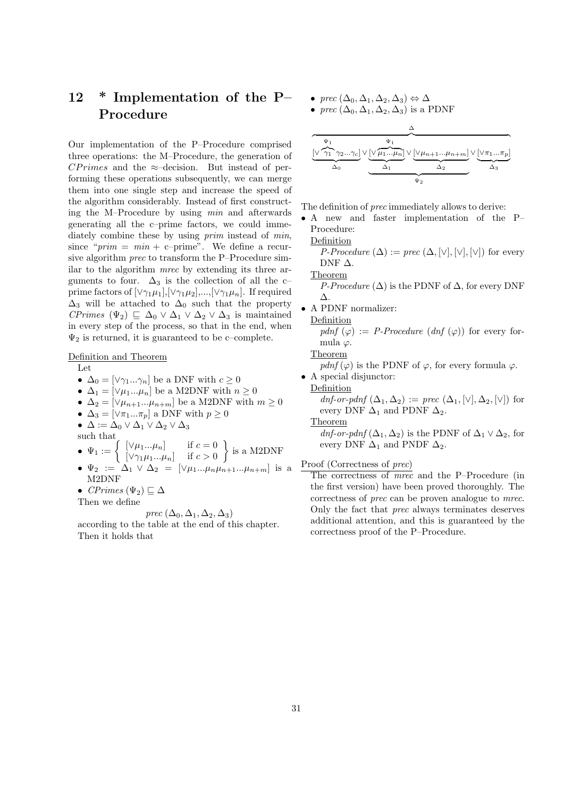# 12 \* Implementation of the P– Procedure

Our implementation of the P–Procedure comprised three operations: the M–Procedure, the generation of  $CPrimes$  and the ≈–decision. But instead of performing these operations subsequently, we can merge them into one single step and increase the speed of the algorithm considerably. Instead of first constructing the M–Procedure by using min and afterwards generating all the c–prime factors, we could immediately combine these by using *prim* instead of *min*, since " $prim = min + c$ -prime". We define a recursive algorithm prec to transform the P–Procedure similar to the algorithm mrec by extending its three arguments to four.  $\Delta_3$  is the collection of all the c– prime factors of  $[\vee \gamma_1 \mu_1], [\vee \gamma_1 \mu_2], ..., [\vee \gamma_1 \mu_n].$  If required  $\Delta_3$  will be attached to  $\Delta_0$  such that the property CPrimes  $(\Psi_2) \subseteq \Delta_0 \vee \Delta_1 \vee \Delta_2 \vee \Delta_3$  is maintained in every step of the process, so that in the end, when  $\Psi_2$  is returned, it is guaranteed to be c–complete.

Definition and Theorem

Let

- $\Delta_0 = [\vee \gamma_1 ... \gamma_n]$  be a DNF with  $c \geq 0$
- $\Delta_1 = [\vee \mu_1...\mu_n]$  be a M2DNF with  $n \geq 0$
- $\Delta_2 = [\vee \mu_{n+1} ... \mu_{n+m}]$  be a M2DNF with  $m \geq 0$
- $\Delta_3 = [\vee \pi_1 ... \pi_p]$  a DNF with  $p \geq 0$

•  $\Delta := \Delta_0 \vee \Delta_1 \vee \Delta_2 \vee \Delta_3$ 

such that

- $\Psi_1 := \begin{cases} [\vee \mu_1...\mu_n] & \text{if } c = 0 \\ [\vee \alpha \vee \mu_n] & \text{if } c > 0 \end{cases}$  $[\vee \gamma_1 \mu_1 ... \mu_n]$  if  $c > 0$  $\}$  is a M2DNF
- $\Psi_2 := \Delta_1 \vee \Delta_2 = [\vee \mu_1...\mu_n\mu_{n+1}...\mu_{n+m}]$  is a M2DNF
- CPrimes  $(\Psi_2) \sqsubseteq \Delta$

Then we define

prec  $(\Delta_0, \Delta_1, \Delta_2, \Delta_3)$ 

according to the table at the end of this chapter. Then it holds that

- prec  $(\Delta_0, \Delta_1, \Delta_2, \Delta_3) \Leftrightarrow \Delta$
- prec  $(\Delta_0, \Delta_1, \Delta_2, \Delta_3)$  is a PDNF



The definition of prec immediately allows to derive:

• A new and faster implementation of the P– Procedure:

Definition

*P-Procedure*  $(\Delta) := prec (\Delta, [\vee], [\vee], [\vee])$  for every DNF  $\Delta$ .

Theorem

*P-Procedure* ( $\Delta$ ) is the PDNF of  $\Delta$ , for every DNF ∆.

• A PDNF normalizer:

Definition

pdnf  $(\varphi) := P$ -Procedure  $(dnf(\varphi))$  for every formula  $\varphi$ .

Theorem

pdnf ( $\varphi$ ) is the PDNF of  $\varphi$ , for every formula  $\varphi$ .

• A special disjunctor:

## Definition

dnf-or-pdnf  $(\Delta_1, \Delta_2) := \text{prec } (\Delta_1, [\vee], \Delta_2, [\vee])$  for every DNF  $\Delta_1$  and PDNF  $\Delta_2$ .

Theorem

 $dnf\text{-}or\text{-}pdnf(\Delta_1,\Delta_2)$  is the PDNF of  $\Delta_1 \vee \Delta_2$ , for every DNF  $\Delta_1$  and PNDF  $\Delta_2$ .

Proof (Correctness of prec)

The correctness of *mrec* and the P–Procedure (in the first version) have been proved thoroughly. The correctness of prec can be proven analogue to mrec. Only the fact that prec always terminates deserves additional attention, and this is guaranteed by the correctness proof of the P–Procedure.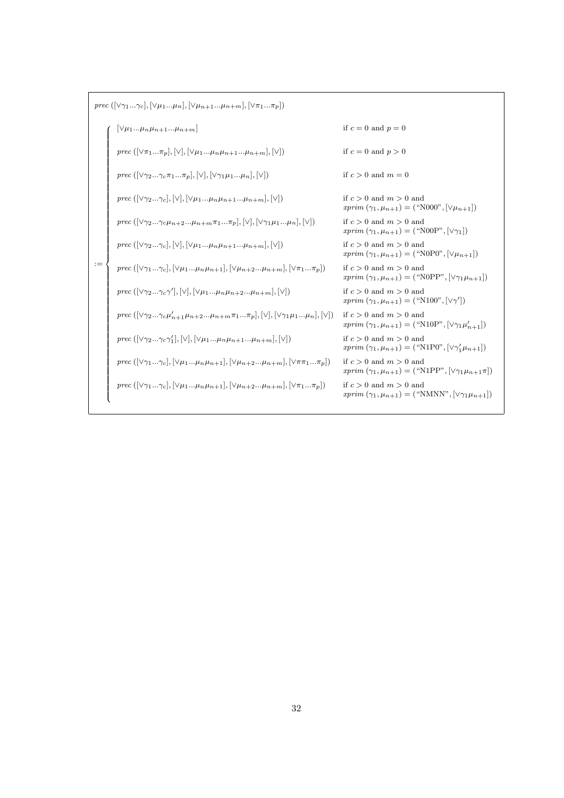$prec \ ([\vee \gamma_1 ... \gamma_c], [\vee \mu_1 ... \mu_n], [\vee \mu_{n+1} ... \mu_{n+m}], [\vee \pi_1 ... \pi_p])$ 

|      | $ \forall \mu_1\mu_n\mu_{n+1}\mu_{n+m} $                                                                                                                                                                     | if $c = 0$ and $p = 0$                                                                                          |
|------|--------------------------------------------------------------------------------------------------------------------------------------------------------------------------------------------------------------|-----------------------------------------------------------------------------------------------------------------|
|      | <i>prec</i> ( $[\vee \pi_1\pi_p], [\vee], [\vee \mu_1\mu_n\mu_{n+1} \mu_{n+m}], [\vee]$ )                                                                                                                    | if $c = 0$ and $p > 0$                                                                                          |
|      | prec $(\lceil \sqrt{\gamma_2}\gamma_c\pi_1\pi_n\rceil, \lceil \sqrt{\gamma_1}\mu_1\mu_n\rceil, \lceil \sqrt{\gamma}\rceil)$                                                                                  | if $c > 0$ and $m = 0$                                                                                          |
|      | prec $(\lceil \sqrt{\gamma_2}\gamma_c \rceil, \lceil \sqrt{\gamma_1}\mu_n\mu_{n+1}\mu_{n+m} \rceil, \lceil \sqrt{\gamma_1} \rceil)$                                                                          | if $c > 0$ and $m > 0$ and<br><i>xprim</i> $(\gamma_1, \mu_{n+1}) =$ ("N000", $[\vee \mu_{n+1}]$ )              |
|      | prec $( \vee \gamma_2\gamma_c\mu_{n+2}\mu_{n+m}\pi_1\pi_p ,  \vee ,  \vee \gamma_1\mu_1\mu_n ,  \vee )$                                                                                                      | if $c > 0$ and $m > 0$ and<br><i>xprim</i> $(\gamma_1, \mu_{n+1}) =$ ("N00P", $[\vee \gamma_1]$ )               |
|      | prec $(\lceil \sqrt{\gamma_2}\gamma_c \rceil, \lceil \sqrt{\gamma_1}\mu_n\mu_{n+1}\mu_{n+m} \rceil, \lceil \sqrt{\gamma_1} \rceil)$                                                                          | if $c > 0$ and $m > 0$ and<br>$xprim (\gamma_1, \mu_{n+1}) =$ ("N0P0", $[\vee \mu_{n+1}]$ )                     |
| $:=$ | prec $( \vee \gamma_1\gamma_c ,  \vee \mu_1\mu_n\mu_{n+1} ,  \vee \mu_{n+2}\mu_{n+m} ,  \vee \pi_1\pi_n )$                                                                                                   | if $c > 0$ and $m > 0$ and<br><i>xprim</i> $(\gamma_1, \mu_{n+1}) =$ ("N0PP", $[\vee \gamma_1 \mu_{n+1}]$ )     |
|      | prec $([\vee \gamma_2\gamma_c \gamma'], [\vee], [\vee \mu_1\mu_n \mu_{n+2} \mu_{n+m}], [\vee])$                                                                                                              | if $c > 0$ and $m > 0$ and<br><i>xprim</i> $(\gamma_1, \mu_{n+1}) =$ ("N100", $[\vee \gamma']$ )                |
|      | <i>prec</i> $(\lbrack \vee \gamma_2 \ldots \gamma_c \mu'_{n+1} \mu_{n+2} \ldots \mu_{n+m} \pi_1 \ldots \pi_p, \lbrack \vee \rbrack, \lbrack \vee \gamma_1 \mu_1 \ldots \mu_n \rbrack, \lbrack \vee \rbrack)$ | if $c > 0$ and $m > 0$ and<br>$xprim (\gamma_1, \mu_{n+1}) = ("N10P", [\forall \gamma_1 \mu'_{n+1}])$           |
|      | prec $(\lbrack \vee \gamma_2\gamma_c\gamma'_1 \rbrack, \lbrack \vee \rbrack, \lbrack \vee \mu_1\mu_n\mu_{n+1}\mu_{n+m} \rbrack, \lbrack \vee \rbrack)$                                                       | if $c > 0$ and $m > 0$ and<br>$xprim (\gamma_1, \mu_{n+1}) = ("N1P0", [\forall \gamma'_1 \mu_{n+1}])$           |
|      | prec $([\vee \gamma_1\gamma_c], [\vee \mu_1\mu_n\mu_{n+1}], [\vee \mu_{n+2} \mu_n+m], [\vee \pi \pi_1\pi_n])$                                                                                                | if $c > 0$ and $m > 0$ and<br><i>xprim</i> $(\gamma_1, \mu_{n+1}) =$ ("N1PP", $[\vee \gamma_1 \mu_{n+1} \pi]$ ) |
|      | prec $([\vee \gamma_1\gamma_r], [\vee \mu_1\mu_n\mu_{n+1}], [\vee \mu_{n+2} \mu_{n+m}], [\vee \pi_1\pi_n])$                                                                                                  | if $c > 0$ and $m > 0$ and<br>$xprim(\gamma_1,\mu_{n+1}) = ("N MNN", [\forall \gamma_1 \mu_{n+1}])$             |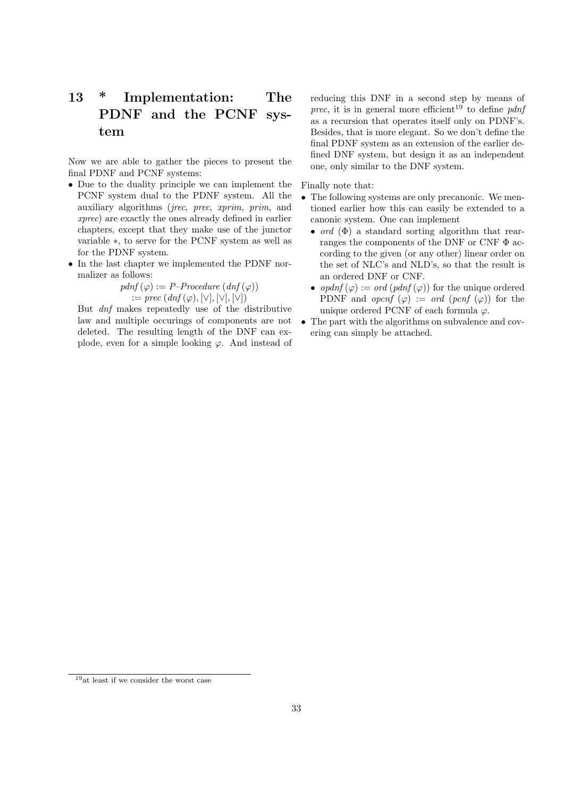# 13 \* Implementation: The PDNF and the PCNF system

Now we are able to gather the pieces to present the final PDNF and PCNF systems:

- Due to the duality principle we can implement the PCNF system dual to the PDNF system. All the auxiliary algorithms (jrec, prec, xprim, prim, and xprec) are exactly the ones already defined in earlier chapters, except that they make use of the junctor variable ∗, to serve for the PCNF system as well as for the PDNF system.
- In the last chapter we implemented the PDNF normalizer as follows:

$$
pdnf(\varphi) := P-Proceedure (dnf(\varphi))
$$
  
 := prec (dnf(\varphi), [\vee], [\vee], [\vee])

But dnf makes repeatedly use of the distributive law and multiple occurings of components are not deleted. The resulting length of the DNF can explode, even for a simple looking  $\varphi$ . And instead of reducing this DNF in a second step by means of *prec*, it is in general more efficient<sup>19</sup> to define *pdnf* as a recursion that operates itself only on PDNF's. Besides, that is more elegant. So we don't define the final PDNF system as an extension of the earlier defined DNF system, but design it as an independent one, only similar to the DNF system.

Finally note that:

- The following systems are only precanonic. We mentioned earlier how this can easily be extended to a canonic system. One can implement
	- ord  $(\Phi)$  a standard sorting algorithm that rearranges the components of the DNF or CNF Φ according to the given (or any other) linear order on the set of NLC's and NLD's, so that the result is an ordered DNF or CNF.
	- opdnf  $(\varphi) := ord (pdf (\varphi))$  for the unique ordered PDNF and *opcnf*  $(\varphi) := ord (perf (\varphi))$  for the unique ordered PCNF of each formula  $\varphi$ .
- The part with the algorithms on subvalence and covering can simply be attached.

<sup>19</sup>at least if we consider the worst case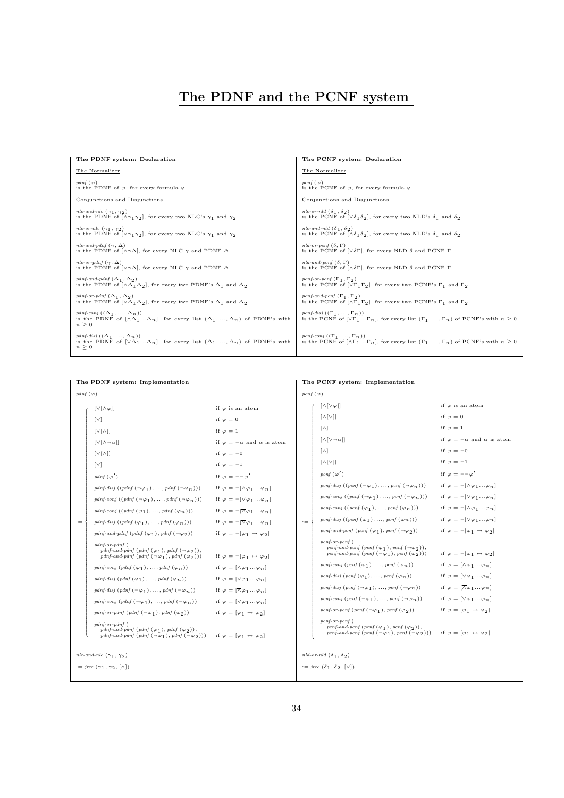# The PDNF and the PCNF system

| The PDNF system: Declaration                                                                                                                                | The PCNF system: Declaration                                                                                                                                       |
|-------------------------------------------------------------------------------------------------------------------------------------------------------------|--------------------------------------------------------------------------------------------------------------------------------------------------------------------|
| The Normalizer                                                                                                                                              | The Normalizer                                                                                                                                                     |
| pdnf $(\varphi)$                                                                                                                                            | pcnf $(\varphi)$                                                                                                                                                   |
| is the PDNF of $\varphi$ , for every formula $\varphi$                                                                                                      | is the PCNF of $\varphi$ , for every formula $\varphi$                                                                                                             |
| Conjunctions and Disjunctions                                                                                                                               | Conjunctions and Disjunctions                                                                                                                                      |
| nlc-and-nlc $(\gamma_1, \gamma_2)$                                                                                                                          | nlc-or-nld $(\delta_1, \delta_2)$                                                                                                                                  |
| is the PDNF of $[\wedge \gamma_1 \gamma_2]$ , for every two NLC's $\gamma_1$ and $\gamma_2$                                                                 | is the PCNF of $[\sqrt{\delta_1 \delta_2}]$ , for every two NLD's $\delta_1$ and $\delta_2$                                                                        |
| nlc-or-nlc $(\gamma_1, \gamma_2)$                                                                                                                           | nlc-and-nld $(\delta_1, \delta_2)$                                                                                                                                 |
| is the PDNF of $[\vee \gamma_1 \gamma_2]$ , for every two NLC's $\gamma_1$ and $\gamma_2$                                                                   | is the PCNF of $[\wedge \delta_1 \delta_2]$ , for every two NLD's $\delta_1$ and $\delta_2$                                                                        |
| nlc-and-pdnf $(\gamma, \Delta)$                                                                                                                             | nld-or-pcnf $(\delta, \Gamma)$                                                                                                                                     |
| is the PDNF of $[\wedge \gamma \Delta]$ , for every NLC $\gamma$ and PDNF $\Delta$                                                                          | is the PCNF of $[\sqrt{\delta}\Gamma]$ , for every NLD $\delta$ and PCNF $\Gamma$                                                                                  |
| nlc-or-pdnf $(\gamma, \Delta)$                                                                                                                              | nld-and-pcnf $(\delta, \Gamma)$                                                                                                                                    |
| is the PDNF of $[\vee \gamma \Delta]$ , for every NLC $\gamma$ and PDNF $\Delta$                                                                            | is the PCNF of $[\wedge \delta \Gamma]$ , for every NLD $\delta$ and PCNF $\Gamma$                                                                                 |
| pdnf-and-pdnf $(\Delta_1, \Delta_2)$                                                                                                                        | pcnf-or-pcnf $(\Gamma_1, \Gamma_2)$                                                                                                                                |
| is the PDNF of $[\wedge \Delta_1 \Delta_2]$ , for every two PDNF's $\Delta_1$ and $\Delta_2$                                                                | is the PCNF of $[\vee \Gamma_1 \Gamma_2]$ , for every two PCNF's $\Gamma_1$ and $\Gamma_2$                                                                         |
| pdnf-or-pdnf $(\Delta_1, \Delta_2)$                                                                                                                         | pcnf-and-pcnf $(\Gamma_1, \Gamma_2)$                                                                                                                               |
| is the PDNF of $[\sqrt{\Delta_1 \Delta_2}]$ , for every two PDNF's $\Delta_1$ and $\Delta_2$                                                                | is the PCNF of $[\wedge \Gamma_1 \Gamma_2]$ , for every two PCNF's $\Gamma_1$ and $\Gamma_2$                                                                       |
| pdnf-conj $((\Delta_1, , \Delta_n))$<br>is the PDNF of $[\wedge \Delta_1  \Delta_n]$ , for every list $(\Delta_1, , \Delta_n)$ of PDNF's with<br>$n \geq 0$ | pcnf-disj $((\Gamma_1, , \Gamma_n))$<br>is the PCNF of $[\vee \Gamma_1 \dots \Gamma_n]$ , for every list $(\Gamma_1, \dots, \Gamma_n)$ of PCNF's with $n \geq 0$   |
| pdnf-disj $((\Delta_1, , \Delta_n))$<br>is the PDNF of $[\vee \Delta_1  \Delta_n]$ , for every list $(\Delta_1, , \Delta_n)$ of PDNF's with<br>$n \geq 0$   | pcnf-conj $((\Gamma_1, , \Gamma_n))$<br>is the PCNF of $[\wedge \Gamma_1 \dots \Gamma_n]$ , for every list $(\Gamma_1, \dots, \Gamma_n)$ of PCNF's with $n \geq 0$ |

I

| The PDNF system: Implementation            |                                                                                                                                                        |                                                                   | The PCNF system: Implementation |                                                                                                                                                                                                                       |                                                                   |
|--------------------------------------------|--------------------------------------------------------------------------------------------------------------------------------------------------------|-------------------------------------------------------------------|---------------------------------|-----------------------------------------------------------------------------------------------------------------------------------------------------------------------------------------------------------------------|-------------------------------------------------------------------|
| pdnf $(\varphi)$                           |                                                                                                                                                        | pcnf $(\varphi)$                                                  |                                 |                                                                                                                                                                                                                       |                                                                   |
|                                            | $\lceil v \lceil \wedge \varphi \rceil \rceil$                                                                                                         | if $\varphi$ is an atom                                           |                                 | $\left[\wedge\left[\vee\varphi\right]\right]$                                                                                                                                                                         | if $\varphi$ is an atom                                           |
|                                            | $\lceil v \rceil$                                                                                                                                      | if $\varphi = 0$                                                  |                                 | $\left[\wedge\left[\vee\right]\right]$                                                                                                                                                                                | if $\varphi = 0$                                                  |
|                                            | $[V[\wedge]]$                                                                                                                                          | if $\varphi = 1$                                                  |                                 | $\lceil \wedge \rceil$                                                                                                                                                                                                | if $\varphi = 1$                                                  |
|                                            | $\lceil v \rceil \wedge \neg \alpha \rceil$                                                                                                            | if $\varphi = \neg \alpha$ and $\alpha$ is atom                   |                                 | $\lceil \wedge \lceil \vee \neg \alpha \rceil \rceil$                                                                                                                                                                 | if $\varphi = \neg \alpha$ and $\alpha$ is atom                   |
|                                            | $[V[\wedge]]$                                                                                                                                          | if $\varphi = \neg 0$                                             |                                 | $\lceil \wedge \rceil$                                                                                                                                                                                                | if $\varphi = \neg 0$                                             |
|                                            | $\lceil \vee \rceil$                                                                                                                                   | if $\varphi = -1$                                                 |                                 | $[\wedge[\vee]]$                                                                                                                                                                                                      | if $\varphi = -1$                                                 |
|                                            | $pdnf\left(\varphi'\right)$                                                                                                                            | if $\varphi = \neg \neg \varphi'$                                 |                                 | pcnf $(\varphi')$                                                                                                                                                                                                     | if $\varphi = \neg \neg \varphi'$                                 |
|                                            | pdnf-disj $((pdnf(\neg\varphi_1),,pdnf(\neg\varphi_n)))$                                                                                               | if $\varphi = \neg[\wedge \varphi_1 \dots \varphi_n]$             |                                 | pcnf-disj $((pcnf(\neg\varphi_1), , pcnf(\neg\varphi_n)))$                                                                                                                                                            | if $\varphi = \neg[\wedge \varphi_1 \dots \varphi_n]$             |
|                                            | pdnf-conj $((pdnf(\neg\varphi_1),,pdnf(\neg\varphi_n)))$                                                                                               | if $\varphi = \neg[\vee \varphi_1 \dots \varphi_n]$               |                                 | penf-conj $((pcnf(\neg\varphi_1),,pcnf(\neg\varphi_n)))$                                                                                                                                                              | if $\varphi = \neg[\vee \varphi_1  \varphi_n]$                    |
|                                            | pdnf-conj $((pdnf(\varphi_1), , pdnf(\varphi_n)))$                                                                                                     | if $\varphi = \neg[\overline{\wedge} \varphi_1 \dots \varphi_n]$  |                                 | pcnf-conj $((pcnf(\varphi_1), , pcnf(\varphi_n)))$                                                                                                                                                                    | if $\varphi = \neg[\overline{\wedge} \varphi_1 \dots \varphi_n]$  |
| $:=$                                       | pdnf-disj $((pdnf(\varphi_1), , pdnf(\varphi_n)))$                                                                                                     | if $\varphi = \neg \left[\nabla \varphi_1 \dots \varphi_n\right]$ | $:=$                            | pcnf-disj $((pcnf(\varphi_1), , pcnf(\varphi_n)))$                                                                                                                                                                    | if $\varphi = \neg \left[\nabla \varphi_1 \dots \varphi_n\right]$ |
|                                            | pdnf-and-pdnf (pdnf $(\varphi_1)$ , pdnf $(\neg \varphi_2)$ )                                                                                          | if $\varphi = \neg [\varphi_1 \rightarrow \varphi_2]$             |                                 | pcnf-and-pcnf (pcnf $(\varphi_1)$ , pcnf $(\neg \varphi_2)$ )                                                                                                                                                         | if $\varphi = \neg [\varphi_1 \rightarrow \varphi_2]$             |
|                                            | $pdnf-or-pdnf$ (<br>pdnf-and-pdnf $(\varphi_1), \varphi_n(f(\neg \varphi_2)),$<br>pdnf-and-pdnf $(\text{pdf}(\neg \varphi_1), \text{pdf}(\varphi_2)))$ | if $\varphi = \neg [\varphi_1 \leftrightarrow \varphi_2]$         |                                 | $pcnf-or-pcnf$ (<br>pcnf-and-pcnf (pcnf $(\varphi_1)$ , pcnf $(\neg \varphi_2)$ ),<br>pcnf-and-pcnf $(\text{perf}(\neg \varphi_1), \text{perf}(\varphi_2)))$                                                          | if $\varphi = \neg [\varphi_1 \leftrightarrow \varphi_2]$         |
|                                            | pdnf-conj $(\text{pdnf }(\varphi_1), \ldots, \text{pdnf }(\varphi_n))$                                                                                 | if $\varphi = [\wedge \varphi_1 \dots \varphi_n]$                 |                                 | pcnf-conj $(\text{pcnf }(\varphi_1), \ldots, \text{pcnf }(\varphi_n))$                                                                                                                                                | if $\varphi = [\wedge \varphi_1 \dots \varphi_n]$                 |
|                                            | pdnf-disj $(\text{pdnf }(\varphi_1), \ldots, \text{pdnf }(\varphi_n))$                                                                                 | if $\varphi = [\vee \varphi_1  \varphi_n]$                        |                                 | pcnf-disj $(\text{pcnf }(\varphi_1), \ldots, \text{pcnf }(\varphi_n))$                                                                                                                                                | if $\varphi = [\vee \varphi_1  \varphi_n]$                        |
|                                            | pdnf-disj $(\text{pdnf }(\neg \varphi_1), \ldots, \text{pdnf }(\neg \varphi_n))$                                                                       | if $\varphi = [\overline{\wedge} \varphi_1  \varphi_n]$           |                                 | pcnf-disj $(\text{pcnf}(\neg \varphi_1), \dots, \text{pcnf}(\neg \varphi_n))$                                                                                                                                         | if $\varphi = [\overline{\wedge} \varphi_1  \varphi_n]$           |
|                                            | pdnf-conj $(\text{pdf}(\neg \varphi_1), , \text{pdf}(\neg \varphi_n))$                                                                                 | if $\varphi = [\nabla \varphi_1 \dots \varphi_n]$                 |                                 | pcnf-conj $(\text{perf } (\neg \varphi_1), \ldots, \text{perf } (\neg \varphi_n))$                                                                                                                                    | if $\varphi = [\nabla \varphi_1  \varphi_n]$                      |
|                                            | pdnf-or-pdnf $(\text{pdf}(\neg \varphi_1), \text{pdf}(\varphi_2))$                                                                                     | if $\varphi = [\varphi_1 \rightarrow \varphi_2]$                  |                                 | pcnf-or-pcnf $(\text{perf } (\neg \varphi_1), \text{perf } (\varphi_2))$                                                                                                                                              | if $\varphi = [\varphi_1 \rightarrow \varphi_2]$                  |
|                                            | $pdnf-or-pdnf$ (<br>pdnf-and-pdnf $(\varphi_1), \varphi_n(f(\varphi_2)),$<br>pdnf-and-pdnf $(\text{pdf}(\neg \varphi_1), \text{pdf}(\neg \varphi_2)))$ | if $\varphi = [\varphi_1 \leftrightarrow \varphi_2]$              |                                 | $pcnf-or-pcnf$ (<br>pcnf-and-pcnf (pcnf $(\varphi_1)$ , pcnf $(\varphi_2)$ ),<br>penf-and-penf $(\text{perf } (\neg \varphi_1), \text{perf } (\neg \varphi_2)))$ if $\varphi = [\varphi_1 \leftrightarrow \varphi_2]$ |                                                                   |
| nlc-and-nlc $(\gamma_1, \gamma_2)$         |                                                                                                                                                        | nld-or-nld $(\delta_1, \delta_2)$                                 |                                 |                                                                                                                                                                                                                       |                                                                   |
| $:=$ jrec $(\gamma_1, \gamma_2, [\wedge])$ |                                                                                                                                                        | $:=$ jrec $(\delta_1, \delta_2, [\vee])$                          |                                 |                                                                                                                                                                                                                       |                                                                   |
|                                            |                                                                                                                                                        |                                                                   |                                 |                                                                                                                                                                                                                       |                                                                   |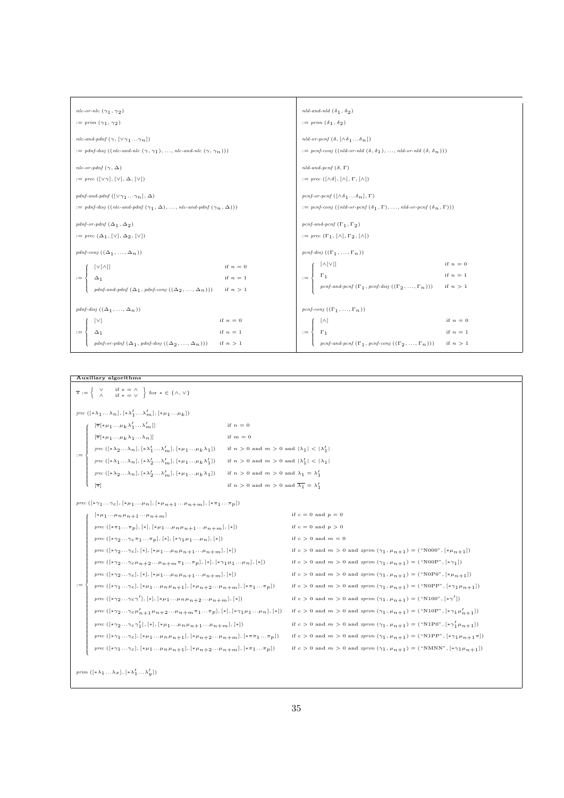| nlc-or-nlc $(\gamma_1, \gamma_2)$                                                                                                                           | nld-and-nld $(\delta_1, \delta_2)$                                                                                                  |
|-------------------------------------------------------------------------------------------------------------------------------------------------------------|-------------------------------------------------------------------------------------------------------------------------------------|
| $:= \text{prim}(\gamma_1, \gamma_2)$                                                                                                                        | $:= prim (\delta_1, \delta_2)$                                                                                                      |
| nlc-and-pdnf $(\gamma, [\vee \gamma_1 \ldots \gamma_n])$                                                                                                    | nld-or-pcnf $(\delta, [\wedge \delta_1 \dots \delta_n])$                                                                            |
| $:=$ pdnf-disj ((nlc-and-nlc $(\gamma, \gamma_1), ,$ nlc-and-nlc $(\gamma, \gamma_n))$ )                                                                    | $:=$ pcnf-conj ((nld-or-nld $(\delta, \delta_1), ,$ nld-or-nld $(\delta, \delta_n))$ )                                              |
| nlc-or-pdnf $(\gamma, \Delta)$                                                                                                                              | nld-and-pcnf $(\delta, \Gamma)$                                                                                                     |
| $:= \text{prec} ([\vee \gamma], [\vee], \Delta, [\vee])$                                                                                                    | $:= \text{prec} ([\wedge \delta], [\wedge], \Gamma, [\wedge])$                                                                      |
| pdnf-and-pdnf $([\vee \gamma_1 \ldots \gamma_n], \Delta)$                                                                                                   | pcnf-or-pcnf $(\lceil \wedge \delta_1 \dots \delta_n \rceil, \Gamma)$                                                               |
| $:=$ pdnf-disj $((nlc\text{-}and\text{-}pdnf (\gamma_1, \Delta), , nlc\text{-}and\text{-}pdnf (\gamma_n, \Delta)))$                                         | $:=$ pcnf-conj $((\text{nd}-\text{or}-\text{pcnf}(\delta_1,\Gamma),\ldots,\text{nd}-\text{or}-\text{pcnf}(\delta_n,\Gamma)))$       |
| pdnf-or-pdnf $(\Delta_1, \Delta_2)$                                                                                                                         | pcnf-and-pcnf $(\Gamma_1, \Gamma_2)$                                                                                                |
| $:= \text{prec } (\Delta_1, [\vee], \Delta_2, [\vee])$                                                                                                      | $:= \text{prec} (\Gamma_1, [\wedge], \Gamma_2, [\wedge])$                                                                           |
| pdnf-conj $((\Delta_1, , \Delta_n))$                                                                                                                        | pcnf-disj $((\Gamma_1, , \Gamma_n))$                                                                                                |
| $[V[\wedge]]$<br>if $n=0$                                                                                                                                   | if $n=0$<br>$[\wedge[\vee]]$                                                                                                        |
| if $n=1$<br>$\Delta_1$<br>$:=$                                                                                                                              | if $n=1$<br>$\Gamma_1$<br>$:=$                                                                                                      |
| $\mathit{pdnf\text{-}and\text{-}pdnf\left(\Delta_1\,,\mathit{pdnf\text{-}conj}\left(\left(\Delta_2\,,\,\ldots,\Delta_n\right)\right)\right)}$<br>if $n > 1$ | $\mathit{pcnf\text{-}and\text{-}pcnf}$ $(\Gamma_1\,,\mathit{pcnf\text{-}disj}\;((\Gamma_2\,,\,\ldots,\,\Gamma_n\,)))$<br>if $n > 1$ |
|                                                                                                                                                             |                                                                                                                                     |
| pdnf-disj $((\Delta_1, , \Delta_n))$                                                                                                                        | pcnf-conj $((\Gamma_1, , \Gamma_n))$                                                                                                |
| if $n=0$<br>[V]                                                                                                                                             | if $n=0$<br>$\lceil \wedge \rceil$                                                                                                  |
| if $n=1$<br>$:=$<br>$\Delta_1$                                                                                                                              | if $n=1$<br>$\Gamma_1$<br>$:=$                                                                                                      |
| pdnf-or-pdnf $(\Delta_1, pdnf$ -disj $((\Delta_2, , \Delta_n)))$<br>if $n > 1$                                                                              | pcnf-and-pcnf $(\Gamma_1,$ pcnf-conj $((\Gamma_2, , \Gamma_n)))$<br>if $n > 1$                                                      |

#### Auxiliary algorithms  $\overline{*} := \left\{ \begin{array}{cc} \vee & \text{if } * = \wedge \\ \wedge & \text{if } * = \vee \end{array} \right\} \text{ for } * \in \{\wedge, \vee\}$ jrec  $([\ast \lambda_1 ... \lambda_n], [\ast \lambda_1' ... \lambda_m'], [\ast \mu_1 ... \mu_k])$ :=  $\sqrt{2}$  $\overline{\phantom{a}}$   $\label{eq:3.1} \left[ \overline{\ast } \lbrack \ast \mu _{1} \ldots \mu _{k} \, \lambda _{1} ^{\prime } \ldots \lambda _{m} ^{\prime } \rbrack \right] \hfill \qquad \qquad \mbox{if $n=0$}$  $\left[\overline{\ast}[*\mu_1\ldots\mu_k\lambda_1\ldots\lambda_n]\right] \qquad \qquad \text{if $m=0$}$  $\text{if } n > 0 \text{ and } m > 0 \text{ and } |\lambda_1| < |\lambda_1'|$  ... $\lambda_m'$ ,  $[*\mu_1...\mu_k\lambda_1])$  if  $n > 0$  and  $m > 0$  and  $|\lambda_1| < |\lambda_1'|$  $\label{eq:spec} jrec\,\left([\ast\lambda_1\dots\lambda_n],[\ast\lambda_2'\dots\lambda_m'],[\ast\mu_1\dots\mu_k\lambda_1']\right) \quad\quad \text{if } n>0 \text{ and } m>0 \text{ and } |\lambda_1'|<|\lambda_1|$ jrec  $([*\lambda_2 ... \lambda_n], [*\lambda'_2$  $\ldots \lambda'_{m}], [*\mu_{1} \ldots \mu_{k} \lambda_{1}]) \quad \quad \text{if $n > 0$ and $m > 0$ and $\lambda_{1} = \lambda'_{1}$}$  $\text{if } n \, > \, 0 \, \text{ and } \, m \, > \, 0 \, \text{ and } \, \overline{\lambda_1} \, = \, \lambda_1'$ prec  $([\ast \gamma_1 ... \gamma_c], [\ast \mu_1 ... \mu_n], [\ast \mu_{n+1} ... \mu_n +_m], [\ast \pi_1 ... \pi_p])$ :=  $\sqrt{2}$   $[*\mu_1...\mu_n\mu_{n+1}...\mu_{n+m}]$  if  $c = 0$  and  $p = 0$  $\label{eq:spec} \textit{prec}\,\left([\ast\pi_1\ldots\pi_p],[\ast],[\ast\mu_1\ldots\mu_n\mu_{n+1}\ldots\mu_{n+m}],[\ast]\right) \qquad \qquad \text{if}\,\,c=0\,\, \text{and}\,\,p>0$  $\label{eq:spec} \emph{prec } \left([\ast \gamma_2 \ldots \gamma_{c} \pi_1 \ldots \pi_p],[*],[*\gamma_1 \mu_1 \ldots \mu_n],[*]\right) \quad \quad \mbox{if } c > 0 \mbox{ and } m = 0$  $\text{prec } (\, [\ast \gamma_2 \ldots \gamma_c \,],\, [\ast],\, [\ast \mu_1 \ldots \mu_n \mu_{n+1} \ldots \mu_n +_m],\, [\ast] \,) \qquad \qquad \text{if } c \, > \, 0 \text{ and } m \, > \, 0 \text{ and } \text{aprim } (\gamma_1 \, , \, \mu_{n+1}) \, = \, ( \, ``\text{NO00"},\, [\ast \mu_{n+1}]) \, .$  $\label{eq:spec} \textit{prec}\ (\left[\ast\gamma_2...\gamma_\mathcal{C}\mu_{n+2}...\mu_{n+m}\pi_1...\pi_p],[*],[*\gamma_1\mu_1...\mu_n],[*]) \qquad \quad \textit{if}\ c>0\ \textit{and}\ m>0\ \textit{and}\ \textit{aprim}\ (\gamma_1,\mu_{n+1})=(\text{``N00P''},[\ast\gamma_1])\ (\text{``V1})\ \text{``V1})$  $\textit{prec}\ (\, [\ast \gamma_2 \ldots \gamma_c\,],\, [\ast],\, [\ast \mu_1 \ldots \mu_n \mu_{n+1} \ldots \mu_n +_m],\, [\ast] \, ) \qquad \qquad \text{if $c > 0$ and $m > 0$ and } \textit{aprim}\ (\gamma_1 \, ,\, \mu_{n+1}) =\ (\, \text{``N0PO''},\, [\ast \mu_{n+1}]) \, .$  $\textit{prec}\ (\left[\ast\gamma_1\ldots\gamma_c\right],\left[\ast\mu_1\ldots\mu_n\mu_{n+1}\right],\left[\ast\mu_{n+2}\ldots\mu_{n+m}\right],\left[\ast\pi_1\ldots\pi_p\right]) \qquad \textit{if}\ c>0 \ \textit{and}\ m>0 \ \textit{and}\ \textit{aprim}\ (\gamma_1,\mu_{n+1}) = \left(\text{``N0PP''},\left[\ast\gamma_1\mu_{n+1}\right]\right)$ prec  $\left([*\gamma_2 \ldots \gamma_c \gamma' \right]$  $\text{and } m > 0 \text{ and } m > 0 \text{ and } \text{prime } (\gamma_1, \mu_{n+1}) = \text{``N100", } [\ast \gamma'])$  $\textit{prec}\ (\dagger * \gamma_2 \dots \gamma_c \mu'_{n+1} \mu_{n+2} \dots \mu_{n+m} \pi_1 \dots \pi_p), [\ast], [\ast \gamma_1 \mu_1 \dots \mu_n], [\ast]) \quad \text{ if } c > 0 \text{ and } m > 0 \text{ and } \textit{aprim}\ (\gamma_1, \mu_{n+1}) = (\text{``N10P"} , [\ast \gamma_1 \mu'_{n+1}])$ prec  $($ [\* $\gamma_2 \ldots \gamma_c \gamma'_1)$  $\{[\mathbf{x}_1, [\mathbf{x}_{11} \dots \mu_n \mu_{n+1} \dots \mu_n + n], [\mathbf{x}_1] \}$  if  $c > 0$  and  $m > 0$  and  $x^{prim}(\gamma_1, \mu_{n+1}) = (\text{``N1PO"} , [\mathbf{x}_{11} \gamma_1' \mu_{n+1}])$ prec  $([\ast \gamma_1...\gamma_c], [\ast \mu_1...\mu_n\mu_{n+1}], [\ast \mu_{n+2}... \mu_n+m], [\ast \pi \pi_1...\pi_p])$  if  $c > 0$  and  $m > 0$  and  $xprim (\gamma_1, \mu_{n+1}) = (\text{``N1PP''}, [\ast \gamma_1\mu_{n+1}\pi])$ prec ([\* $\gamma_1...\gamma_c$ ], [\* $\mu_1...\mu_n\mu_{n+1}$ ], [\* $\mu_{n+2}...\mu_{n+m}$ ], [\* $\pi_1...\pi_p$ ]) if  $c > 0$  and  $m > 0$  and  $z$ prim  $(\gamma_1,\mu_{n+1}) =$  ("NMNN", [\* $\gamma_1\mu_{n+1}$ ]) prim  $([*\lambda_1 ... \lambda_x], (*\lambda'_1 ... \lambda'_y])$